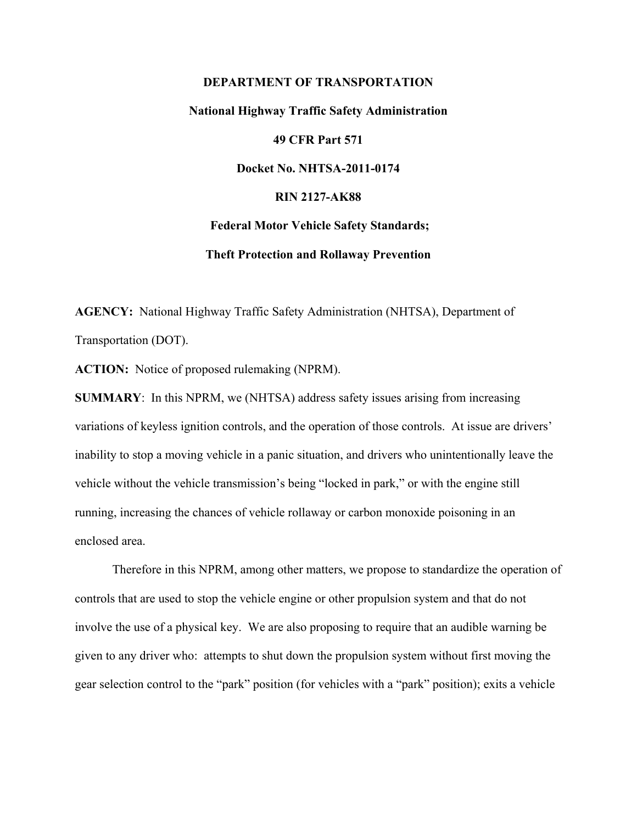# **DEPARTMENT OF TRANSPORTATION National Highway Traffic Safety Administration 49 CFR Part 571 Docket No. NHTSA-2011-0174 RIN 2127-AK88 Federal Motor Vehicle Safety Standards; Theft Protection and Rollaway Prevention**

**AGENCY:** National Highway Traffic Safety Administration (NHTSA), Department of Transportation (DOT).

**ACTION:** Notice of proposed rulemaking (NPRM).

**SUMMARY**: In this NPRM, we (NHTSA) address safety issues arising from increasing variations of keyless ignition controls, and the operation of those controls. At issue are drivers' inability to stop a moving vehicle in a panic situation, and drivers who unintentionally leave the vehicle without the vehicle transmission's being "locked in park," or with the engine still running, increasing the chances of vehicle rollaway or carbon monoxide poisoning in an enclosed area.

 Therefore in this NPRM, among other matters, we propose to standardize the operation of controls that are used to stop the vehicle engine or other propulsion system and that do not involve the use of a physical key. We are also proposing to require that an audible warning be given to any driver who: attempts to shut down the propulsion system without first moving the gear selection control to the "park" position (for vehicles with a "park" position); exits a vehicle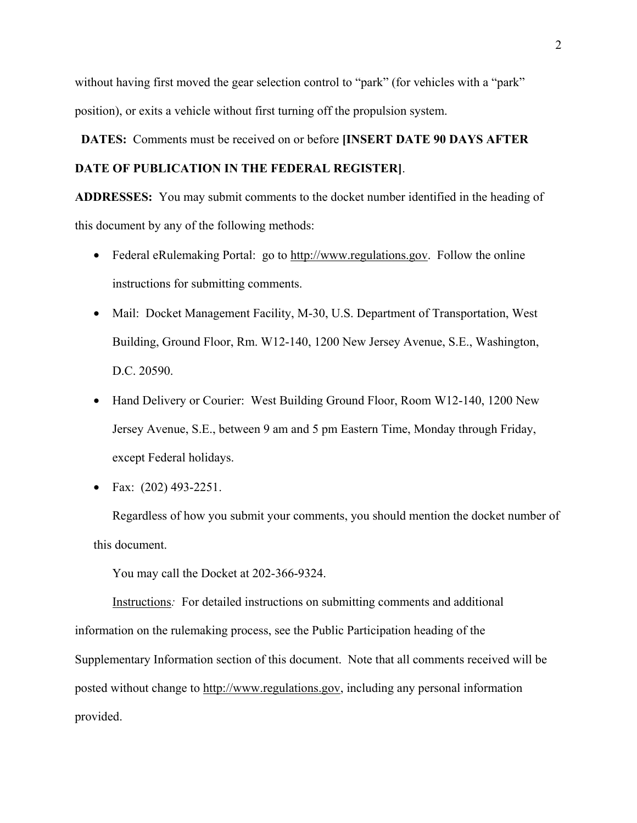without having first moved the gear selection control to "park" (for vehicles with a "park" position), or exits a vehicle without first turning off the propulsion system.

 **DATES:** Comments must be received on or before **[INSERT DATE 90 DAYS AFTER DATE OF PUBLICATION IN THE FEDERAL REGISTER]**.

**ADDRESSES:** You may submit comments to the docket number identified in the heading of this document by any of the following methods:

- Federal eRulemaking Portal: go to http://www.regulations.gov. Follow the online instructions for submitting comments.
- Mail: Docket Management Facility, M-30, U.S. Department of Transportation, West Building, Ground Floor, Rm. W12-140, 1200 New Jersey Avenue, S.E., Washington, D.C. 20590.
- Hand Delivery or Courier: West Building Ground Floor, Room W12-140, 1200 New Jersey Avenue, S.E., between 9 am and 5 pm Eastern Time, Monday through Friday, except Federal holidays.
- Fax:  $(202)$  493-2251.

Regardless of how you submit your comments, you should mention the docket number of this document.

You may call the Docket at 202-366-9324.

Instructions*:* For detailed instructions on submitting comments and additional information on the rulemaking process, see the Public Participation heading of the Supplementary Information section of this document. Note that all comments received will be posted without change to http://www.regulations.gov, including any personal information provided.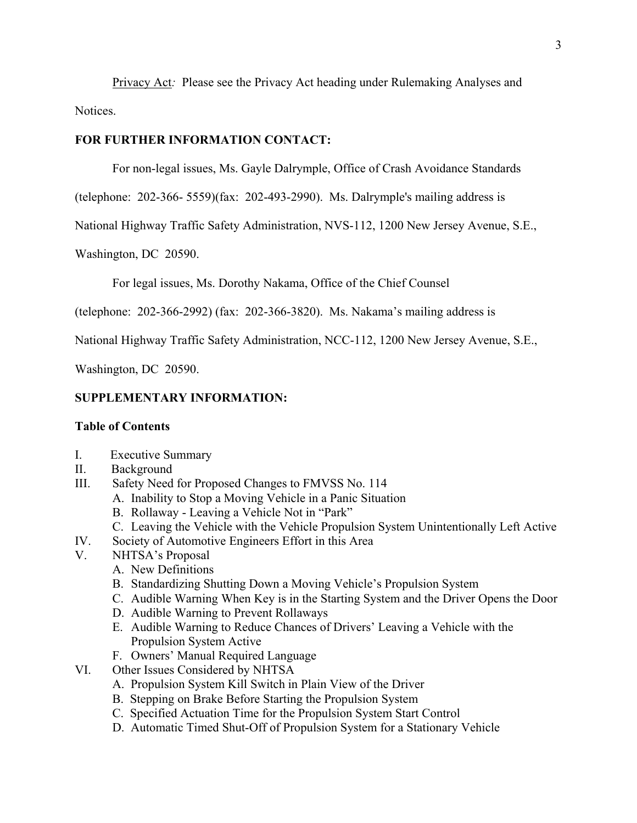Privacy Act*:* Please see the Privacy Act heading under Rulemaking Analyses and Notices.

## **FOR FURTHER INFORMATION CONTACT:**

For non-legal issues, Ms. Gayle Dalrymple, Office of Crash Avoidance Standards

(telephone: 202-366- 5559)(fax: 202-493-2990). Ms. Dalrymple's mailing address is

National Highway Traffic Safety Administration, NVS-112, 1200 New Jersey Avenue, S.E.,

Washington, DC 20590.

For legal issues, Ms. Dorothy Nakama, Office of the Chief Counsel

(telephone: 202-366-2992) (fax: 202-366-3820). Ms. Nakama's mailing address is

National Highway Traffic Safety Administration, NCC-112, 1200 New Jersey Avenue, S.E.,

Washington, DC 20590.

## **SUPPLEMENTARY INFORMATION:**

## **Table of Contents**

- I. Executive Summary
- II. Background
- III. Safety Need for Proposed Changes to FMVSS No. 114
	- A. Inability to Stop a Moving Vehicle in a Panic Situation
	- B. Rollaway Leaving a Vehicle Not in "Park"
	- C. Leaving the Vehicle with the Vehicle Propulsion System Unintentionally Left Active
- IV. Society of Automotive Engineers Effort in this Area
- V. NHTSA's Proposal
	- A. New Definitions
	- B. Standardizing Shutting Down a Moving Vehicle's Propulsion System
	- C. Audible Warning When Key is in the Starting System and the Driver Opens the Door
	- D. Audible Warning to Prevent Rollaways
	- E. Audible Warning to Reduce Chances of Drivers' Leaving a Vehicle with the Propulsion System Active
	- F. Owners' Manual Required Language
- VI. Other Issues Considered by NHTSA
	- A. Propulsion System Kill Switch in Plain View of the Driver
	- B. Stepping on Brake Before Starting the Propulsion System
	- C. Specified Actuation Time for the Propulsion System Start Control
	- D. Automatic Timed Shut-Off of Propulsion System for a Stationary Vehicle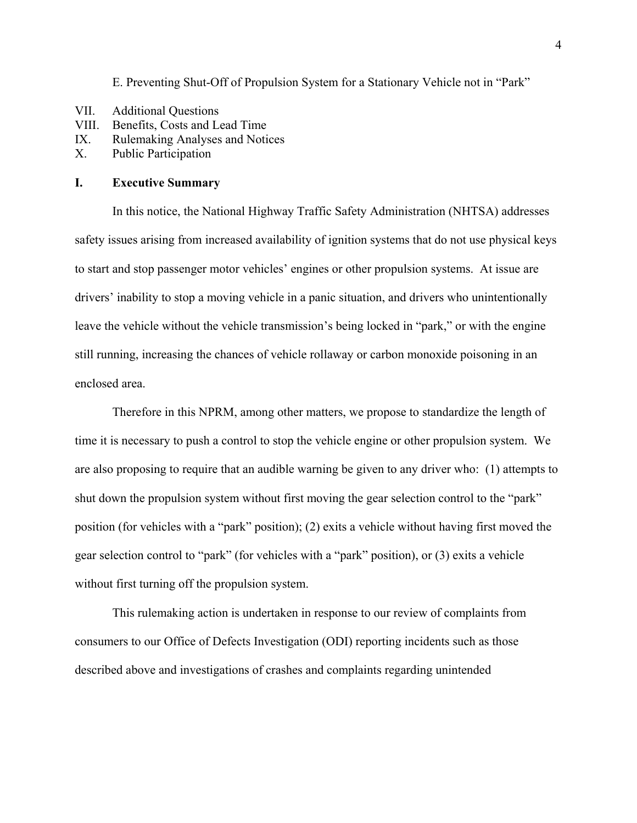E. Preventing Shut-Off of Propulsion System for a Stationary Vehicle not in "Park"

- VII. Additional Questions
- VIII. Benefits, Costs and Lead Time
- IX. Rulemaking Analyses and Notices
- X. Public Participation

## **I. Executive Summary**

 In this notice, the National Highway Traffic Safety Administration (NHTSA) addresses safety issues arising from increased availability of ignition systems that do not use physical keys to start and stop passenger motor vehicles' engines or other propulsion systems. At issue are drivers' inability to stop a moving vehicle in a panic situation, and drivers who unintentionally leave the vehicle without the vehicle transmission's being locked in "park," or with the engine still running, increasing the chances of vehicle rollaway or carbon monoxide poisoning in an enclosed area.

 Therefore in this NPRM, among other matters, we propose to standardize the length of time it is necessary to push a control to stop the vehicle engine or other propulsion system. We are also proposing to require that an audible warning be given to any driver who: (1) attempts to shut down the propulsion system without first moving the gear selection control to the "park" position (for vehicles with a "park" position); (2) exits a vehicle without having first moved the gear selection control to "park" (for vehicles with a "park" position), or (3) exits a vehicle without first turning off the propulsion system.

 This rulemaking action is undertaken in response to our review of complaints from consumers to our Office of Defects Investigation (ODI) reporting incidents such as those described above and investigations of crashes and complaints regarding unintended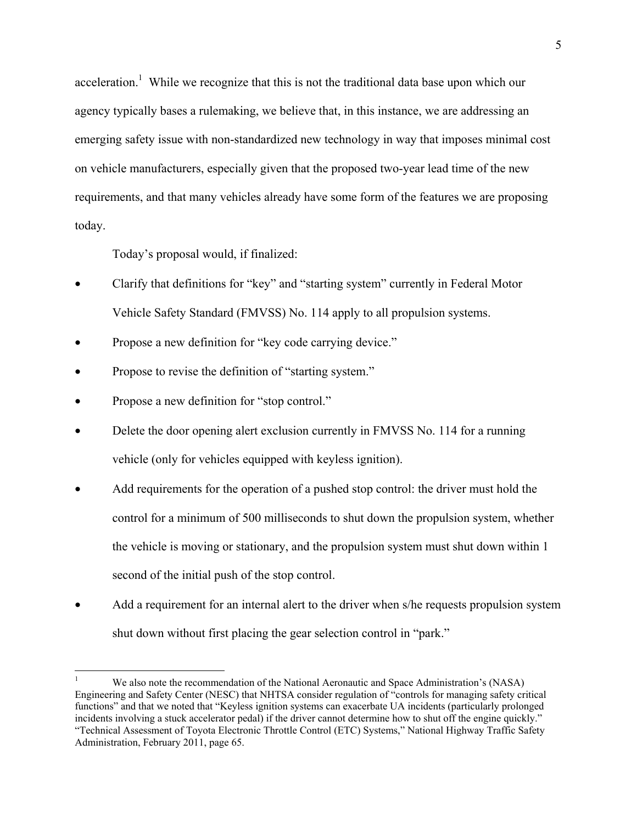acceleration.<sup>1</sup> While we recognize that this is not the traditional data base upon which our agency typically bases a rulemaking, we believe that, in this instance, we are addressing an emerging safety issue with non-standardized new technology in way that imposes minimal cost on vehicle manufacturers, especially given that the proposed two-year lead time of the new requirements, and that many vehicles already have some form of the features we are proposing today.

Today's proposal would, if finalized:

- Clarify that definitions for "key" and "starting system" currently in Federal Motor Vehicle Safety Standard (FMVSS) No. 114 apply to all propulsion systems.
- Propose a new definition for "key code carrying device."
- Propose to revise the definition of "starting system."
- Propose a new definition for "stop control."

 $\overline{a}$ 

- Delete the door opening alert exclusion currently in FMVSS No. 114 for a running vehicle (only for vehicles equipped with keyless ignition).
- Add requirements for the operation of a pushed stop control: the driver must hold the control for a minimum of 500 milliseconds to shut down the propulsion system, whether the vehicle is moving or stationary, and the propulsion system must shut down within 1 second of the initial push of the stop control.
- Add a requirement for an internal alert to the driver when s/he requests propulsion system shut down without first placing the gear selection control in "park."

<sup>1</sup> We also note the recommendation of the National Aeronautic and Space Administration's (NASA) Engineering and Safety Center (NESC) that NHTSA consider regulation of "controls for managing safety critical functions" and that we noted that "Keyless ignition systems can exacerbate UA incidents (particularly prolonged incidents involving a stuck accelerator pedal) if the driver cannot determine how to shut off the engine quickly." "Technical Assessment of Toyota Electronic Throttle Control (ETC) Systems," National Highway Traffic Safety Administration, February 2011, page 65.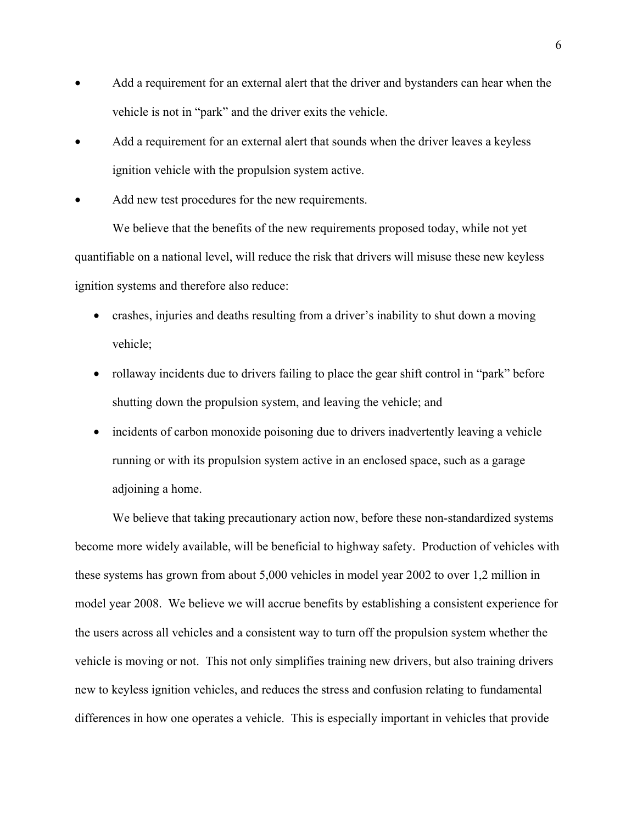- Add a requirement for an external alert that the driver and bystanders can hear when the vehicle is not in "park" and the driver exits the vehicle.
- Add a requirement for an external alert that sounds when the driver leaves a keyless ignition vehicle with the propulsion system active.
- Add new test procedures for the new requirements.

 We believe that the benefits of the new requirements proposed today, while not yet quantifiable on a national level, will reduce the risk that drivers will misuse these new keyless ignition systems and therefore also reduce:

- crashes, injuries and deaths resulting from a driver's inability to shut down a moving vehicle;
- rollaway incidents due to drivers failing to place the gear shift control in "park" before shutting down the propulsion system, and leaving the vehicle; and
- incidents of carbon monoxide poisoning due to drivers inadvertently leaving a vehicle running or with its propulsion system active in an enclosed space, such as a garage adjoining a home.

We believe that taking precautionary action now, before these non-standardized systems become more widely available, will be beneficial to highway safety. Production of vehicles with these systems has grown from about 5,000 vehicles in model year 2002 to over 1,2 million in model year 2008. We believe we will accrue benefits by establishing a consistent experience for the users across all vehicles and a consistent way to turn off the propulsion system whether the vehicle is moving or not. This not only simplifies training new drivers, but also training drivers new to keyless ignition vehicles, and reduces the stress and confusion relating to fundamental differences in how one operates a vehicle. This is especially important in vehicles that provide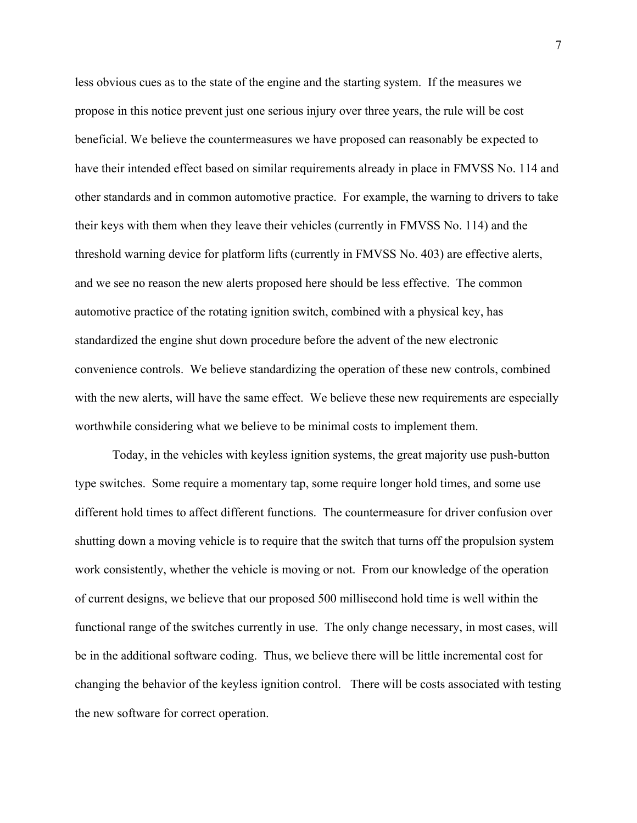less obvious cues as to the state of the engine and the starting system. If the measures we propose in this notice prevent just one serious injury over three years, the rule will be cost beneficial. We believe the countermeasures we have proposed can reasonably be expected to have their intended effect based on similar requirements already in place in FMVSS No. 114 and other standards and in common automotive practice. For example, the warning to drivers to take their keys with them when they leave their vehicles (currently in FMVSS No. 114) and the threshold warning device for platform lifts (currently in FMVSS No. 403) are effective alerts, and we see no reason the new alerts proposed here should be less effective. The common automotive practice of the rotating ignition switch, combined with a physical key, has standardized the engine shut down procedure before the advent of the new electronic convenience controls. We believe standardizing the operation of these new controls, combined with the new alerts, will have the same effect. We believe these new requirements are especially worthwhile considering what we believe to be minimal costs to implement them.

Today, in the vehicles with keyless ignition systems, the great majority use push-button type switches. Some require a momentary tap, some require longer hold times, and some use different hold times to affect different functions. The countermeasure for driver confusion over shutting down a moving vehicle is to require that the switch that turns off the propulsion system work consistently, whether the vehicle is moving or not. From our knowledge of the operation of current designs, we believe that our proposed 500 millisecond hold time is well within the functional range of the switches currently in use. The only change necessary, in most cases, will be in the additional software coding. Thus, we believe there will be little incremental cost for changing the behavior of the keyless ignition control. There will be costs associated with testing the new software for correct operation.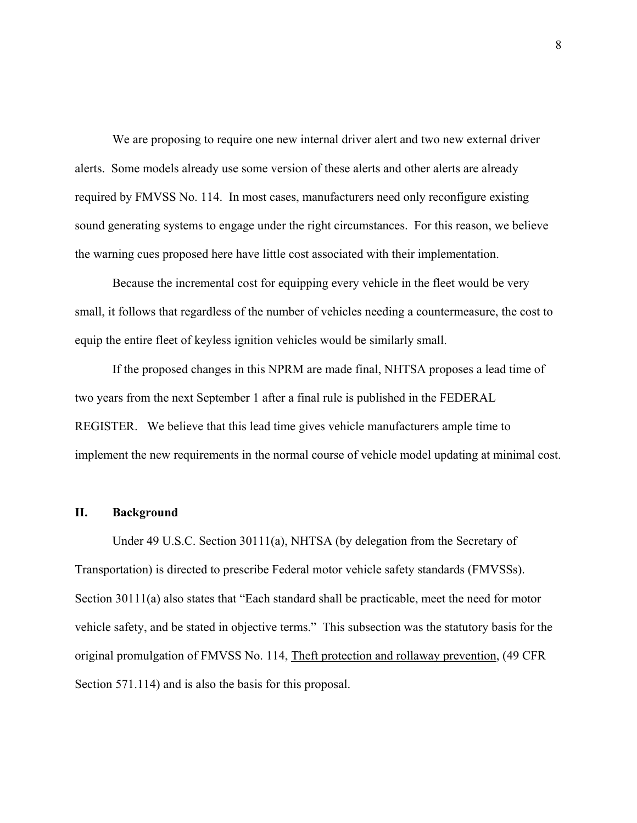We are proposing to require one new internal driver alert and two new external driver alerts. Some models already use some version of these alerts and other alerts are already required by FMVSS No. 114. In most cases, manufacturers need only reconfigure existing sound generating systems to engage under the right circumstances. For this reason, we believe the warning cues proposed here have little cost associated with their implementation.

 Because the incremental cost for equipping every vehicle in the fleet would be very small, it follows that regardless of the number of vehicles needing a countermeasure, the cost to equip the entire fleet of keyless ignition vehicles would be similarly small.

If the proposed changes in this NPRM are made final, NHTSA proposes a lead time of two years from the next September 1 after a final rule is published in the FEDERAL REGISTER. We believe that this lead time gives vehicle manufacturers ample time to implement the new requirements in the normal course of vehicle model updating at minimal cost.

## **II. Background**

Under 49 U.S.C. Section 30111(a), NHTSA (by delegation from the Secretary of Transportation) is directed to prescribe Federal motor vehicle safety standards (FMVSSs). Section 30111(a) also states that "Each standard shall be practicable, meet the need for motor vehicle safety, and be stated in objective terms." This subsection was the statutory basis for the original promulgation of FMVSS No. 114, Theft protection and rollaway prevention, (49 CFR Section 571.114) and is also the basis for this proposal.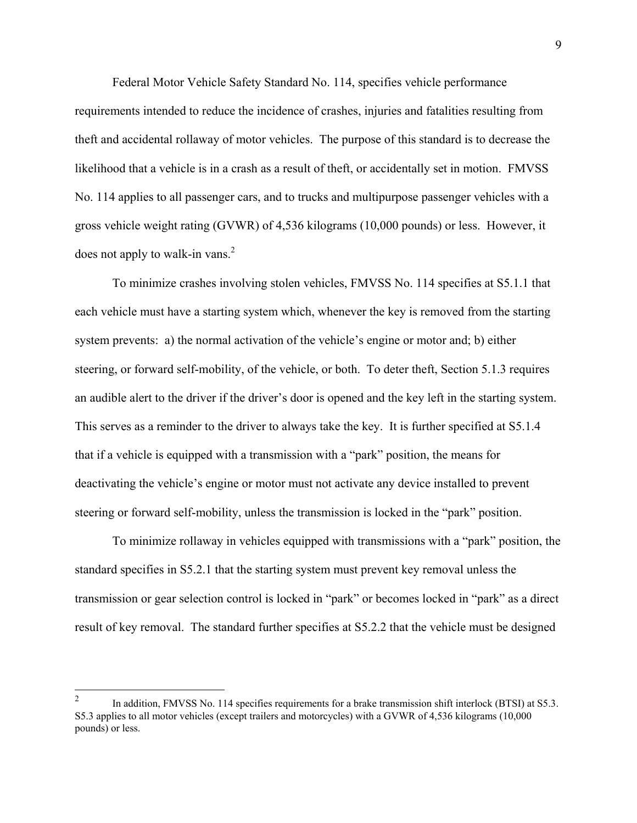Federal Motor Vehicle Safety Standard No. 114, specifies vehicle performance requirements intended to reduce the incidence of crashes, injuries and fatalities resulting from theft and accidental rollaway of motor vehicles. The purpose of this standard is to decrease the likelihood that a vehicle is in a crash as a result of theft, or accidentally set in motion. FMVSS No. 114 applies to all passenger cars, and to trucks and multipurpose passenger vehicles with a gross vehicle weight rating (GVWR) of 4,536 kilograms (10,000 pounds) or less. However, it does not apply to walk-in vans. $<sup>2</sup>$ </sup>

To minimize crashes involving stolen vehicles, FMVSS No. 114 specifies at S5.1.1 that each vehicle must have a starting system which, whenever the key is removed from the starting system prevents: a) the normal activation of the vehicle's engine or motor and; b) either steering, or forward self-mobility, of the vehicle, or both. To deter theft, Section 5.1.3 requires an audible alert to the driver if the driver's door is opened and the key left in the starting system. This serves as a reminder to the driver to always take the key. It is further specified at S5.1.4 that if a vehicle is equipped with a transmission with a "park" position, the means for deactivating the vehicle's engine or motor must not activate any device installed to prevent steering or forward self-mobility, unless the transmission is locked in the "park" position.

To minimize rollaway in vehicles equipped with transmissions with a "park" position, the standard specifies in S5.2.1 that the starting system must prevent key removal unless the transmission or gear selection control is locked in "park" or becomes locked in "park" as a direct result of key removal. The standard further specifies at S5.2.2 that the vehicle must be designed

 $\frac{1}{2}$  In addition, FMVSS No. 114 specifies requirements for a brake transmission shift interlock (BTSI) at S5.3. S5.3 applies to all motor vehicles (except trailers and motorcycles) with a GVWR of 4,536 kilograms (10,000 pounds) or less.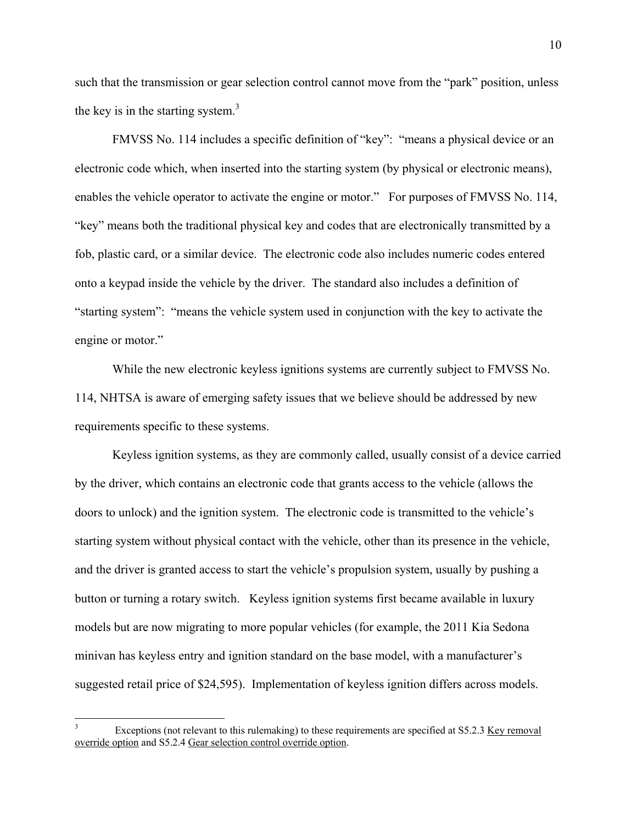such that the transmission or gear selection control cannot move from the "park" position, unless the key is in the starting system. $3$ 

FMVSS No. 114 includes a specific definition of "key": "means a physical device or an electronic code which, when inserted into the starting system (by physical or electronic means), enables the vehicle operator to activate the engine or motor." For purposes of FMVSS No. 114, "key" means both the traditional physical key and codes that are electronically transmitted by a fob, plastic card, or a similar device. The electronic code also includes numeric codes entered onto a keypad inside the vehicle by the driver. The standard also includes a definition of "starting system": "means the vehicle system used in conjunction with the key to activate the engine or motor."

While the new electronic keyless ignitions systems are currently subject to FMVSS No. 114, NHTSA is aware of emerging safety issues that we believe should be addressed by new requirements specific to these systems.

Keyless ignition systems, as they are commonly called, usually consist of a device carried by the driver, which contains an electronic code that grants access to the vehicle (allows the doors to unlock) and the ignition system. The electronic code is transmitted to the vehicle's starting system without physical contact with the vehicle, other than its presence in the vehicle, and the driver is granted access to start the vehicle's propulsion system, usually by pushing a button or turning a rotary switch. Keyless ignition systems first became available in luxury models but are now migrating to more popular vehicles (for example, the 2011 Kia Sedona minivan has keyless entry and ignition standard on the base model, with a manufacturer's suggested retail price of \$24,595). Implementation of keyless ignition differs across models.

1

<sup>3</sup> Exceptions (not relevant to this rulemaking) to these requirements are specified at S5.2.3 Key removal override option and S5.2.4 Gear selection control override option.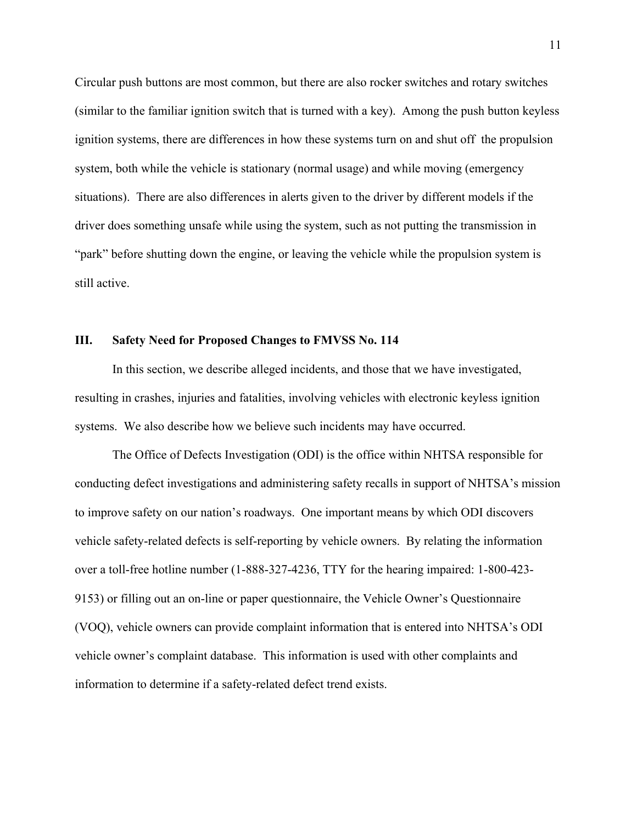Circular push buttons are most common, but there are also rocker switches and rotary switches (similar to the familiar ignition switch that is turned with a key). Among the push button keyless ignition systems, there are differences in how these systems turn on and shut off the propulsion system, both while the vehicle is stationary (normal usage) and while moving (emergency situations). There are also differences in alerts given to the driver by different models if the driver does something unsafe while using the system, such as not putting the transmission in "park" before shutting down the engine, or leaving the vehicle while the propulsion system is still active.

## **III. Safety Need for Proposed Changes to FMVSS No. 114**

 In this section, we describe alleged incidents, and those that we have investigated, resulting in crashes, injuries and fatalities, involving vehicles with electronic keyless ignition systems. We also describe how we believe such incidents may have occurred.

The Office of Defects Investigation (ODI) is the office within NHTSA responsible for conducting defect investigations and administering safety recalls in support of NHTSA's mission to improve safety on our nation's roadways. One important means by which ODI discovers vehicle safety-related defects is self-reporting by vehicle owners. By relating the information over a toll-free hotline number (1-888-327-4236, TTY for the hearing impaired: 1-800-423- 9153) or filling out an on-line or paper questionnaire, the Vehicle Owner's Questionnaire (VOQ), vehicle owners can provide complaint information that is entered into NHTSA's ODI vehicle owner's complaint database. This information is used with other complaints and information to determine if a safety-related defect trend exists.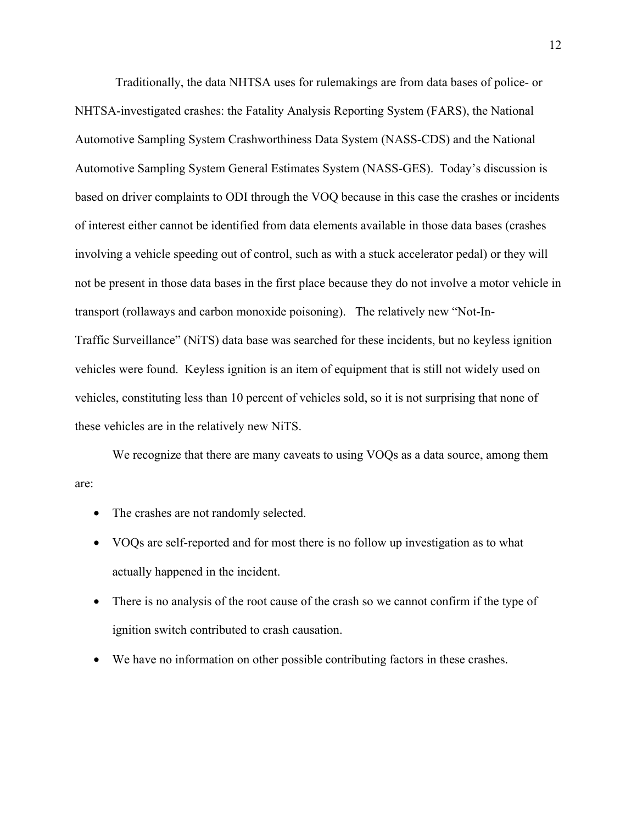Traditionally, the data NHTSA uses for rulemakings are from data bases of police- or NHTSA-investigated crashes: the Fatality Analysis Reporting System (FARS), the National Automotive Sampling System Crashworthiness Data System (NASS-CDS) and the National Automotive Sampling System General Estimates System (NASS-GES). Today's discussion is based on driver complaints to ODI through the VOQ because in this case the crashes or incidents of interest either cannot be identified from data elements available in those data bases (crashes involving a vehicle speeding out of control, such as with a stuck accelerator pedal) or they will not be present in those data bases in the first place because they do not involve a motor vehicle in transport (rollaways and carbon monoxide poisoning). The relatively new "Not-In-Traffic Surveillance" (NiTS) data base was searched for these incidents, but no keyless ignition vehicles were found. Keyless ignition is an item of equipment that is still not widely used on vehicles, constituting less than 10 percent of vehicles sold, so it is not surprising that none of these vehicles are in the relatively new NiTS.

We recognize that there are many caveats to using VOQs as a data source, among them are:

- The crashes are not randomly selected.
- VOQs are self-reported and for most there is no follow up investigation as to what actually happened in the incident.
- There is no analysis of the root cause of the crash so we cannot confirm if the type of ignition switch contributed to crash causation.
- We have no information on other possible contributing factors in these crashes.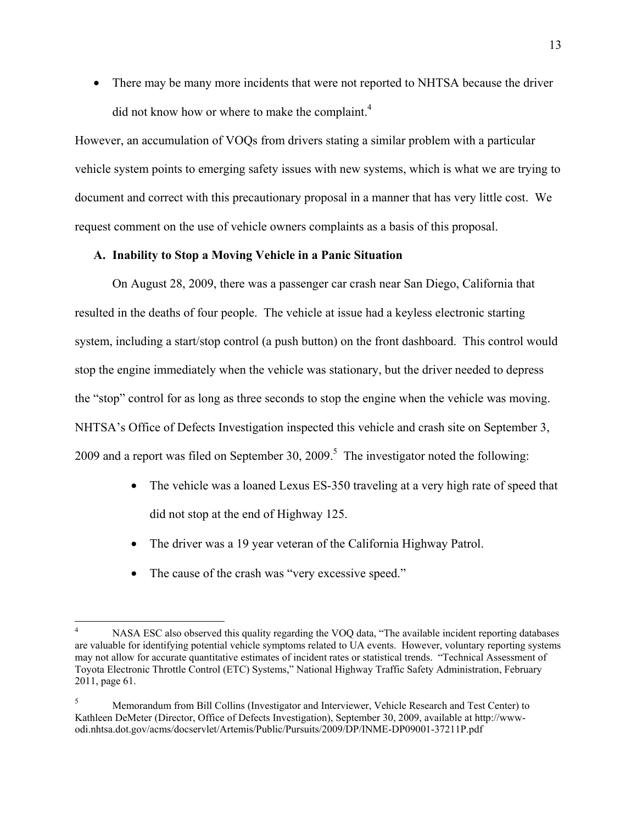• There may be many more incidents that were not reported to NHTSA because the driver did not know how or where to make the complaint.<sup>4</sup>

However, an accumulation of VOQs from drivers stating a similar problem with a particular vehicle system points to emerging safety issues with new systems, which is what we are trying to document and correct with this precautionary proposal in a manner that has very little cost. We request comment on the use of vehicle owners complaints as a basis of this proposal.

## **A. Inability to Stop a Moving Vehicle in a Panic Situation**

On August 28, 2009, there was a passenger car crash near San Diego, California that resulted in the deaths of four people. The vehicle at issue had a keyless electronic starting system, including a start/stop control (a push button) on the front dashboard. This control would stop the engine immediately when the vehicle was stationary, but the driver needed to depress the "stop" control for as long as three seconds to stop the engine when the vehicle was moving. NHTSA's Office of Defects Investigation inspected this vehicle and crash site on September 3, 2009 and a report was filed on September 30, 2009.<sup>5</sup> The investigator noted the following:

- The vehicle was a loaned Lexus ES-350 traveling at a very high rate of speed that did not stop at the end of Highway 125.
- The driver was a 19 year veteran of the California Highway Patrol.
- The cause of the crash was "very excessive speed."

1

<sup>4</sup> NASA ESC also observed this quality regarding the VOQ data, "The available incident reporting databases are valuable for identifying potential vehicle symptoms related to UA events. However, voluntary reporting systems may not allow for accurate quantitative estimates of incident rates or statistical trends. "Technical Assessment of Toyota Electronic Throttle Control (ETC) Systems," National Highway Traffic Safety Administration, February 2011, page 61.

<sup>5</sup> Memorandum from Bill Collins (Investigator and Interviewer, Vehicle Research and Test Center) to Kathleen DeMeter (Director, Office of Defects Investigation), September 30, 2009, available at http://wwwodi.nhtsa.dot.gov/acms/docservlet/Artemis/Public/Pursuits/2009/DP/INME-DP09001-37211P.pdf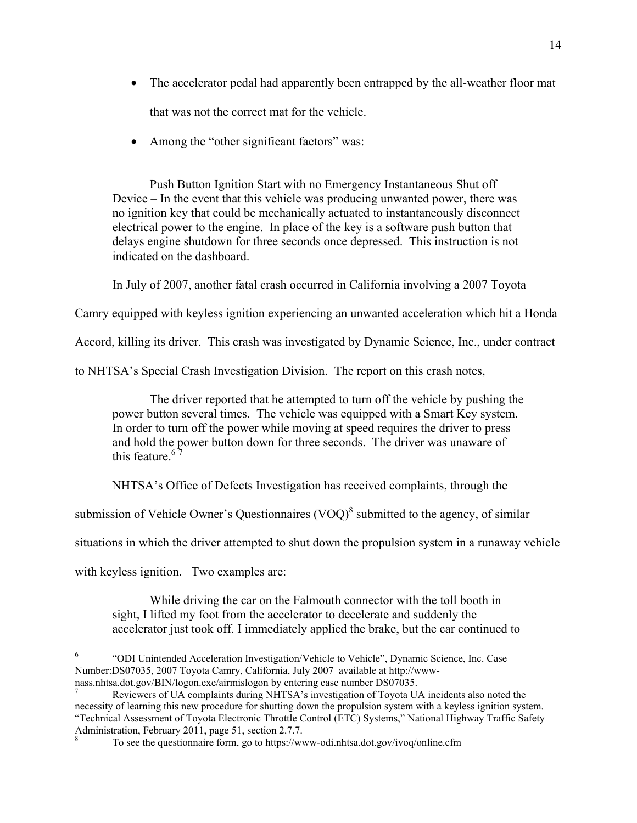- The accelerator pedal had apparently been entrapped by the all-weather floor mat that was not the correct mat for the vehicle.
- Among the "other significant factors" was:

Push Button Ignition Start with no Emergency Instantaneous Shut off Device – In the event that this vehicle was producing unwanted power, there was no ignition key that could be mechanically actuated to instantaneously disconnect electrical power to the engine. In place of the key is a software push button that delays engine shutdown for three seconds once depressed. This instruction is not indicated on the dashboard.

In July of 2007, another fatal crash occurred in California involving a 2007 Toyota

Camry equipped with keyless ignition experiencing an unwanted acceleration which hit a Honda

Accord, killing its driver. This crash was investigated by Dynamic Science, Inc., under contract

to NHTSA's Special Crash Investigation Division. The report on this crash notes,

The driver reported that he attempted to turn off the vehicle by pushing the power button several times. The vehicle was equipped with a Smart Key system. In order to turn off the power while moving at speed requires the driver to press and hold the power button down for three seconds. The driver was unaware of this feature  $67$ 

NHTSA's Office of Defects Investigation has received complaints, through the

submission of Vehicle Owner's Questionnaires  $(VOQ)^8$  submitted to the agency, of similar

situations in which the driver attempted to shut down the propulsion system in a runaway vehicle

with keyless ignition. Two examples are:

 $\overline{a}$ 

While driving the car on the Falmouth connector with the toll booth in sight, I lifted my foot from the accelerator to decelerate and suddenly the accelerator just took off. I immediately applied the brake, but the car continued to

<sup>6</sup> "ODI Unintended Acceleration Investigation/Vehicle to Vehicle", Dynamic Science, Inc. Case Number:DS07035, 2007 Toyota Camry, California, July 2007 available at http://wwwnass.nhtsa.dot.gov/BIN/logon.exe/airmislogon by entering case number DS07035. <sup>7</sup>

Reviewers of UA complaints during NHTSA's investigation of Toyota UA incidents also noted the necessity of learning this new procedure for shutting down the propulsion system with a keyless ignition system. "Technical Assessment of Toyota Electronic Throttle Control (ETC) Systems," National Highway Traffic Safety Administration, February 2011, page 51, section 2.7.7.

<sup>8</sup> To see the questionnaire form, go to https://www-odi.nhtsa.dot.gov/ivoq/online.cfm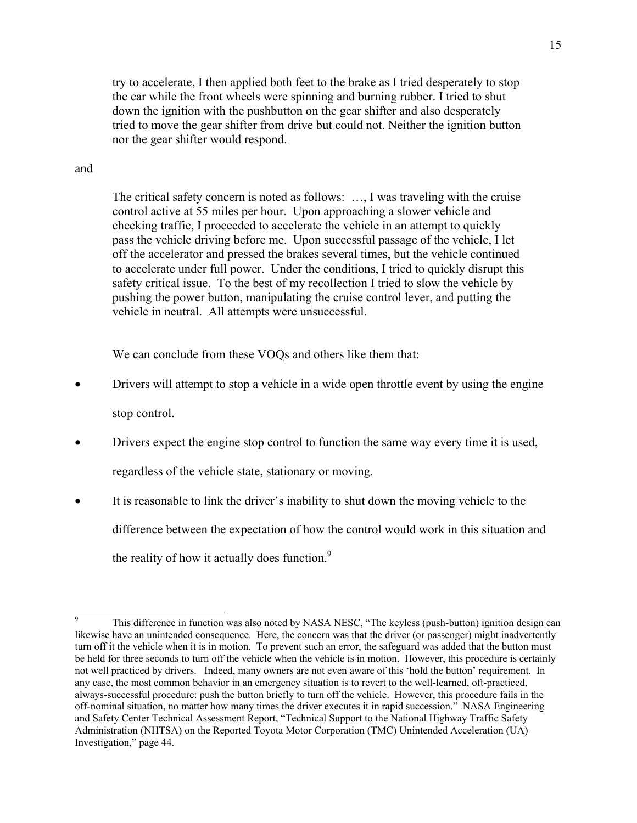try to accelerate, I then applied both feet to the brake as I tried desperately to stop the car while the front wheels were spinning and burning rubber. I tried to shut down the ignition with the pushbutton on the gear shifter and also desperately tried to move the gear shifter from drive but could not. Neither the ignition button nor the gear shifter would respond.

## and

 $\overline{a}$ 

The critical safety concern is noted as follows: …, I was traveling with the cruise control active at 55 miles per hour. Upon approaching a slower vehicle and checking traffic, I proceeded to accelerate the vehicle in an attempt to quickly pass the vehicle driving before me. Upon successful passage of the vehicle, I let off the accelerator and pressed the brakes several times, but the vehicle continued to accelerate under full power. Under the conditions, I tried to quickly disrupt this safety critical issue. To the best of my recollection I tried to slow the vehicle by pushing the power button, manipulating the cruise control lever, and putting the vehicle in neutral. All attempts were unsuccessful.

We can conclude from these VOQs and others like them that:

- Drivers will attempt to stop a vehicle in a wide open throttle event by using the engine stop control.
- Drivers expect the engine stop control to function the same way every time it is used, regardless of the vehicle state, stationary or moving.
- It is reasonable to link the driver's inability to shut down the moving vehicle to the difference between the expectation of how the control would work in this situation and the reality of how it actually does function.<sup>9</sup>

<sup>9</sup> This difference in function was also noted by NASA NESC, "The keyless (push-button) ignition design can likewise have an unintended consequence. Here, the concern was that the driver (or passenger) might inadvertently turn off it the vehicle when it is in motion. To prevent such an error, the safeguard was added that the button must be held for three seconds to turn off the vehicle when the vehicle is in motion. However, this procedure is certainly not well practiced by drivers. Indeed, many owners are not even aware of this 'hold the button' requirement. In any case, the most common behavior in an emergency situation is to revert to the well-learned, oft-practiced, always-successful procedure: push the button briefly to turn off the vehicle. However, this procedure fails in the off-nominal situation, no matter how many times the driver executes it in rapid succession." NASA Engineering and Safety Center Technical Assessment Report, "Technical Support to the National Highway Traffic Safety Administration (NHTSA) on the Reported Toyota Motor Corporation (TMC) Unintended Acceleration (UA) Investigation," page 44.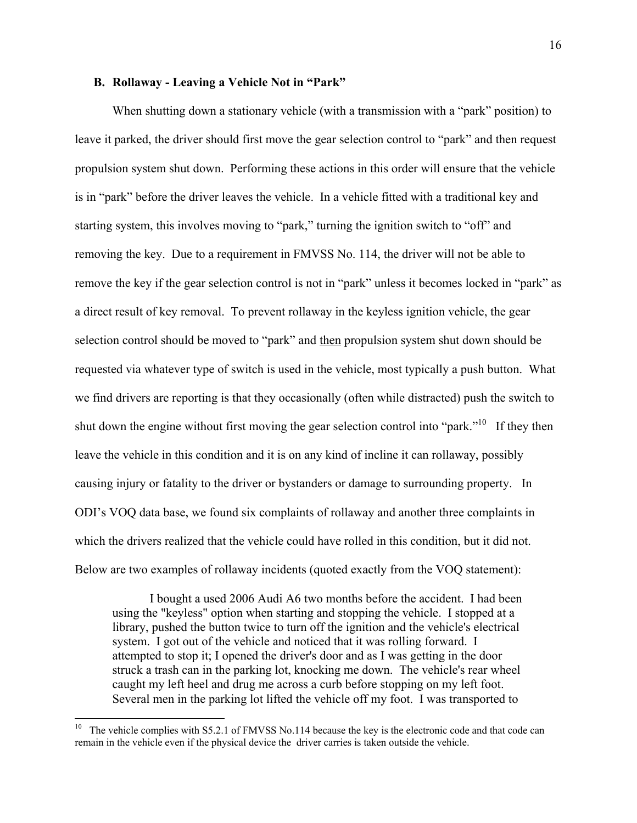## **B. Rollaway - Leaving a Vehicle Not in "Park"**

When shutting down a stationary vehicle (with a transmission with a "park" position) to leave it parked, the driver should first move the gear selection control to "park" and then request propulsion system shut down. Performing these actions in this order will ensure that the vehicle is in "park" before the driver leaves the vehicle. In a vehicle fitted with a traditional key and starting system, this involves moving to "park," turning the ignition switch to "off" and removing the key. Due to a requirement in FMVSS No. 114, the driver will not be able to remove the key if the gear selection control is not in "park" unless it becomes locked in "park" as a direct result of key removal. To prevent rollaway in the keyless ignition vehicle, the gear selection control should be moved to "park" and then propulsion system shut down should be requested via whatever type of switch is used in the vehicle, most typically a push button. What we find drivers are reporting is that they occasionally (often while distracted) push the switch to shut down the engine without first moving the gear selection control into "park."<sup>10</sup> If they then leave the vehicle in this condition and it is on any kind of incline it can rollaway, possibly causing injury or fatality to the driver or bystanders or damage to surrounding property. In ODI's VOQ data base, we found six complaints of rollaway and another three complaints in which the drivers realized that the vehicle could have rolled in this condition, but it did not. Below are two examples of rollaway incidents (quoted exactly from the VOQ statement):

 I bought a used 2006 Audi A6 two months before the accident. I had been using the "keyless" option when starting and stopping the vehicle. I stopped at a library, pushed the button twice to turn off the ignition and the vehicle's electrical system. I got out of the vehicle and noticed that it was rolling forward. I attempted to stop it; I opened the driver's door and as I was getting in the door struck a trash can in the parking lot, knocking me down. The vehicle's rear wheel caught my left heel and drug me across a curb before stopping on my left foot. Several men in the parking lot lifted the vehicle off my foot. I was transported to

 $\overline{a}$ 

<sup>&</sup>lt;sup>10</sup> The vehicle complies with S5.2.1 of FMVSS No.114 because the key is the electronic code and that code can remain in the vehicle even if the physical device the driver carries is taken outside the vehicle.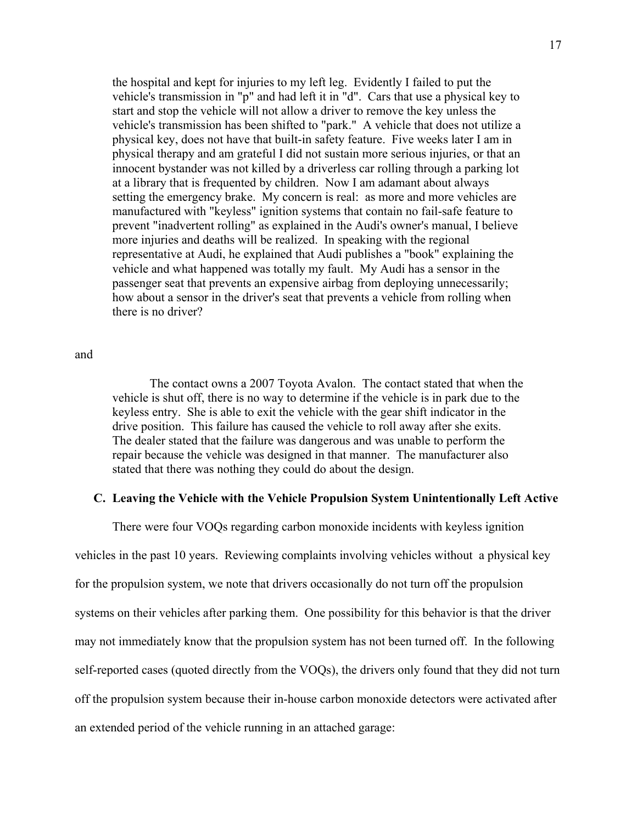the hospital and kept for injuries to my left leg. Evidently I failed to put the vehicle's transmission in "p" and had left it in "d". Cars that use a physical key to start and stop the vehicle will not allow a driver to remove the key unless the vehicle's transmission has been shifted to "park." A vehicle that does not utilize a physical key, does not have that built-in safety feature. Five weeks later I am in physical therapy and am grateful I did not sustain more serious injuries, or that an innocent bystander was not killed by a driverless car rolling through a parking lot at a library that is frequented by children. Now I am adamant about always setting the emergency brake. My concern is real: as more and more vehicles are manufactured with "keyless" ignition systems that contain no fail-safe feature to prevent "inadvertent rolling" as explained in the Audi's owner's manual, I believe more injuries and deaths will be realized. In speaking with the regional representative at Audi, he explained that Audi publishes a "book" explaining the vehicle and what happened was totally my fault. My Audi has a sensor in the passenger seat that prevents an expensive airbag from deploying unnecessarily; how about a sensor in the driver's seat that prevents a vehicle from rolling when there is no driver?

and

 The contact owns a 2007 Toyota Avalon. The contact stated that when the vehicle is shut off, there is no way to determine if the vehicle is in park due to the keyless entry. She is able to exit the vehicle with the gear shift indicator in the drive position. This failure has caused the vehicle to roll away after she exits. The dealer stated that the failure was dangerous and was unable to perform the repair because the vehicle was designed in that manner. The manufacturer also stated that there was nothing they could do about the design.

## **C. Leaving the Vehicle with the Vehicle Propulsion System Unintentionally Left Active**

There were four VOQs regarding carbon monoxide incidents with keyless ignition

vehicles in the past 10 years. Reviewing complaints involving vehicles without a physical key for the propulsion system, we note that drivers occasionally do not turn off the propulsion systems on their vehicles after parking them. One possibility for this behavior is that the driver may not immediately know that the propulsion system has not been turned off. In the following self-reported cases (quoted directly from the VOQs), the drivers only found that they did not turn off the propulsion system because their in-house carbon monoxide detectors were activated after an extended period of the vehicle running in an attached garage: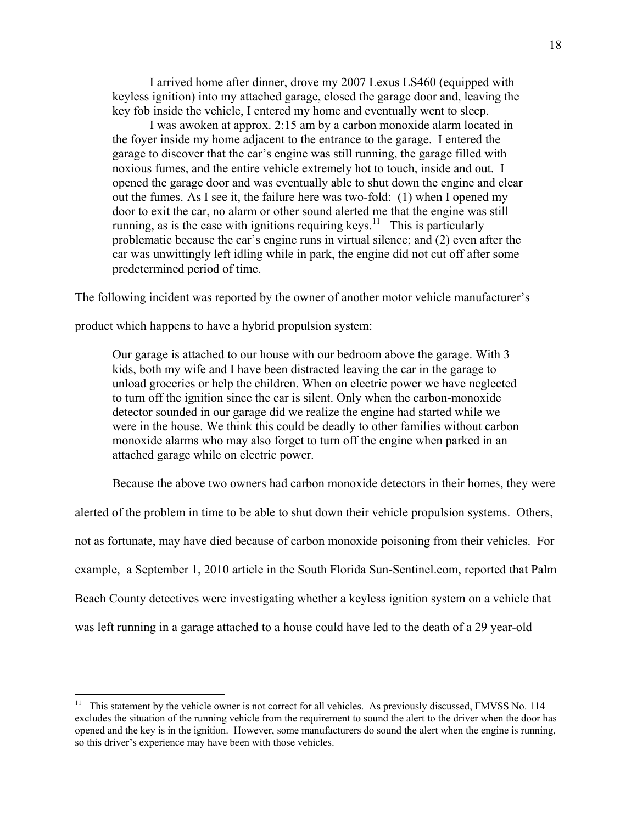I arrived home after dinner, drove my 2007 Lexus LS460 (equipped with keyless ignition) into my attached garage, closed the garage door and, leaving the key fob inside the vehicle, I entered my home and eventually went to sleep.

 I was awoken at approx. 2:15 am by a carbon monoxide alarm located in the foyer inside my home adjacent to the entrance to the garage. I entered the garage to discover that the car's engine was still running, the garage filled with noxious fumes, and the entire vehicle extremely hot to touch, inside and out. I opened the garage door and was eventually able to shut down the engine and clear out the fumes. As I see it, the failure here was two-fold: (1) when I opened my door to exit the car, no alarm or other sound alerted me that the engine was still running, as is the case with ignitions requiring keys.<sup>11</sup> This is particularly problematic because the car's engine runs in virtual silence; and (2) even after the car was unwittingly left idling while in park, the engine did not cut off after some predetermined period of time.

The following incident was reported by the owner of another motor vehicle manufacturer's

product which happens to have a hybrid propulsion system:

 $\overline{a}$ 

Our garage is attached to our house with our bedroom above the garage. With 3 kids, both my wife and I have been distracted leaving the car in the garage to unload groceries or help the children. When on electric power we have neglected to turn off the ignition since the car is silent. Only when the carbon-monoxide detector sounded in our garage did we realize the engine had started while we were in the house. We think this could be deadly to other families without carbon monoxide alarms who may also forget to turn off the engine when parked in an attached garage while on electric power.

Because the above two owners had carbon monoxide detectors in their homes, they were

alerted of the problem in time to be able to shut down their vehicle propulsion systems. Others, not as fortunate, may have died because of carbon monoxide poisoning from their vehicles. For example, a September 1, 2010 article in the South Florida Sun-Sentinel.com, reported that Palm Beach County detectives were investigating whether a keyless ignition system on a vehicle that was left running in a garage attached to a house could have led to the death of a 29 year-old

<sup>&</sup>lt;sup>11</sup> This statement by the vehicle owner is not correct for all vehicles. As previously discussed, FMVSS No. 114 excludes the situation of the running vehicle from the requirement to sound the alert to the driver when the door has opened and the key is in the ignition. However, some manufacturers do sound the alert when the engine is running, so this driver's experience may have been with those vehicles.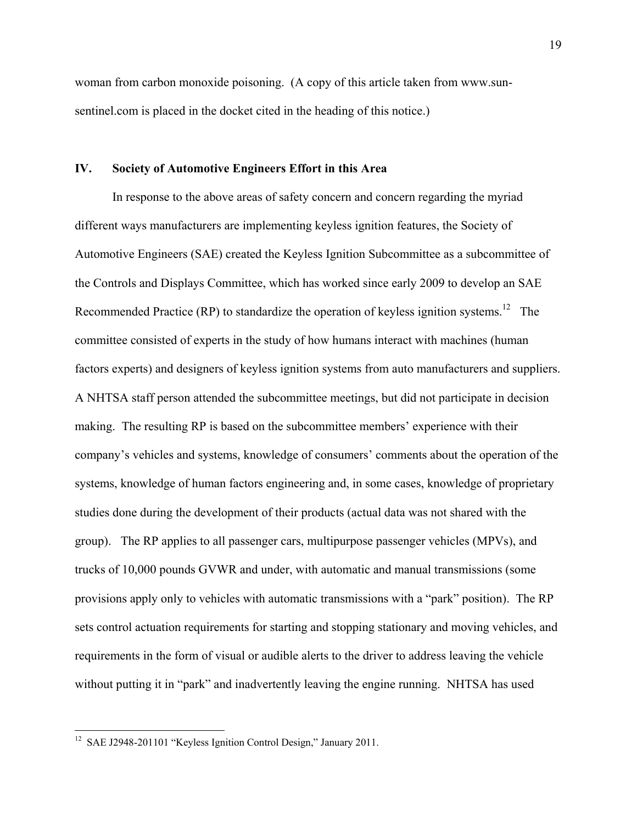woman from carbon monoxide poisoning. (A copy of this article taken from www.sunsentinel.com is placed in the docket cited in the heading of this notice.)

## **IV. Society of Automotive Engineers Effort in this Area**

 In response to the above areas of safety concern and concern regarding the myriad different ways manufacturers are implementing keyless ignition features, the Society of Automotive Engineers (SAE) created the Keyless Ignition Subcommittee as a subcommittee of the Controls and Displays Committee, which has worked since early 2009 to develop an SAE Recommended Practice (RP) to standardize the operation of keyless ignition systems.<sup>12</sup> The committee consisted of experts in the study of how humans interact with machines (human factors experts) and designers of keyless ignition systems from auto manufacturers and suppliers. A NHTSA staff person attended the subcommittee meetings, but did not participate in decision making. The resulting RP is based on the subcommittee members' experience with their company's vehicles and systems, knowledge of consumers' comments about the operation of the systems, knowledge of human factors engineering and, in some cases, knowledge of proprietary studies done during the development of their products (actual data was not shared with the group). The RP applies to all passenger cars, multipurpose passenger vehicles (MPVs), and trucks of 10,000 pounds GVWR and under, with automatic and manual transmissions (some provisions apply only to vehicles with automatic transmissions with a "park" position). The RP sets control actuation requirements for starting and stopping stationary and moving vehicles, and requirements in the form of visual or audible alerts to the driver to address leaving the vehicle without putting it in "park" and inadvertently leaving the engine running. NHTSA has used

 $\overline{a}$ 

<sup>&</sup>lt;sup>12</sup> SAE J2948-201101 "Keyless Ignition Control Design," January 2011.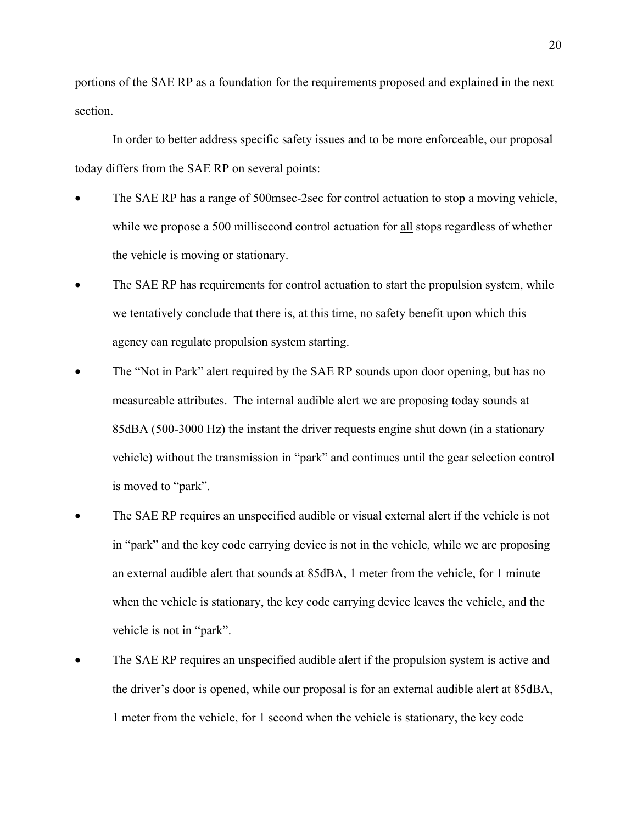portions of the SAE RP as a foundation for the requirements proposed and explained in the next section.

 In order to better address specific safety issues and to be more enforceable, our proposal today differs from the SAE RP on several points:

- The SAE RP has a range of 500msec-2sec for control actuation to stop a moving vehicle, while we propose a 500 millisecond control actuation for all stops regardless of whether the vehicle is moving or stationary.
- The SAE RP has requirements for control actuation to start the propulsion system, while we tentatively conclude that there is, at this time, no safety benefit upon which this agency can regulate propulsion system starting.
- The "Not in Park" alert required by the SAE RP sounds upon door opening, but has no measureable attributes. The internal audible alert we are proposing today sounds at 85dBA (500-3000 Hz) the instant the driver requests engine shut down (in a stationary vehicle) without the transmission in "park" and continues until the gear selection control is moved to "park".
- The SAE RP requires an unspecified audible or visual external alert if the vehicle is not in "park" and the key code carrying device is not in the vehicle, while we are proposing an external audible alert that sounds at 85dBA, 1 meter from the vehicle, for 1 minute when the vehicle is stationary, the key code carrying device leaves the vehicle, and the vehicle is not in "park".
- The SAE RP requires an unspecified audible alert if the propulsion system is active and the driver's door is opened, while our proposal is for an external audible alert at 85dBA, 1 meter from the vehicle, for 1 second when the vehicle is stationary, the key code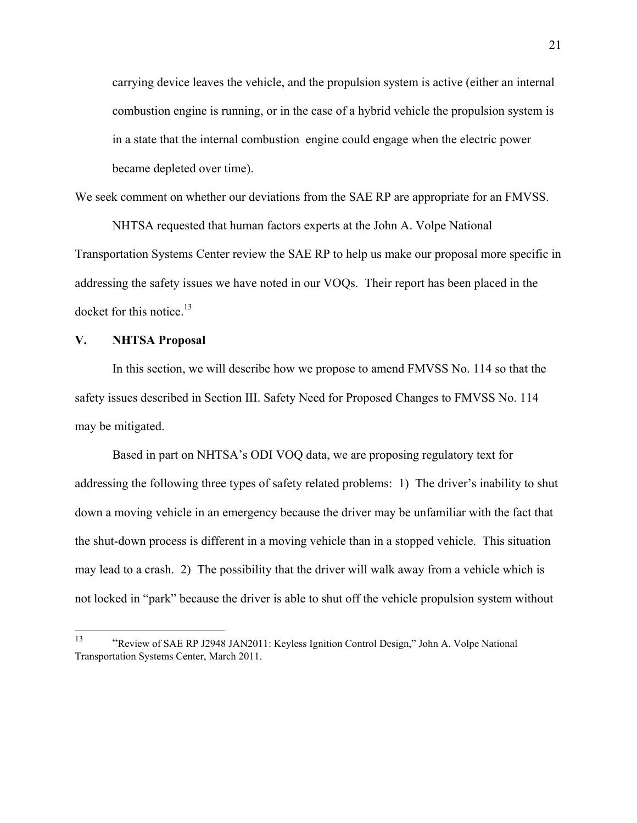carrying device leaves the vehicle, and the propulsion system is active (either an internal combustion engine is running, or in the case of a hybrid vehicle the propulsion system is in a state that the internal combustion engine could engage when the electric power became depleted over time).

We seek comment on whether our deviations from the SAE RP are appropriate for an FMVSS.

 NHTSA requested that human factors experts at the John A. Volpe National Transportation Systems Center review the SAE RP to help us make our proposal more specific in addressing the safety issues we have noted in our VOQs. Their report has been placed in the docket for this notice. $^{13}$ 

## **V. NHTSA Proposal**

In this section, we will describe how we propose to amend FMVSS No. 114 so that the safety issues described in Section III. Safety Need for Proposed Changes to FMVSS No. 114 may be mitigated.

Based in part on NHTSA's ODI VOQ data, we are proposing regulatory text for addressing the following three types of safety related problems: 1) The driver's inability to shut down a moving vehicle in an emergency because the driver may be unfamiliar with the fact that the shut-down process is different in a moving vehicle than in a stopped vehicle. This situation may lead to a crash. 2) The possibility that the driver will walk away from a vehicle which is not locked in "park" because the driver is able to shut off the vehicle propulsion system without

<sup>13</sup> 13 "Review of SAE RP J2948 JAN2011: Keyless Ignition Control Design," John A. Volpe National Transportation Systems Center, March 2011.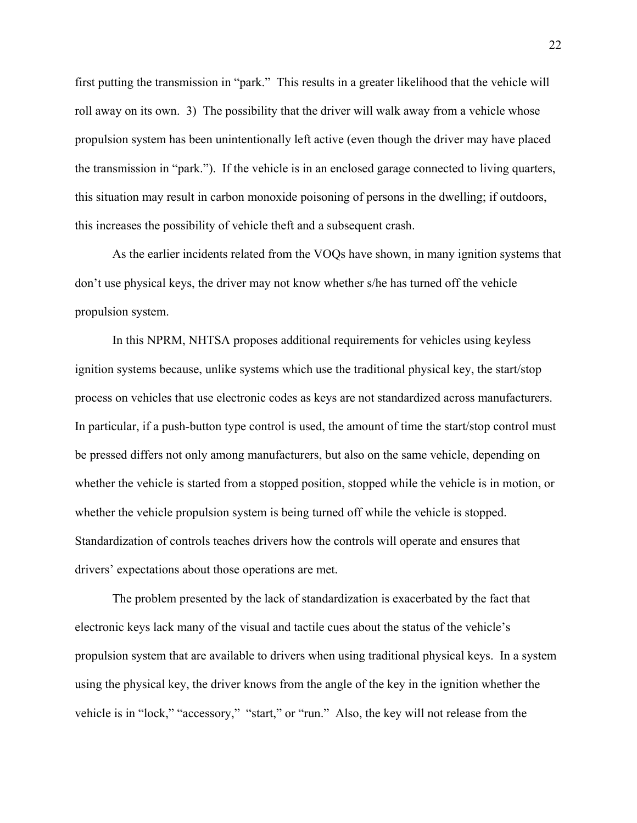first putting the transmission in "park." This results in a greater likelihood that the vehicle will roll away on its own. 3) The possibility that the driver will walk away from a vehicle whose propulsion system has been unintentionally left active (even though the driver may have placed the transmission in "park."). If the vehicle is in an enclosed garage connected to living quarters, this situation may result in carbon monoxide poisoning of persons in the dwelling; if outdoors, this increases the possibility of vehicle theft and a subsequent crash.

As the earlier incidents related from the VOQs have shown, in many ignition systems that don't use physical keys, the driver may not know whether s/he has turned off the vehicle propulsion system.

 In this NPRM, NHTSA proposes additional requirements for vehicles using keyless ignition systems because, unlike systems which use the traditional physical key, the start/stop process on vehicles that use electronic codes as keys are not standardized across manufacturers. In particular, if a push-button type control is used, the amount of time the start/stop control must be pressed differs not only among manufacturers, but also on the same vehicle, depending on whether the vehicle is started from a stopped position, stopped while the vehicle is in motion, or whether the vehicle propulsion system is being turned off while the vehicle is stopped. Standardization of controls teaches drivers how the controls will operate and ensures that drivers' expectations about those operations are met.

The problem presented by the lack of standardization is exacerbated by the fact that electronic keys lack many of the visual and tactile cues about the status of the vehicle's propulsion system that are available to drivers when using traditional physical keys. In a system using the physical key, the driver knows from the angle of the key in the ignition whether the vehicle is in "lock," "accessory," "start," or "run." Also, the key will not release from the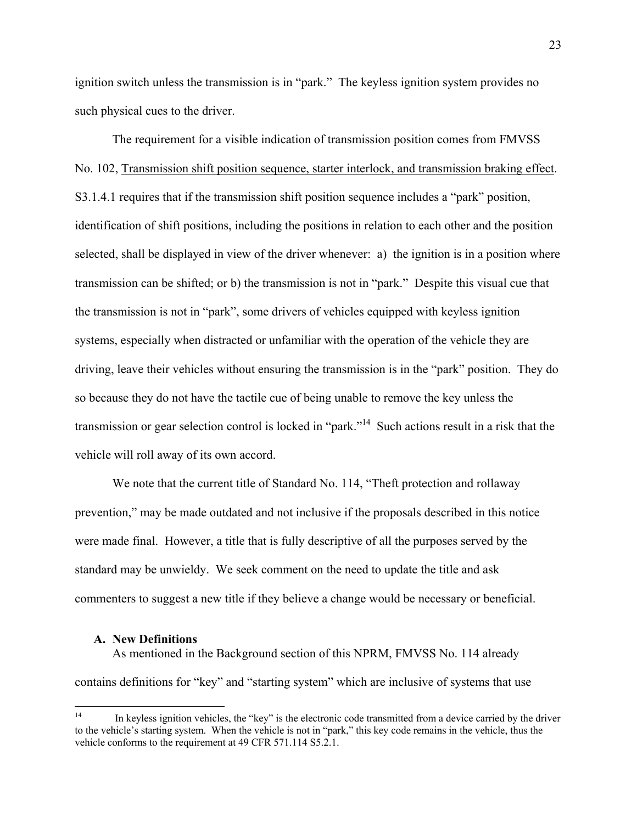ignition switch unless the transmission is in "park." The keyless ignition system provides no such physical cues to the driver.

The requirement for a visible indication of transmission position comes from FMVSS No. 102, Transmission shift position sequence, starter interlock, and transmission braking effect. S3.1.4.1 requires that if the transmission shift position sequence includes a "park" position, identification of shift positions, including the positions in relation to each other and the position selected, shall be displayed in view of the driver whenever: a) the ignition is in a position where transmission can be shifted; or b) the transmission is not in "park." Despite this visual cue that the transmission is not in "park", some drivers of vehicles equipped with keyless ignition systems, especially when distracted or unfamiliar with the operation of the vehicle they are driving, leave their vehicles without ensuring the transmission is in the "park" position. They do so because they do not have the tactile cue of being unable to remove the key unless the transmission or gear selection control is locked in "park."14 Such actions result in a risk that the vehicle will roll away of its own accord.

We note that the current title of Standard No. 114, "Theft protection and rollaway prevention," may be made outdated and not inclusive if the proposals described in this notice were made final. However, a title that is fully descriptive of all the purposes served by the standard may be unwieldy. We seek comment on the need to update the title and ask commenters to suggest a new title if they believe a change would be necessary or beneficial.

#### **A. New Definitions**

As mentioned in the Background section of this NPRM, FMVSS No. 114 already contains definitions for "key" and "starting system" which are inclusive of systems that use

 $14$ In keyless ignition vehicles, the "key" is the electronic code transmitted from a device carried by the driver to the vehicle's starting system. When the vehicle is not in "park," this key code remains in the vehicle, thus the vehicle conforms to the requirement at 49 CFR 571.114 S5.2.1.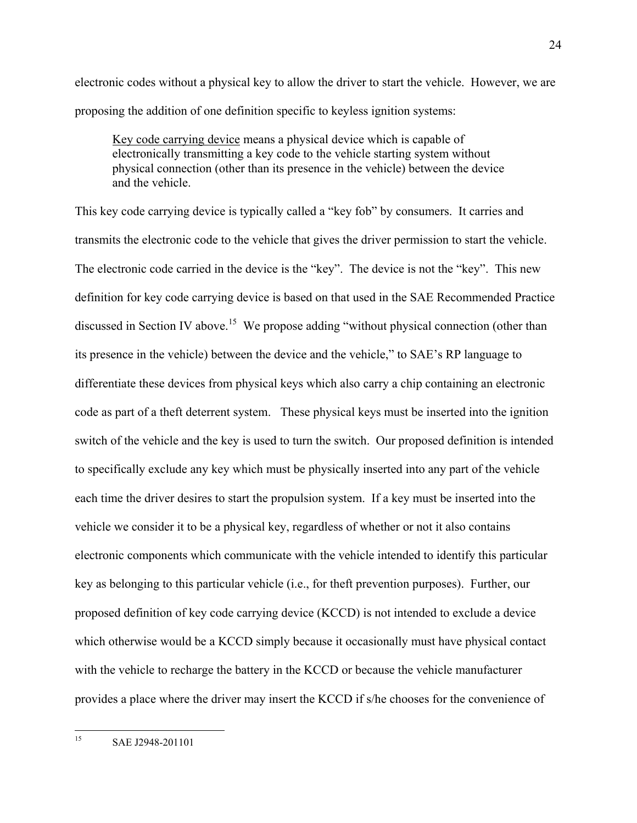electronic codes without a physical key to allow the driver to start the vehicle. However, we are proposing the addition of one definition specific to keyless ignition systems:

Key code carrying device means a physical device which is capable of electronically transmitting a key code to the vehicle starting system without physical connection (other than its presence in the vehicle) between the device and the vehicle.

This key code carrying device is typically called a "key fob" by consumers. It carries and transmits the electronic code to the vehicle that gives the driver permission to start the vehicle. The electronic code carried in the device is the "key". The device is not the "key". This new definition for key code carrying device is based on that used in the SAE Recommended Practice discussed in Section IV above.<sup>15</sup> We propose adding "without physical connection (other than its presence in the vehicle) between the device and the vehicle," to SAE's RP language to differentiate these devices from physical keys which also carry a chip containing an electronic code as part of a theft deterrent system. These physical keys must be inserted into the ignition switch of the vehicle and the key is used to turn the switch. Our proposed definition is intended to specifically exclude any key which must be physically inserted into any part of the vehicle each time the driver desires to start the propulsion system. If a key must be inserted into the vehicle we consider it to be a physical key, regardless of whether or not it also contains electronic components which communicate with the vehicle intended to identify this particular key as belonging to this particular vehicle (i.e., for theft prevention purposes). Further, our proposed definition of key code carrying device (KCCD) is not intended to exclude a device which otherwise would be a KCCD simply because it occasionally must have physical contact with the vehicle to recharge the battery in the KCCD or because the vehicle manufacturer provides a place where the driver may insert the KCCD if s/he chooses for the convenience of

 $15$ 15 SAE J2948-201101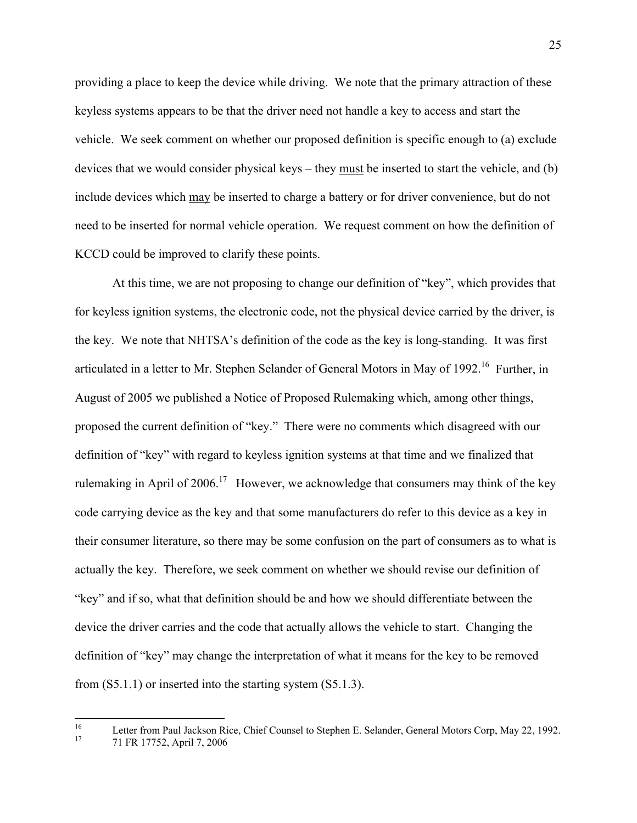providing a place to keep the device while driving. We note that the primary attraction of these keyless systems appears to be that the driver need not handle a key to access and start the vehicle. We seek comment on whether our proposed definition is specific enough to (a) exclude devices that we would consider physical keys – they must be inserted to start the vehicle, and (b) include devices which may be inserted to charge a battery or for driver convenience, but do not need to be inserted for normal vehicle operation. We request comment on how the definition of KCCD could be improved to clarify these points.

 At this time, we are not proposing to change our definition of "key", which provides that for keyless ignition systems, the electronic code, not the physical device carried by the driver, is the key. We note that NHTSA's definition of the code as the key is long-standing. It was first articulated in a letter to Mr. Stephen Selander of General Motors in May of 1992.<sup>16</sup> Further, in August of 2005 we published a Notice of Proposed Rulemaking which, among other things, proposed the current definition of "key." There were no comments which disagreed with our definition of "key" with regard to keyless ignition systems at that time and we finalized that rulemaking in April of  $2006<sup>17</sup>$  However, we acknowledge that consumers may think of the key code carrying device as the key and that some manufacturers do refer to this device as a key in their consumer literature, so there may be some confusion on the part of consumers as to what is actually the key. Therefore, we seek comment on whether we should revise our definition of "key" and if so, what that definition should be and how we should differentiate between the device the driver carries and the code that actually allows the vehicle to start. Changing the definition of "key" may change the interpretation of what it means for the key to be removed from (S5.1.1) or inserted into the starting system (S5.1.3).

 $16\,$ <sup>16</sup> Letter from Paul Jackson Rice, Chief Counsel to Stephen E. Selander, General Motors Corp, May 22, 1992.<br><sup>17</sup>  $\frac{71 \text{ ED } 17752 \text{ April } 7,2006}{21 \text{ ED } 17752}$ 

<sup>17 71</sup> FR 17752, April 7, 2006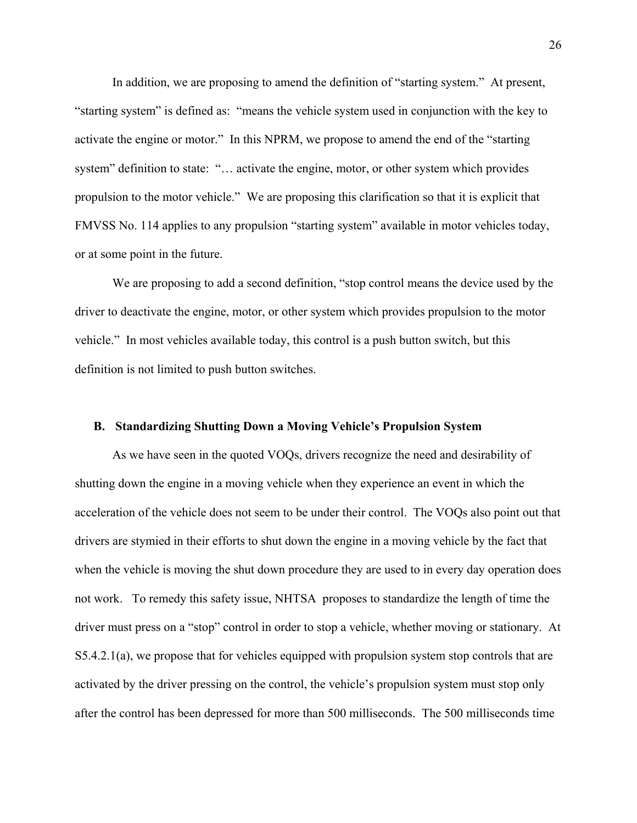In addition, we are proposing to amend the definition of "starting system." At present, "starting system" is defined as: "means the vehicle system used in conjunction with the key to activate the engine or motor." In this NPRM, we propose to amend the end of the "starting system" definition to state: "... activate the engine, motor, or other system which provides propulsion to the motor vehicle." We are proposing this clarification so that it is explicit that FMVSS No. 114 applies to any propulsion "starting system" available in motor vehicles today, or at some point in the future.

 We are proposing to add a second definition, "stop control means the device used by the driver to deactivate the engine, motor, or other system which provides propulsion to the motor vehicle." In most vehicles available today, this control is a push button switch, but this definition is not limited to push button switches.

## **B. Standardizing Shutting Down a Moving Vehicle's Propulsion System**

As we have seen in the quoted VOQs, drivers recognize the need and desirability of shutting down the engine in a moving vehicle when they experience an event in which the acceleration of the vehicle does not seem to be under their control. The VOQs also point out that drivers are stymied in their efforts to shut down the engine in a moving vehicle by the fact that when the vehicle is moving the shut down procedure they are used to in every day operation does not work. To remedy this safety issue, NHTSA proposes to standardize the length of time the driver must press on a "stop" control in order to stop a vehicle, whether moving or stationary. At S5.4.2.1(a), we propose that for vehicles equipped with propulsion system stop controls that are activated by the driver pressing on the control, the vehicle's propulsion system must stop only after the control has been depressed for more than 500 milliseconds. The 500 milliseconds time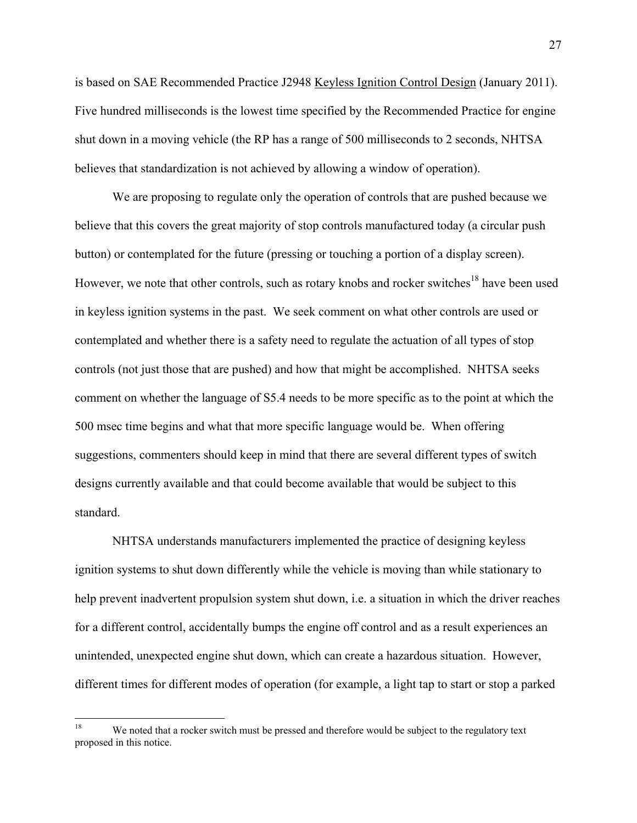is based on SAE Recommended Practice J2948 Keyless Ignition Control Design (January 2011). Five hundred milliseconds is the lowest time specified by the Recommended Practice for engine shut down in a moving vehicle (the RP has a range of 500 milliseconds to 2 seconds, NHTSA believes that standardization is not achieved by allowing a window of operation).

We are proposing to regulate only the operation of controls that are pushed because we believe that this covers the great majority of stop controls manufactured today (a circular push button) or contemplated for the future (pressing or touching a portion of a display screen). However, we note that other controls, such as rotary knobs and rocker switches<sup>18</sup> have been used in keyless ignition systems in the past. We seek comment on what other controls are used or contemplated and whether there is a safety need to regulate the actuation of all types of stop controls (not just those that are pushed) and how that might be accomplished. NHTSA seeks comment on whether the language of S5.4 needs to be more specific as to the point at which the 500 msec time begins and what that more specific language would be. When offering suggestions, commenters should keep in mind that there are several different types of switch designs currently available and that could become available that would be subject to this standard.

NHTSA understands manufacturers implemented the practice of designing keyless ignition systems to shut down differently while the vehicle is moving than while stationary to help prevent inadvertent propulsion system shut down, i.e. a situation in which the driver reaches for a different control, accidentally bumps the engine off control and as a result experiences an unintended, unexpected engine shut down, which can create a hazardous situation. However, different times for different modes of operation (for example, a light tap to start or stop a parked

 $18\,$ We noted that a rocker switch must be pressed and therefore would be subject to the regulatory text proposed in this notice.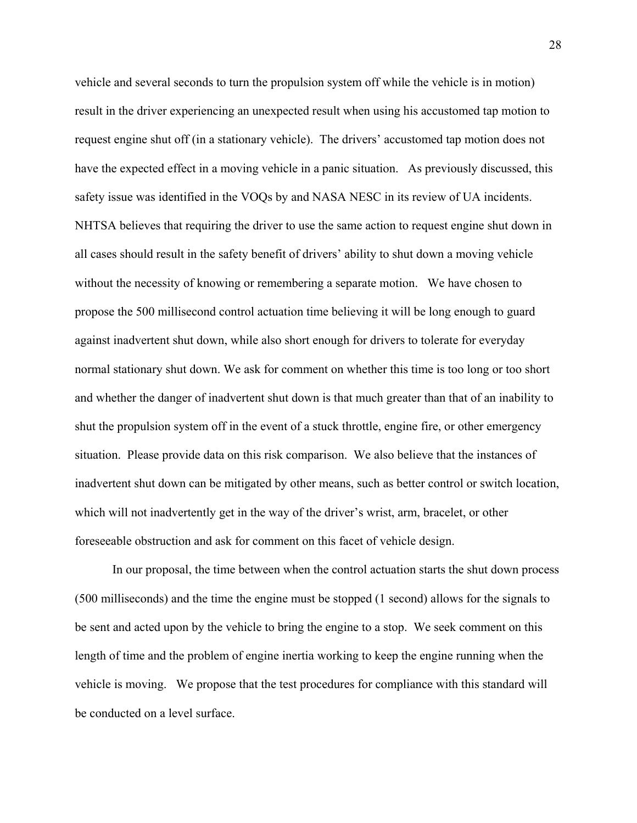vehicle and several seconds to turn the propulsion system off while the vehicle is in motion) result in the driver experiencing an unexpected result when using his accustomed tap motion to request engine shut off (in a stationary vehicle). The drivers' accustomed tap motion does not have the expected effect in a moving vehicle in a panic situation. As previously discussed, this safety issue was identified in the VOQs by and NASA NESC in its review of UA incidents. NHTSA believes that requiring the driver to use the same action to request engine shut down in all cases should result in the safety benefit of drivers' ability to shut down a moving vehicle without the necessity of knowing or remembering a separate motion. We have chosen to propose the 500 millisecond control actuation time believing it will be long enough to guard against inadvertent shut down, while also short enough for drivers to tolerate for everyday normal stationary shut down. We ask for comment on whether this time is too long or too short and whether the danger of inadvertent shut down is that much greater than that of an inability to shut the propulsion system off in the event of a stuck throttle, engine fire, or other emergency situation. Please provide data on this risk comparison. We also believe that the instances of inadvertent shut down can be mitigated by other means, such as better control or switch location, which will not inadvertently get in the way of the driver's wrist, arm, bracelet, or other foreseeable obstruction and ask for comment on this facet of vehicle design.

In our proposal, the time between when the control actuation starts the shut down process (500 milliseconds) and the time the engine must be stopped (1 second) allows for the signals to be sent and acted upon by the vehicle to bring the engine to a stop. We seek comment on this length of time and the problem of engine inertia working to keep the engine running when the vehicle is moving. We propose that the test procedures for compliance with this standard will be conducted on a level surface.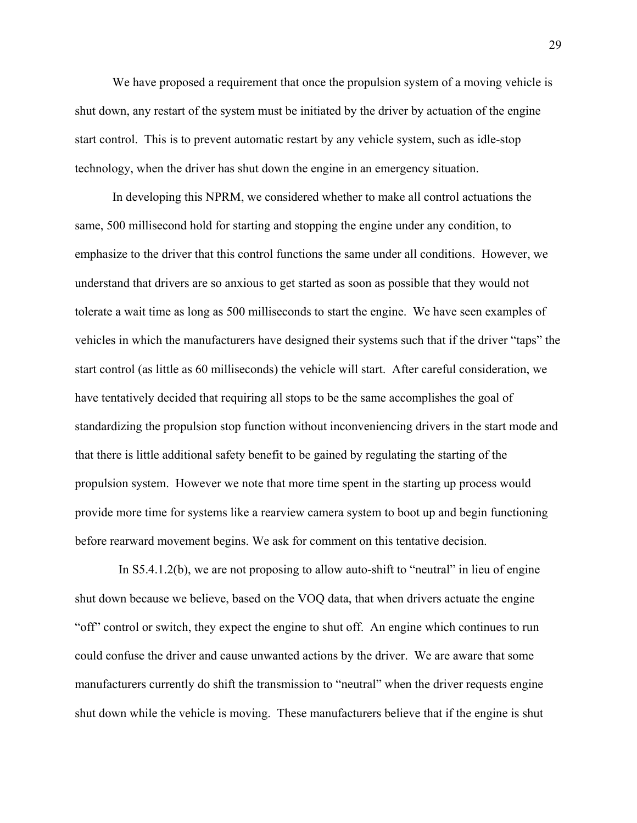We have proposed a requirement that once the propulsion system of a moving vehicle is shut down, any restart of the system must be initiated by the driver by actuation of the engine start control. This is to prevent automatic restart by any vehicle system, such as idle-stop technology, when the driver has shut down the engine in an emergency situation.

In developing this NPRM, we considered whether to make all control actuations the same, 500 millisecond hold for starting and stopping the engine under any condition, to emphasize to the driver that this control functions the same under all conditions. However, we understand that drivers are so anxious to get started as soon as possible that they would not tolerate a wait time as long as 500 milliseconds to start the engine. We have seen examples of vehicles in which the manufacturers have designed their systems such that if the driver "taps" the start control (as little as 60 milliseconds) the vehicle will start. After careful consideration, we have tentatively decided that requiring all stops to be the same accomplishes the goal of standardizing the propulsion stop function without inconveniencing drivers in the start mode and that there is little additional safety benefit to be gained by regulating the starting of the propulsion system. However we note that more time spent in the starting up process would provide more time for systems like a rearview camera system to boot up and begin functioning before rearward movement begins. We ask for comment on this tentative decision.

In  $S5.4.1.2(b)$ , we are not proposing to allow auto-shift to "neutral" in lieu of engine shut down because we believe, based on the VOQ data, that when drivers actuate the engine "off" control or switch, they expect the engine to shut off. An engine which continues to run could confuse the driver and cause unwanted actions by the driver. We are aware that some manufacturers currently do shift the transmission to "neutral" when the driver requests engine shut down while the vehicle is moving. These manufacturers believe that if the engine is shut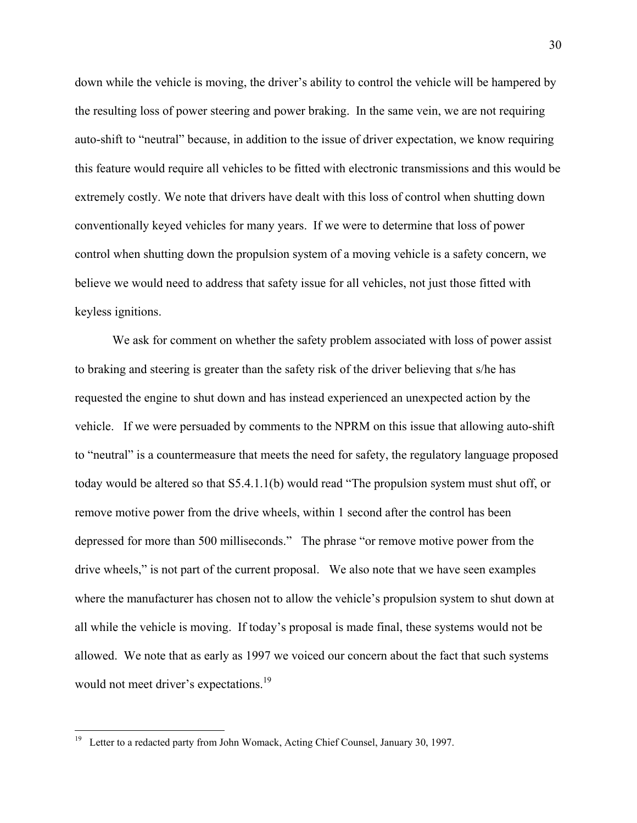down while the vehicle is moving, the driver's ability to control the vehicle will be hampered by the resulting loss of power steering and power braking. In the same vein, we are not requiring auto-shift to "neutral" because, in addition to the issue of driver expectation, we know requiring this feature would require all vehicles to be fitted with electronic transmissions and this would be extremely costly. We note that drivers have dealt with this loss of control when shutting down conventionally keyed vehicles for many years. If we were to determine that loss of power control when shutting down the propulsion system of a moving vehicle is a safety concern, we believe we would need to address that safety issue for all vehicles, not just those fitted with keyless ignitions.

We ask for comment on whether the safety problem associated with loss of power assist to braking and steering is greater than the safety risk of the driver believing that s/he has requested the engine to shut down and has instead experienced an unexpected action by the vehicle. If we were persuaded by comments to the NPRM on this issue that allowing auto-shift to "neutral" is a countermeasure that meets the need for safety, the regulatory language proposed today would be altered so that S5.4.1.1(b) would read "The propulsion system must shut off, or remove motive power from the drive wheels, within 1 second after the control has been depressed for more than 500 milliseconds." The phrase "or remove motive power from the drive wheels," is not part of the current proposal. We also note that we have seen examples where the manufacturer has chosen not to allow the vehicle's propulsion system to shut down at all while the vehicle is moving. If today's proposal is made final, these systems would not be allowed. We note that as early as 1997 we voiced our concern about the fact that such systems would not meet driver's expectations.<sup>19</sup>

 $19\,$ Letter to a redacted party from John Womack, Acting Chief Counsel, January 30, 1997.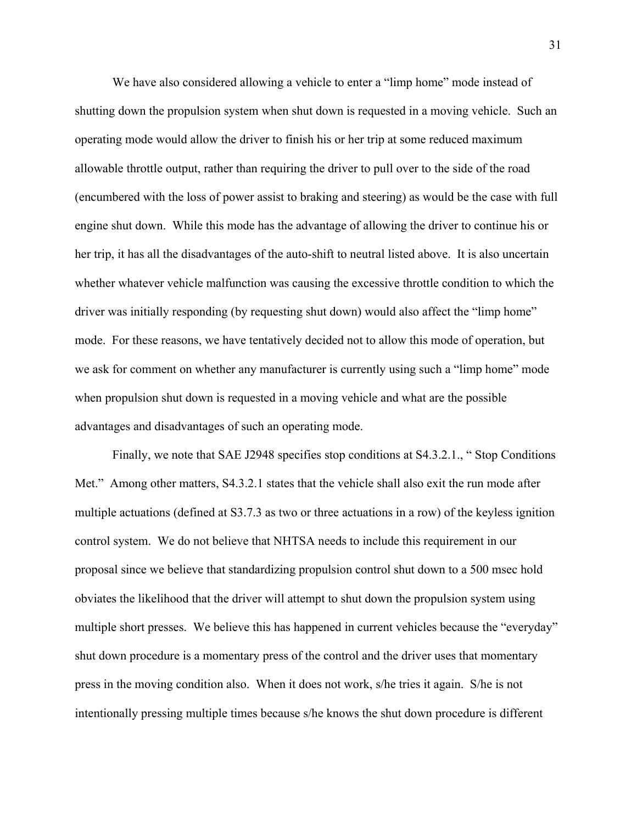We have also considered allowing a vehicle to enter a "limp home" mode instead of shutting down the propulsion system when shut down is requested in a moving vehicle. Such an operating mode would allow the driver to finish his or her trip at some reduced maximum allowable throttle output, rather than requiring the driver to pull over to the side of the road (encumbered with the loss of power assist to braking and steering) as would be the case with full engine shut down. While this mode has the advantage of allowing the driver to continue his or her trip, it has all the disadvantages of the auto-shift to neutral listed above. It is also uncertain whether whatever vehicle malfunction was causing the excessive throttle condition to which the driver was initially responding (by requesting shut down) would also affect the "limp home" mode. For these reasons, we have tentatively decided not to allow this mode of operation, but we ask for comment on whether any manufacturer is currently using such a "limp home" mode when propulsion shut down is requested in a moving vehicle and what are the possible advantages and disadvantages of such an operating mode.

Finally, we note that SAE J2948 specifies stop conditions at S4.3.2.1., " Stop Conditions Met." Among other matters, S4.3.2.1 states that the vehicle shall also exit the run mode after multiple actuations (defined at S3.7.3 as two or three actuations in a row) of the keyless ignition control system. We do not believe that NHTSA needs to include this requirement in our proposal since we believe that standardizing propulsion control shut down to a 500 msec hold obviates the likelihood that the driver will attempt to shut down the propulsion system using multiple short presses. We believe this has happened in current vehicles because the "everyday" shut down procedure is a momentary press of the control and the driver uses that momentary press in the moving condition also. When it does not work, s/he tries it again. S/he is not intentionally pressing multiple times because s/he knows the shut down procedure is different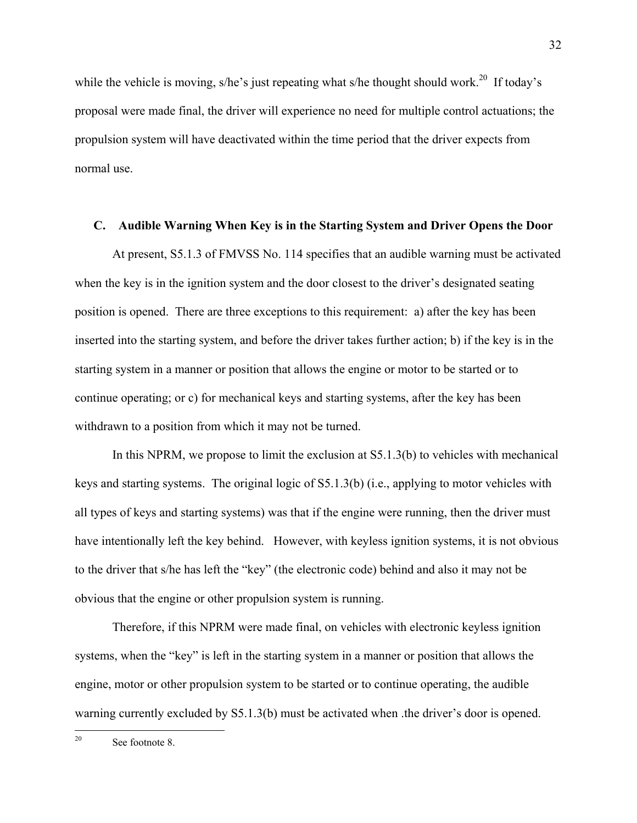while the vehicle is moving, s/he's just repeating what s/he thought should work.<sup>20</sup> If today's proposal were made final, the driver will experience no need for multiple control actuations; the propulsion system will have deactivated within the time period that the driver expects from normal use.

## **C. Audible Warning When Key is in the Starting System and Driver Opens the Door**

At present, S5.1.3 of FMVSS No. 114 specifies that an audible warning must be activated when the key is in the ignition system and the door closest to the driver's designated seating position is opened. There are three exceptions to this requirement: a) after the key has been inserted into the starting system, and before the driver takes further action; b) if the key is in the starting system in a manner or position that allows the engine or motor to be started or to continue operating; or c) for mechanical keys and starting systems, after the key has been withdrawn to a position from which it may not be turned.

In this NPRM, we propose to limit the exclusion at S5.1.3(b) to vehicles with mechanical keys and starting systems. The original logic of S5.1.3(b) (i.e., applying to motor vehicles with all types of keys and starting systems) was that if the engine were running, then the driver must have intentionally left the key behind. However, with keyless ignition systems, it is not obvious to the driver that s/he has left the "key" (the electronic code) behind and also it may not be obvious that the engine or other propulsion system is running.

Therefore, if this NPRM were made final, on vehicles with electronic keyless ignition systems, when the "key" is left in the starting system in a manner or position that allows the engine, motor or other propulsion system to be started or to continue operating, the audible warning currently excluded by S5.1.3(b) must be activated when the driver's door is opened.

 $20\,$ See footnote 8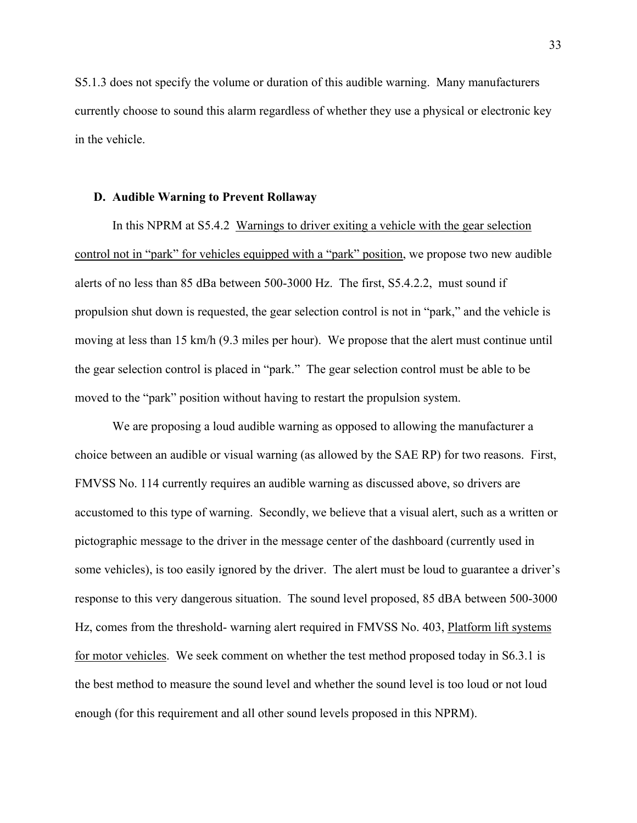S5.1.3 does not specify the volume or duration of this audible warning. Many manufacturers currently choose to sound this alarm regardless of whether they use a physical or electronic key in the vehicle.

## **D. Audible Warning to Prevent Rollaway**

In this NPRM at S5.4.2 Warnings to driver exiting a vehicle with the gear selection control not in "park" for vehicles equipped with a "park" position, we propose two new audible alerts of no less than 85 dBa between 500-3000 Hz. The first, S5.4.2.2, must sound if propulsion shut down is requested, the gear selection control is not in "park," and the vehicle is moving at less than 15 km/h (9.3 miles per hour). We propose that the alert must continue until the gear selection control is placed in "park." The gear selection control must be able to be moved to the "park" position without having to restart the propulsion system.

 We are proposing a loud audible warning as opposed to allowing the manufacturer a choice between an audible or visual warning (as allowed by the SAE RP) for two reasons. First, FMVSS No. 114 currently requires an audible warning as discussed above, so drivers are accustomed to this type of warning. Secondly, we believe that a visual alert, such as a written or pictographic message to the driver in the message center of the dashboard (currently used in some vehicles), is too easily ignored by the driver. The alert must be loud to guarantee a driver's response to this very dangerous situation. The sound level proposed, 85 dBA between 500-3000 Hz, comes from the threshold- warning alert required in FMVSS No. 403, Platform lift systems for motor vehicles. We seek comment on whether the test method proposed today in S6.3.1 is the best method to measure the sound level and whether the sound level is too loud or not loud enough (for this requirement and all other sound levels proposed in this NPRM).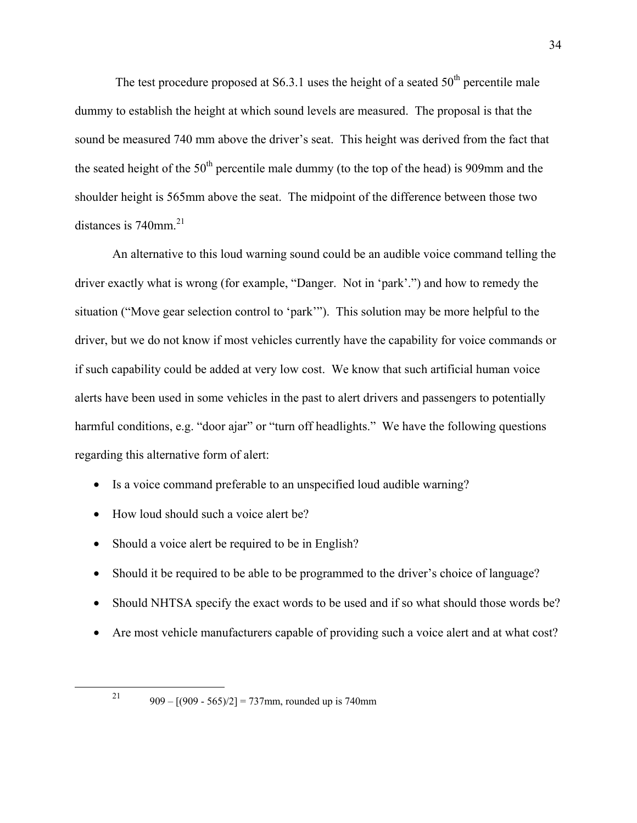The test procedure proposed at S6.3.1 uses the height of a seated  $50<sup>th</sup>$  percentile male dummy to establish the height at which sound levels are measured. The proposal is that the sound be measured 740 mm above the driver's seat. This height was derived from the fact that the seated height of the  $50<sup>th</sup>$  percentile male dummy (to the top of the head) is 909mm and the shoulder height is 565mm above the seat. The midpoint of the difference between those two distances is  $740$ mm.<sup>21</sup>

 An alternative to this loud warning sound could be an audible voice command telling the driver exactly what is wrong (for example, "Danger. Not in 'park'.") and how to remedy the situation ("Move gear selection control to 'park'"). This solution may be more helpful to the driver, but we do not know if most vehicles currently have the capability for voice commands or if such capability could be added at very low cost. We know that such artificial human voice alerts have been used in some vehicles in the past to alert drivers and passengers to potentially harmful conditions, e.g. "door ajar" or "turn off headlights." We have the following questions regarding this alternative form of alert:

- Is a voice command preferable to an unspecified loud audible warning?
- How loud should such a voice alert be?
- Should a voice alert be required to be in English?
- Should it be required to be able to be programmed to the driver's choice of language?
- Should NHTSA specify the exact words to be used and if so what should those words be?
- Are most vehicle manufacturers capable of providing such a voice alert and at what cost?

<sup>&</sup>lt;sup>21</sup> 909 –  $[(909 - 565)/2] = 737$  mm, rounded up is 740 mm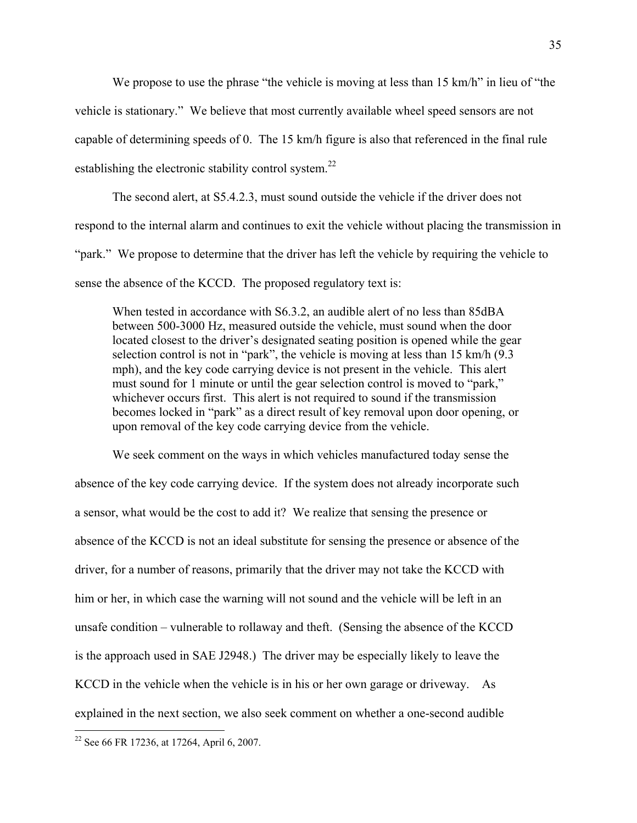We propose to use the phrase "the vehicle is moving at less than 15 km/h" in lieu of "the

vehicle is stationary." We believe that most currently available wheel speed sensors are not

capable of determining speeds of 0. The 15 km/h figure is also that referenced in the final rule

establishing the electronic stability control system.<sup>22</sup>

 The second alert, at S5.4.2.3, must sound outside the vehicle if the driver does not respond to the internal alarm and continues to exit the vehicle without placing the transmission in "park." We propose to determine that the driver has left the vehicle by requiring the vehicle to sense the absence of the KCCD. The proposed regulatory text is:

When tested in accordance with S6.3.2, an audible alert of no less than 85dBA between 500-3000 Hz, measured outside the vehicle, must sound when the door located closest to the driver's designated seating position is opened while the gear selection control is not in "park", the vehicle is moving at less than 15 km/h (9.3 mph), and the key code carrying device is not present in the vehicle. This alert must sound for 1 minute or until the gear selection control is moved to "park," whichever occurs first. This alert is not required to sound if the transmission becomes locked in "park" as a direct result of key removal upon door opening, or upon removal of the key code carrying device from the vehicle.

We seek comment on the ways in which vehicles manufactured today sense the absence of the key code carrying device. If the system does not already incorporate such a sensor, what would be the cost to add it? We realize that sensing the presence or absence of the KCCD is not an ideal substitute for sensing the presence or absence of the driver, for a number of reasons, primarily that the driver may not take the KCCD with him or her, in which case the warning will not sound and the vehicle will be left in an unsafe condition – vulnerable to rollaway and theft. (Sensing the absence of the KCCD is the approach used in SAE J2948.) The driver may be especially likely to leave the KCCD in the vehicle when the vehicle is in his or her own garage or driveway. As explained in the next section, we also seek comment on whether a one-second audible

<u>.</u>

<sup>&</sup>lt;sup>22</sup> See 66 FR 17236, at 17264, April 6, 2007.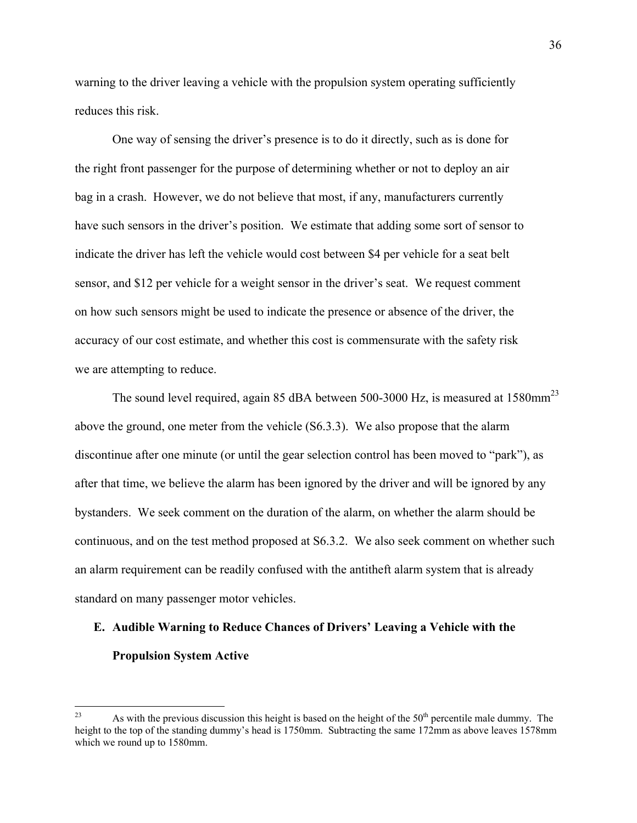warning to the driver leaving a vehicle with the propulsion system operating sufficiently reduces this risk.

 One way of sensing the driver's presence is to do it directly, such as is done for the right front passenger for the purpose of determining whether or not to deploy an air bag in a crash. However, we do not believe that most, if any, manufacturers currently have such sensors in the driver's position. We estimate that adding some sort of sensor to indicate the driver has left the vehicle would cost between \$4 per vehicle for a seat belt sensor, and \$12 per vehicle for a weight sensor in the driver's seat. We request comment on how such sensors might be used to indicate the presence or absence of the driver, the accuracy of our cost estimate, and whether this cost is commensurate with the safety risk we are attempting to reduce.

The sound level required, again 85 dBA between 500-3000 Hz, is measured at 1580mm<sup>23</sup> above the ground, one meter from the vehicle (S6.3.3). We also propose that the alarm discontinue after one minute (or until the gear selection control has been moved to "park"), as after that time, we believe the alarm has been ignored by the driver and will be ignored by any bystanders. We seek comment on the duration of the alarm, on whether the alarm should be continuous, and on the test method proposed at S6.3.2. We also seek comment on whether such an alarm requirement can be readily confused with the antitheft alarm system that is already standard on many passenger motor vehicles.

## **E. Audible Warning to Reduce Chances of Drivers' Leaving a Vehicle with the Propulsion System Active**

<sup>23</sup> As with the previous discussion this height is based on the height of the  $50<sup>th</sup>$  percentile male dummy. The height to the top of the standing dummy's head is 1750mm. Subtracting the same 172mm as above leaves 1578mm which we round up to 1580mm.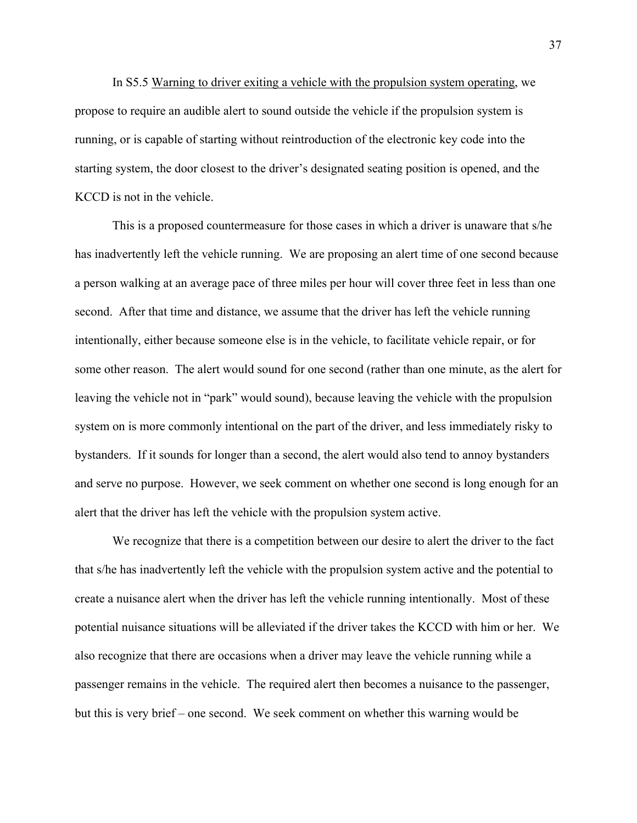In S5.5 Warning to driver exiting a vehicle with the propulsion system operating, we propose to require an audible alert to sound outside the vehicle if the propulsion system is running, or is capable of starting without reintroduction of the electronic key code into the starting system, the door closest to the driver's designated seating position is opened, and the KCCD is not in the vehicle.

 This is a proposed countermeasure for those cases in which a driver is unaware that s/he has inadvertently left the vehicle running. We are proposing an alert time of one second because a person walking at an average pace of three miles per hour will cover three feet in less than one second. After that time and distance, we assume that the driver has left the vehicle running intentionally, either because someone else is in the vehicle, to facilitate vehicle repair, or for some other reason. The alert would sound for one second (rather than one minute, as the alert for leaving the vehicle not in "park" would sound), because leaving the vehicle with the propulsion system on is more commonly intentional on the part of the driver, and less immediately risky to bystanders. If it sounds for longer than a second, the alert would also tend to annoy bystanders and serve no purpose. However, we seek comment on whether one second is long enough for an alert that the driver has left the vehicle with the propulsion system active.

 We recognize that there is a competition between our desire to alert the driver to the fact that s/he has inadvertently left the vehicle with the propulsion system active and the potential to create a nuisance alert when the driver has left the vehicle running intentionally. Most of these potential nuisance situations will be alleviated if the driver takes the KCCD with him or her. We also recognize that there are occasions when a driver may leave the vehicle running while a passenger remains in the vehicle. The required alert then becomes a nuisance to the passenger, but this is very brief – one second. We seek comment on whether this warning would be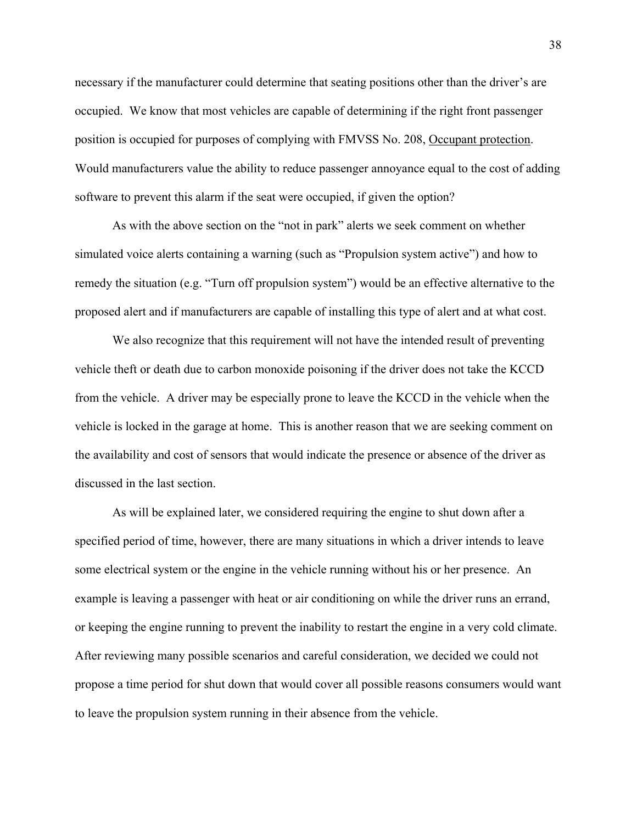necessary if the manufacturer could determine that seating positions other than the driver's are occupied. We know that most vehicles are capable of determining if the right front passenger position is occupied for purposes of complying with FMVSS No. 208, Occupant protection. Would manufacturers value the ability to reduce passenger annoyance equal to the cost of adding software to prevent this alarm if the seat were occupied, if given the option?

 As with the above section on the "not in park" alerts we seek comment on whether simulated voice alerts containing a warning (such as "Propulsion system active") and how to remedy the situation (e.g. "Turn off propulsion system") would be an effective alternative to the proposed alert and if manufacturers are capable of installing this type of alert and at what cost.

We also recognize that this requirement will not have the intended result of preventing vehicle theft or death due to carbon monoxide poisoning if the driver does not take the KCCD from the vehicle. A driver may be especially prone to leave the KCCD in the vehicle when the vehicle is locked in the garage at home. This is another reason that we are seeking comment on the availability and cost of sensors that would indicate the presence or absence of the driver as discussed in the last section.

As will be explained later, we considered requiring the engine to shut down after a specified period of time, however, there are many situations in which a driver intends to leave some electrical system or the engine in the vehicle running without his or her presence. An example is leaving a passenger with heat or air conditioning on while the driver runs an errand, or keeping the engine running to prevent the inability to restart the engine in a very cold climate. After reviewing many possible scenarios and careful consideration, we decided we could not propose a time period for shut down that would cover all possible reasons consumers would want to leave the propulsion system running in their absence from the vehicle.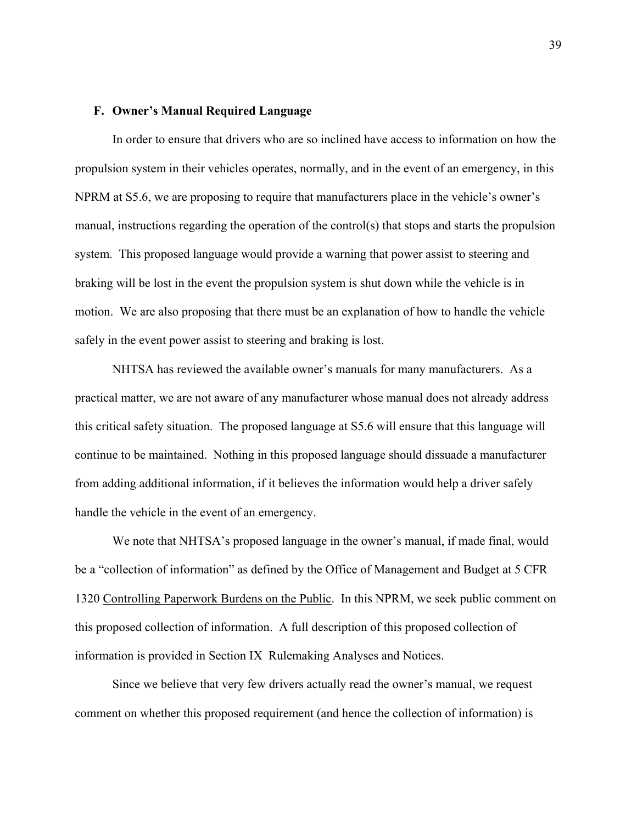## **F. Owner's Manual Required Language**

In order to ensure that drivers who are so inclined have access to information on how the propulsion system in their vehicles operates, normally, and in the event of an emergency, in this NPRM at S5.6, we are proposing to require that manufacturers place in the vehicle's owner's manual, instructions regarding the operation of the control(s) that stops and starts the propulsion system. This proposed language would provide a warning that power assist to steering and braking will be lost in the event the propulsion system is shut down while the vehicle is in motion. We are also proposing that there must be an explanation of how to handle the vehicle safely in the event power assist to steering and braking is lost.

NHTSA has reviewed the available owner's manuals for many manufacturers. As a practical matter, we are not aware of any manufacturer whose manual does not already address this critical safety situation. The proposed language at S5.6 will ensure that this language will continue to be maintained. Nothing in this proposed language should dissuade a manufacturer from adding additional information, if it believes the information would help a driver safely handle the vehicle in the event of an emergency.

We note that NHTSA's proposed language in the owner's manual, if made final, would be a "collection of information" as defined by the Office of Management and Budget at 5 CFR 1320 Controlling Paperwork Burdens on the Public. In this NPRM, we seek public comment on this proposed collection of information. A full description of this proposed collection of information is provided in Section IX Rulemaking Analyses and Notices.

Since we believe that very few drivers actually read the owner's manual, we request comment on whether this proposed requirement (and hence the collection of information) is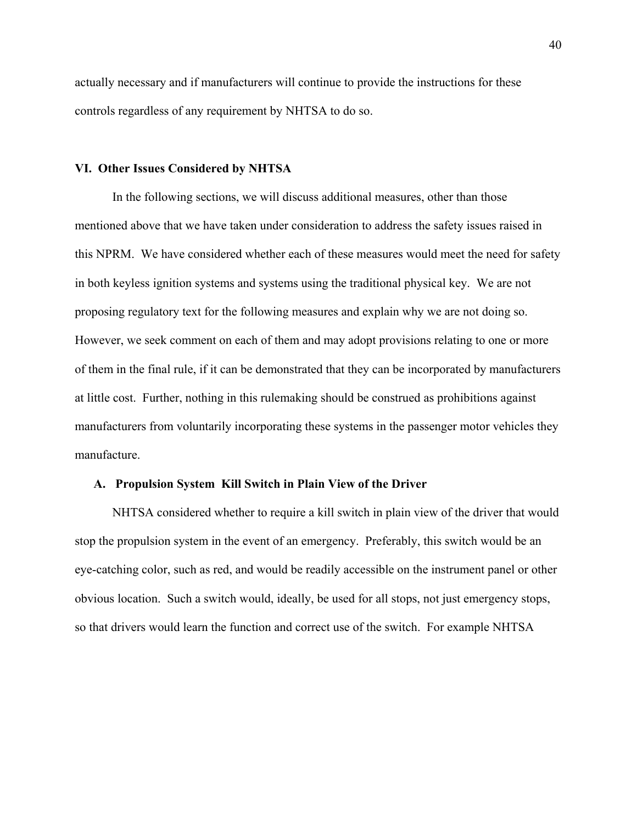actually necessary and if manufacturers will continue to provide the instructions for these controls regardless of any requirement by NHTSA to do so.

## **VI. Other Issues Considered by NHTSA**

 In the following sections, we will discuss additional measures, other than those mentioned above that we have taken under consideration to address the safety issues raised in this NPRM. We have considered whether each of these measures would meet the need for safety in both keyless ignition systems and systems using the traditional physical key. We are not proposing regulatory text for the following measures and explain why we are not doing so. However, we seek comment on each of them and may adopt provisions relating to one or more of them in the final rule, if it can be demonstrated that they can be incorporated by manufacturers at little cost. Further, nothing in this rulemaking should be construed as prohibitions against manufacturers from voluntarily incorporating these systems in the passenger motor vehicles they manufacture.

## **A. Propulsion System Kill Switch in Plain View of the Driver**

NHTSA considered whether to require a kill switch in plain view of the driver that would stop the propulsion system in the event of an emergency. Preferably, this switch would be an eye-catching color, such as red, and would be readily accessible on the instrument panel or other obvious location. Such a switch would, ideally, be used for all stops, not just emergency stops, so that drivers would learn the function and correct use of the switch. For example NHTSA

40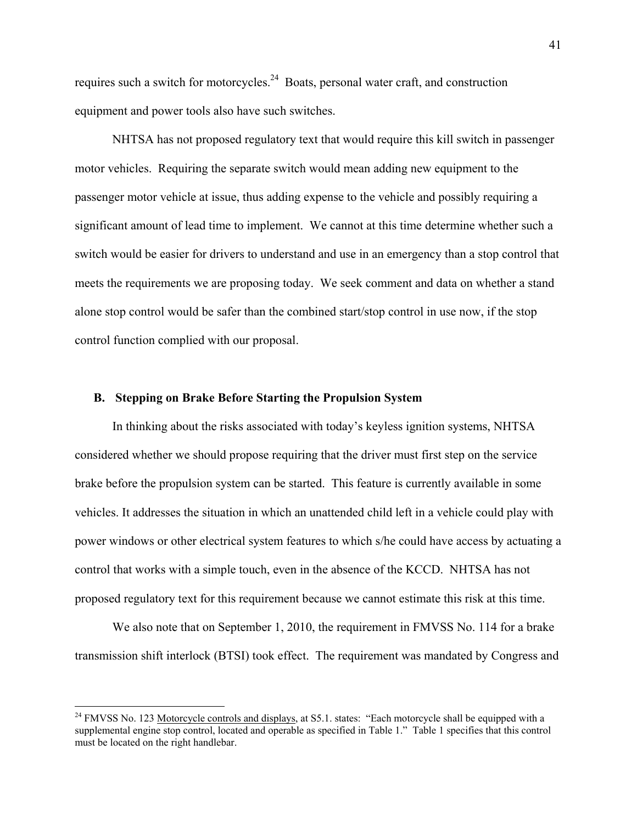requires such a switch for motorcycles.<sup>24</sup> Boats, personal water craft, and construction equipment and power tools also have such switches.

 NHTSA has not proposed regulatory text that would require this kill switch in passenger motor vehicles. Requiring the separate switch would mean adding new equipment to the passenger motor vehicle at issue, thus adding expense to the vehicle and possibly requiring a significant amount of lead time to implement. We cannot at this time determine whether such a switch would be easier for drivers to understand and use in an emergency than a stop control that meets the requirements we are proposing today. We seek comment and data on whether a stand alone stop control would be safer than the combined start/stop control in use now, if the stop control function complied with our proposal.

## **B. Stepping on Brake Before Starting the Propulsion System**

In thinking about the risks associated with today's keyless ignition systems, NHTSA considered whether we should propose requiring that the driver must first step on the service brake before the propulsion system can be started. This feature is currently available in some vehicles. It addresses the situation in which an unattended child left in a vehicle could play with power windows or other electrical system features to which s/he could have access by actuating a control that works with a simple touch, even in the absence of the KCCD. NHTSA has not proposed regulatory text for this requirement because we cannot estimate this risk at this time.

We also note that on September 1, 2010, the requirement in FMVSS No. 114 for a brake transmission shift interlock (BTSI) took effect. The requirement was mandated by Congress and

 $\overline{a}$ 

<sup>&</sup>lt;sup>24</sup> FMVSS No. 123 Motorcycle controls and displays, at S5.1. states: "Each motorcycle shall be equipped with a supplemental engine stop control, located and operable as specified in Table 1." Table 1 specifies that this control must be located on the right handlebar.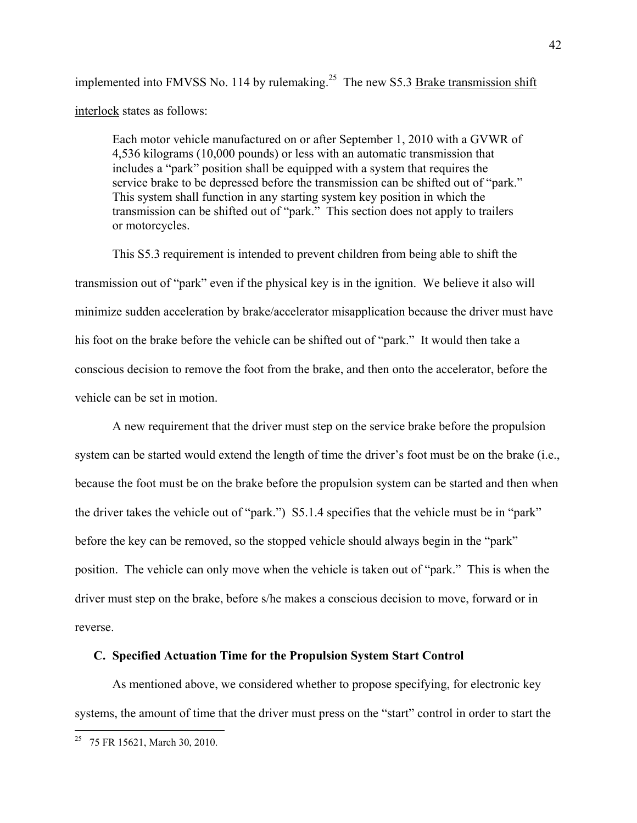implemented into FMVSS No. 114 by rulemaking.<sup>25</sup> The new S5.3 Brake transmission shift interlock states as follows:

Each motor vehicle manufactured on or after September 1, 2010 with a GVWR of 4,536 kilograms (10,000 pounds) or less with an automatic transmission that includes a "park" position shall be equipped with a system that requires the service brake to be depressed before the transmission can be shifted out of "park." This system shall function in any starting system key position in which the transmission can be shifted out of "park." This section does not apply to trailers or motorcycles.

 This S5.3 requirement is intended to prevent children from being able to shift the transmission out of "park" even if the physical key is in the ignition. We believe it also will minimize sudden acceleration by brake/accelerator misapplication because the driver must have his foot on the brake before the vehicle can be shifted out of "park." It would then take a conscious decision to remove the foot from the brake, and then onto the accelerator, before the vehicle can be set in motion.

 A new requirement that the driver must step on the service brake before the propulsion system can be started would extend the length of time the driver's foot must be on the brake (i.e., because the foot must be on the brake before the propulsion system can be started and then when the driver takes the vehicle out of "park.") S5.1.4 specifies that the vehicle must be in "park" before the key can be removed, so the stopped vehicle should always begin in the "park" position. The vehicle can only move when the vehicle is taken out of "park." This is when the driver must step on the brake, before s/he makes a conscious decision to move, forward or in reverse.

#### **C. Specified Actuation Time for the Propulsion System Start Control**

As mentioned above, we considered whether to propose specifying, for electronic key systems, the amount of time that the driver must press on the "start" control in order to start the

 $\overline{a}$ 

<sup>&</sup>lt;sup>25</sup> 75 FR 15621, March 30, 2010.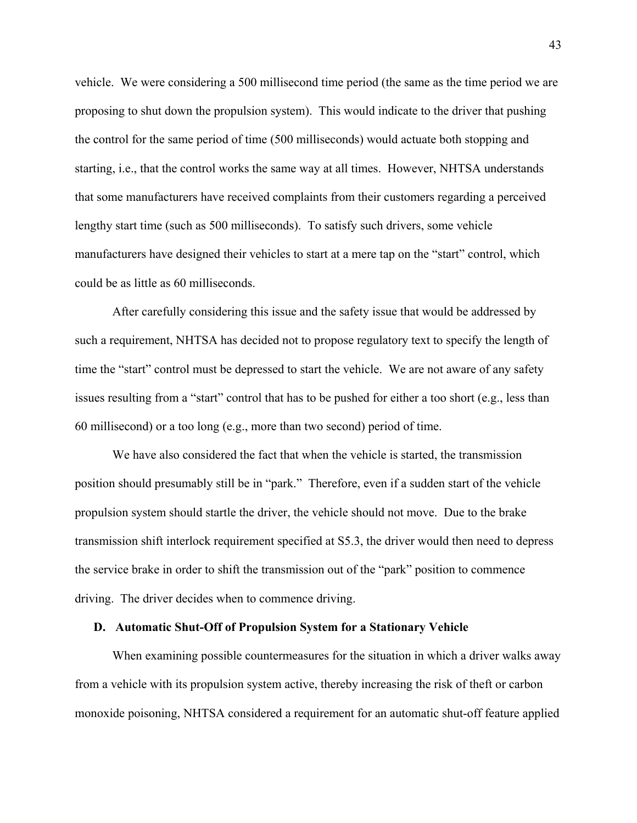vehicle. We were considering a 500 millisecond time period (the same as the time period we are proposing to shut down the propulsion system). This would indicate to the driver that pushing the control for the same period of time (500 milliseconds) would actuate both stopping and starting, i.e., that the control works the same way at all times. However, NHTSA understands that some manufacturers have received complaints from their customers regarding a perceived lengthy start time (such as 500 milliseconds). To satisfy such drivers, some vehicle manufacturers have designed their vehicles to start at a mere tap on the "start" control, which could be as little as 60 milliseconds.

 After carefully considering this issue and the safety issue that would be addressed by such a requirement, NHTSA has decided not to propose regulatory text to specify the length of time the "start" control must be depressed to start the vehicle. We are not aware of any safety issues resulting from a "start" control that has to be pushed for either a too short (e.g., less than 60 millisecond) or a too long (e.g., more than two second) period of time.

We have also considered the fact that when the vehicle is started, the transmission position should presumably still be in "park." Therefore, even if a sudden start of the vehicle propulsion system should startle the driver, the vehicle should not move. Due to the brake transmission shift interlock requirement specified at S5.3, the driver would then need to depress the service brake in order to shift the transmission out of the "park" position to commence driving. The driver decides when to commence driving.

## **D. Automatic Shut-Off of Propulsion System for a Stationary Vehicle**

When examining possible countermeasures for the situation in which a driver walks away from a vehicle with its propulsion system active, thereby increasing the risk of theft or carbon monoxide poisoning, NHTSA considered a requirement for an automatic shut-off feature applied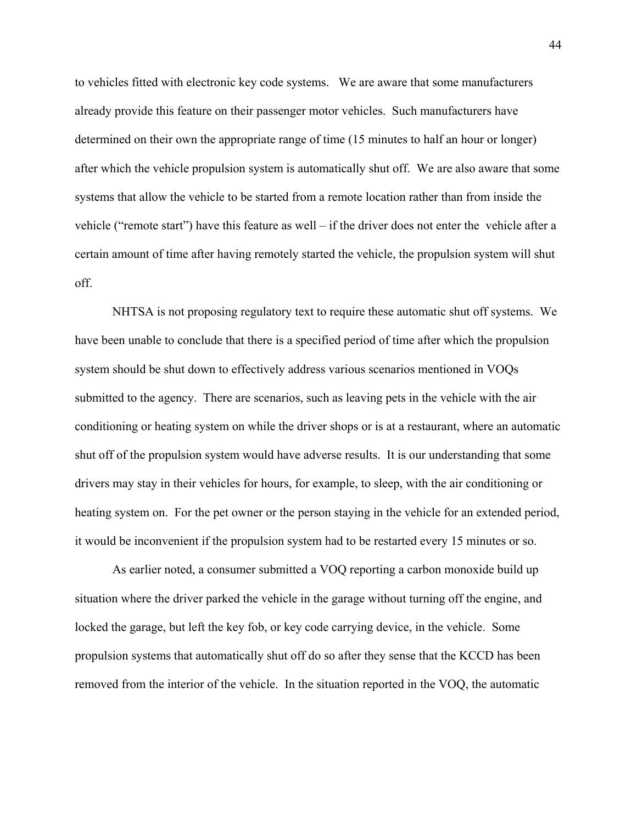to vehicles fitted with electronic key code systems. We are aware that some manufacturers already provide this feature on their passenger motor vehicles. Such manufacturers have determined on their own the appropriate range of time (15 minutes to half an hour or longer) after which the vehicle propulsion system is automatically shut off. We are also aware that some systems that allow the vehicle to be started from a remote location rather than from inside the vehicle ("remote start") have this feature as well – if the driver does not enter the vehicle after a certain amount of time after having remotely started the vehicle, the propulsion system will shut off.

NHTSA is not proposing regulatory text to require these automatic shut off systems. We have been unable to conclude that there is a specified period of time after which the propulsion system should be shut down to effectively address various scenarios mentioned in VOQs submitted to the agency. There are scenarios, such as leaving pets in the vehicle with the air conditioning or heating system on while the driver shops or is at a restaurant, where an automatic shut off of the propulsion system would have adverse results. It is our understanding that some drivers may stay in their vehicles for hours, for example, to sleep, with the air conditioning or heating system on. For the pet owner or the person staying in the vehicle for an extended period, it would be inconvenient if the propulsion system had to be restarted every 15 minutes or so.

As earlier noted, a consumer submitted a VOQ reporting a carbon monoxide build up situation where the driver parked the vehicle in the garage without turning off the engine, and locked the garage, but left the key fob, or key code carrying device, in the vehicle. Some propulsion systems that automatically shut off do so after they sense that the KCCD has been removed from the interior of the vehicle. In the situation reported in the VOQ, the automatic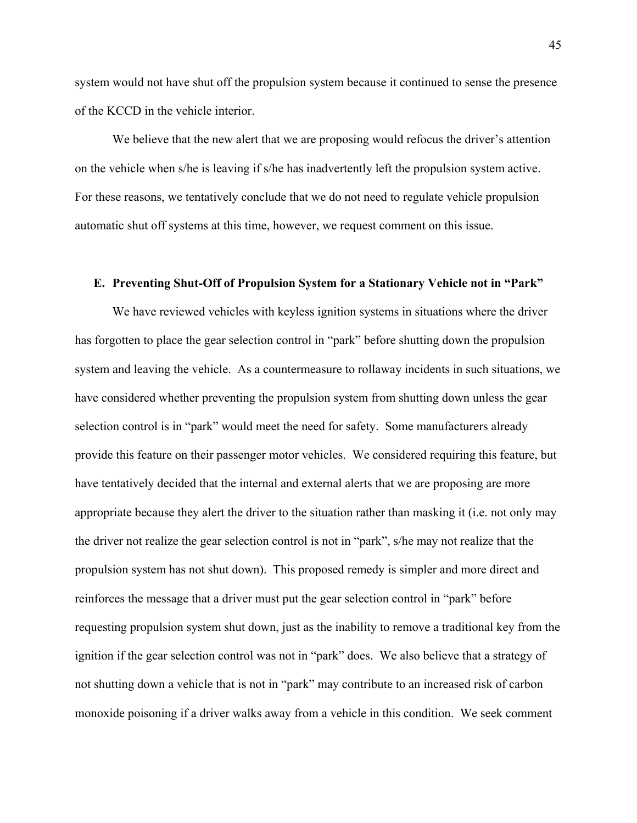system would not have shut off the propulsion system because it continued to sense the presence of the KCCD in the vehicle interior.

We believe that the new alert that we are proposing would refocus the driver's attention on the vehicle when s/he is leaving if s/he has inadvertently left the propulsion system active. For these reasons, we tentatively conclude that we do not need to regulate vehicle propulsion automatic shut off systems at this time, however, we request comment on this issue.

## **E. Preventing Shut-Off of Propulsion System for a Stationary Vehicle not in "Park"**

We have reviewed vehicles with keyless ignition systems in situations where the driver has forgotten to place the gear selection control in "park" before shutting down the propulsion system and leaving the vehicle. As a countermeasure to rollaway incidents in such situations, we have considered whether preventing the propulsion system from shutting down unless the gear selection control is in "park" would meet the need for safety. Some manufacturers already provide this feature on their passenger motor vehicles. We considered requiring this feature, but have tentatively decided that the internal and external alerts that we are proposing are more appropriate because they alert the driver to the situation rather than masking it (i.e. not only may the driver not realize the gear selection control is not in "park", s/he may not realize that the propulsion system has not shut down). This proposed remedy is simpler and more direct and reinforces the message that a driver must put the gear selection control in "park" before requesting propulsion system shut down, just as the inability to remove a traditional key from the ignition if the gear selection control was not in "park" does. We also believe that a strategy of not shutting down a vehicle that is not in "park" may contribute to an increased risk of carbon monoxide poisoning if a driver walks away from a vehicle in this condition. We seek comment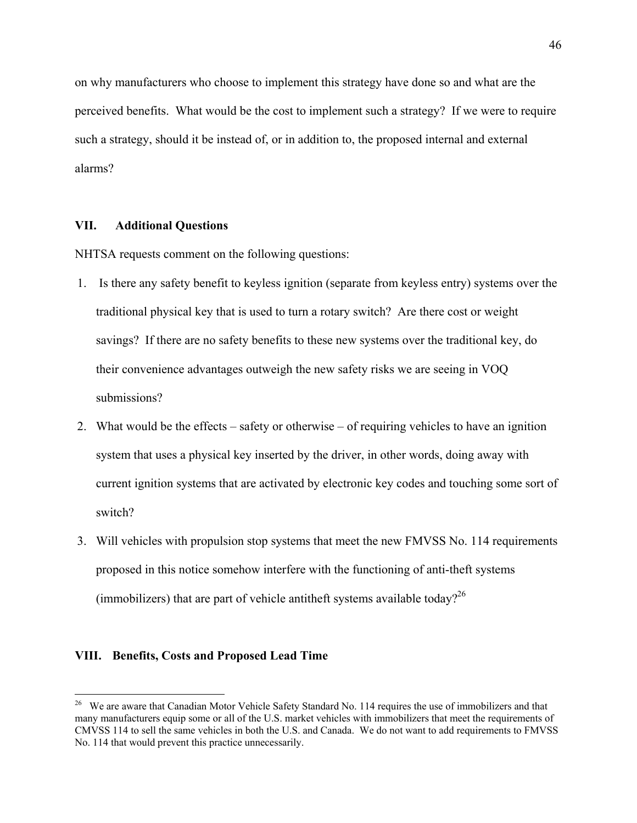on why manufacturers who choose to implement this strategy have done so and what are the perceived benefits. What would be the cost to implement such a strategy? If we were to require such a strategy, should it be instead of, or in addition to, the proposed internal and external alarms?

## **VII. Additional Questions**

NHTSA requests comment on the following questions:

- 1. Is there any safety benefit to keyless ignition (separate from keyless entry) systems over the traditional physical key that is used to turn a rotary switch? Are there cost or weight savings? If there are no safety benefits to these new systems over the traditional key, do their convenience advantages outweigh the new safety risks we are seeing in VOQ submissions?
- 2. What would be the effects safety or otherwise of requiring vehicles to have an ignition system that uses a physical key inserted by the driver, in other words, doing away with current ignition systems that are activated by electronic key codes and touching some sort of switch?
- 3. Will vehicles with propulsion stop systems that meet the new FMVSS No. 114 requirements proposed in this notice somehow interfere with the functioning of anti-theft systems (immobilizers) that are part of vehicle antitheft systems available today?<sup>26</sup>

#### **VIII. Benefits, Costs and Proposed Lead Time**

<u>.</u>

<sup>&</sup>lt;sup>26</sup> We are aware that Canadian Motor Vehicle Safety Standard No. 114 requires the use of immobilizers and that many manufacturers equip some or all of the U.S. market vehicles with immobilizers that meet the requirements of CMVSS 114 to sell the same vehicles in both the U.S. and Canada. We do not want to add requirements to FMVSS No. 114 that would prevent this practice unnecessarily.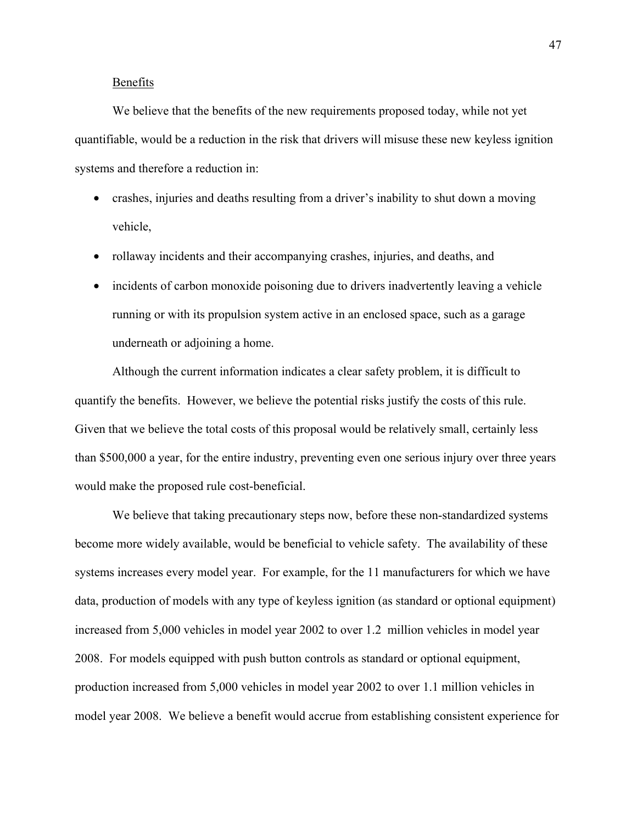## Benefits

 We believe that the benefits of the new requirements proposed today, while not yet quantifiable, would be a reduction in the risk that drivers will misuse these new keyless ignition systems and therefore a reduction in:

- crashes, injuries and deaths resulting from a driver's inability to shut down a moving vehicle,
- rollaway incidents and their accompanying crashes, injuries, and deaths, and
- incidents of carbon monoxide poisoning due to drivers inadvertently leaving a vehicle running or with its propulsion system active in an enclosed space, such as a garage underneath or adjoining a home.

 Although the current information indicates a clear safety problem, it is difficult to quantify the benefits. However, we believe the potential risks justify the costs of this rule. Given that we believe the total costs of this proposal would be relatively small, certainly less than \$500,000 a year, for the entire industry, preventing even one serious injury over three years would make the proposed rule cost-beneficial.

We believe that taking precautionary steps now, before these non-standardized systems become more widely available, would be beneficial to vehicle safety. The availability of these systems increases every model year. For example, for the 11 manufacturers for which we have data, production of models with any type of keyless ignition (as standard or optional equipment) increased from 5,000 vehicles in model year 2002 to over 1.2 million vehicles in model year 2008. For models equipped with push button controls as standard or optional equipment, production increased from 5,000 vehicles in model year 2002 to over 1.1 million vehicles in model year 2008. We believe a benefit would accrue from establishing consistent experience for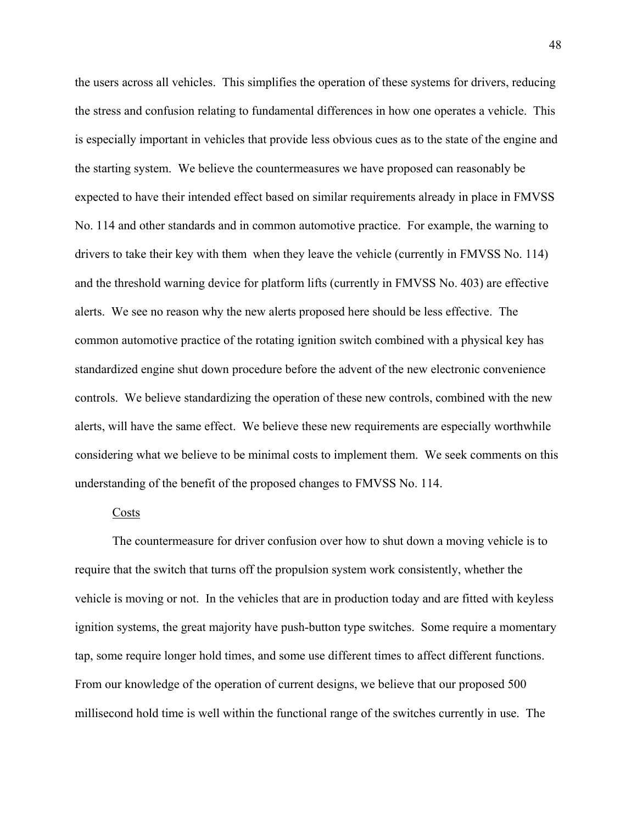the users across all vehicles. This simplifies the operation of these systems for drivers, reducing the stress and confusion relating to fundamental differences in how one operates a vehicle. This is especially important in vehicles that provide less obvious cues as to the state of the engine and the starting system. We believe the countermeasures we have proposed can reasonably be expected to have their intended effect based on similar requirements already in place in FMVSS No. 114 and other standards and in common automotive practice. For example, the warning to drivers to take their key with them when they leave the vehicle (currently in FMVSS No. 114) and the threshold warning device for platform lifts (currently in FMVSS No. 403) are effective alerts. We see no reason why the new alerts proposed here should be less effective. The common automotive practice of the rotating ignition switch combined with a physical key has standardized engine shut down procedure before the advent of the new electronic convenience controls. We believe standardizing the operation of these new controls, combined with the new alerts, will have the same effect. We believe these new requirements are especially worthwhile considering what we believe to be minimal costs to implement them. We seek comments on this understanding of the benefit of the proposed changes to FMVSS No. 114.

#### Costs

 The countermeasure for driver confusion over how to shut down a moving vehicle is to require that the switch that turns off the propulsion system work consistently, whether the vehicle is moving or not. In the vehicles that are in production today and are fitted with keyless ignition systems, the great majority have push-button type switches. Some require a momentary tap, some require longer hold times, and some use different times to affect different functions. From our knowledge of the operation of current designs, we believe that our proposed 500 millisecond hold time is well within the functional range of the switches currently in use. The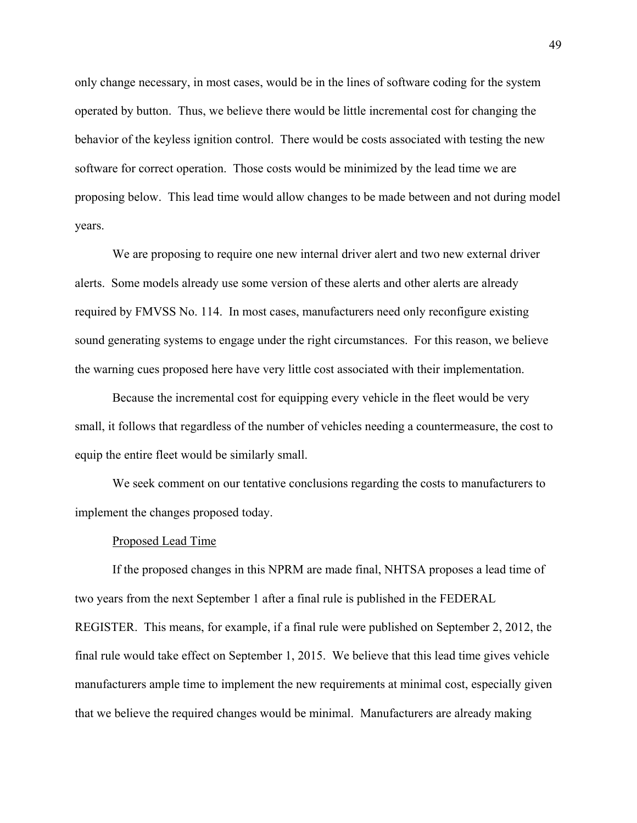only change necessary, in most cases, would be in the lines of software coding for the system operated by button. Thus, we believe there would be little incremental cost for changing the behavior of the keyless ignition control. There would be costs associated with testing the new software for correct operation. Those costs would be minimized by the lead time we are proposing below. This lead time would allow changes to be made between and not during model years.

 We are proposing to require one new internal driver alert and two new external driver alerts. Some models already use some version of these alerts and other alerts are already required by FMVSS No. 114. In most cases, manufacturers need only reconfigure existing sound generating systems to engage under the right circumstances. For this reason, we believe the warning cues proposed here have very little cost associated with their implementation.

 Because the incremental cost for equipping every vehicle in the fleet would be very small, it follows that regardless of the number of vehicles needing a countermeasure, the cost to equip the entire fleet would be similarly small.

 We seek comment on our tentative conclusions regarding the costs to manufacturers to implement the changes proposed today.

#### Proposed Lead Time

 If the proposed changes in this NPRM are made final, NHTSA proposes a lead time of two years from the next September 1 after a final rule is published in the FEDERAL REGISTER. This means, for example, if a final rule were published on September 2, 2012, the final rule would take effect on September 1, 2015. We believe that this lead time gives vehicle manufacturers ample time to implement the new requirements at minimal cost, especially given that we believe the required changes would be minimal. Manufacturers are already making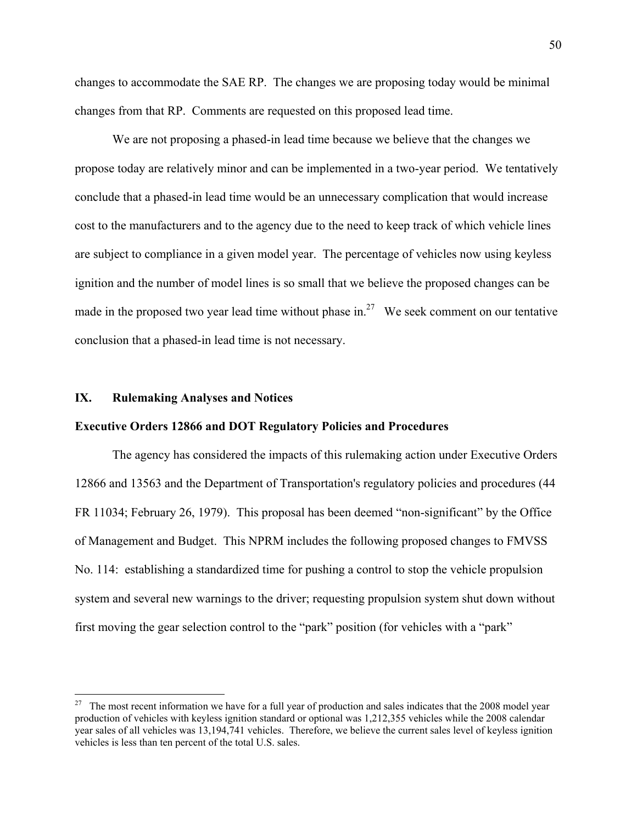changes to accommodate the SAE RP. The changes we are proposing today would be minimal changes from that RP. Comments are requested on this proposed lead time.

 We are not proposing a phased-in lead time because we believe that the changes we propose today are relatively minor and can be implemented in a two-year period. We tentatively conclude that a phased-in lead time would be an unnecessary complication that would increase cost to the manufacturers and to the agency due to the need to keep track of which vehicle lines are subject to compliance in a given model year. The percentage of vehicles now using keyless ignition and the number of model lines is so small that we believe the proposed changes can be made in the proposed two year lead time without phase in.<sup>27</sup> We seek comment on our tentative conclusion that a phased-in lead time is not necessary.

## **IX. Rulemaking Analyses and Notices**

 $\overline{a}$ 

## **Executive Orders 12866 and DOT Regulatory Policies and Procedures**

 The agency has considered the impacts of this rulemaking action under Executive Orders 12866 and 13563 and the Department of Transportation's regulatory policies and procedures (44 FR 11034; February 26, 1979). This proposal has been deemed "non-significant" by the Office of Management and Budget. This NPRM includes the following proposed changes to FMVSS No. 114: establishing a standardized time for pushing a control to stop the vehicle propulsion system and several new warnings to the driver; requesting propulsion system shut down without first moving the gear selection control to the "park" position (for vehicles with a "park"

<sup>&</sup>lt;sup>27</sup> The most recent information we have for a full year of production and sales indicates that the 2008 model year production of vehicles with keyless ignition standard or optional was 1,212,355 vehicles while the 2008 calendar year sales of all vehicles was 13,194,741 vehicles. Therefore, we believe the current sales level of keyless ignition vehicles is less than ten percent of the total U.S. sales.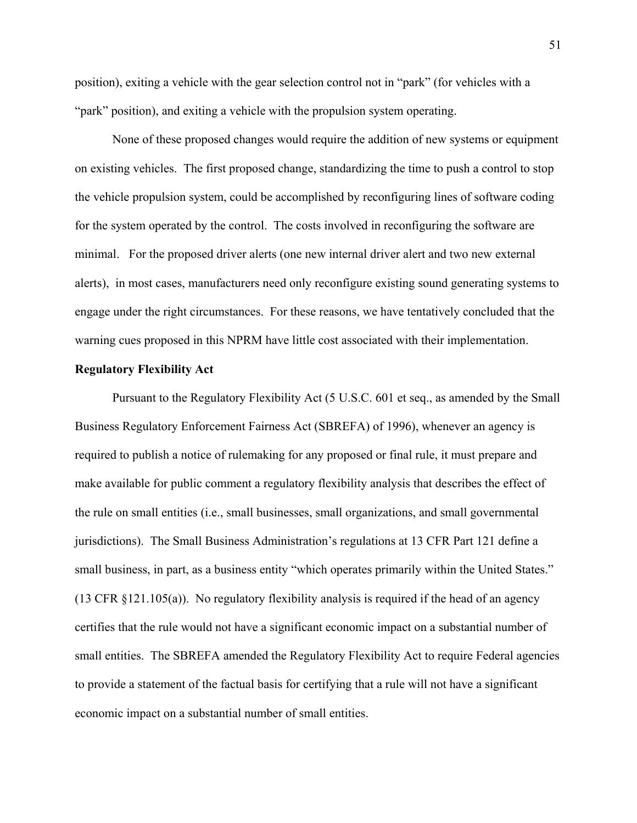position), exiting a vehicle with the gear selection control not in "park" (for vehicles with a "park" position), and exiting a vehicle with the propulsion system operating.

 None of these proposed changes would require the addition of new systems or equipment on existing vehicles. The first proposed change, standardizing the time to push a control to stop the vehicle propulsion system, could be accomplished by reconfiguring lines of software coding for the system operated by the control. The costs involved in reconfiguring the software are minimal. For the proposed driver alerts (one new internal driver alert and two new external alerts), in most cases, manufacturers need only reconfigure existing sound generating systems to engage under the right circumstances. For these reasons, we have tentatively concluded that the warning cues proposed in this NPRM have little cost associated with their implementation.

## **Regulatory Flexibility Act**

 Pursuant to the Regulatory Flexibility Act (5 U.S.C. 601 et seq., as amended by the Small Business Regulatory Enforcement Fairness Act (SBREFA) of 1996), whenever an agency is required to publish a notice of rulemaking for any proposed or final rule, it must prepare and make available for public comment a regulatory flexibility analysis that describes the effect of the rule on small entities (i.e., small businesses, small organizations, and small governmental jurisdictions). The Small Business Administration's regulations at 13 CFR Part 121 define a small business, in part, as a business entity "which operates primarily within the United States." (13 CFR §121.105(a)). No regulatory flexibility analysis is required if the head of an agency certifies that the rule would not have a significant economic impact on a substantial number of small entities. The SBREFA amended the Regulatory Flexibility Act to require Federal agencies to provide a statement of the factual basis for certifying that a rule will not have a significant economic impact on a substantial number of small entities.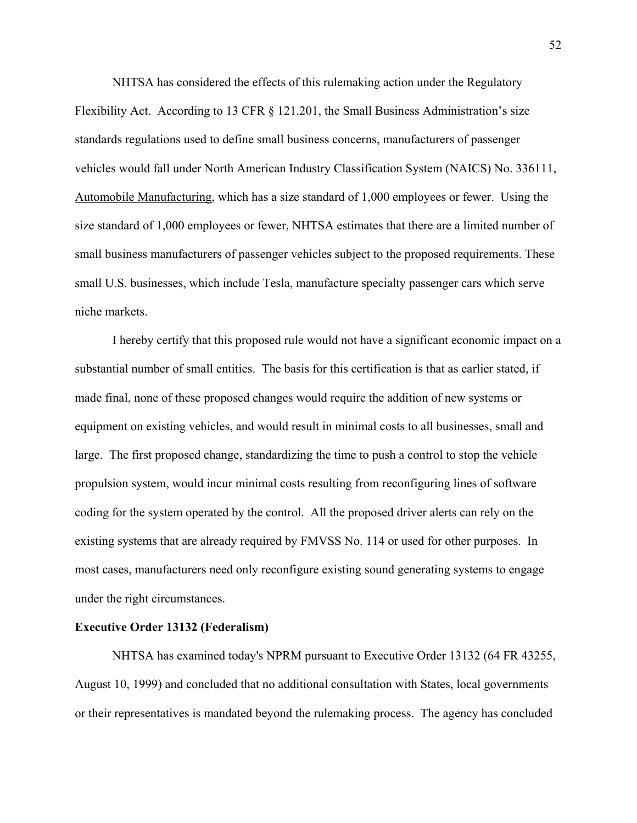NHTSA has considered the effects of this rulemaking action under the Regulatory Flexibility Act. According to 13 CFR § 121.201, the Small Business Administration's size standards regulations used to define small business concerns, manufacturers of passenger vehicles would fall under North American Industry Classification System (NAICS) No. 336111, Automobile Manufacturing, which has a size standard of 1,000 employees or fewer. Using the size standard of 1,000 employees or fewer, NHTSA estimates that there are a limited number of small business manufacturers of passenger vehicles subject to the proposed requirements. These small U.S. businesses, which include Tesla, manufacture specialty passenger cars which serve niche markets.

I hereby certify that this proposed rule would not have a significant economic impact on a substantial number of small entities. The basis for this certification is that as earlier stated, if made final, none of these proposed changes would require the addition of new systems or equipment on existing vehicles, and would result in minimal costs to all businesses, small and large. The first proposed change, standardizing the time to push a control to stop the vehicle propulsion system, would incur minimal costs resulting from reconfiguring lines of software coding for the system operated by the control. All the proposed driver alerts can rely on the existing systems that are already required by FMVSS No. 114 or used for other purposes. In most cases, manufacturers need only reconfigure existing sound generating systems to engage under the right circumstances.

## **Executive Order 13132 (Federalism)**

NHTSA has examined today's NPRM pursuant to Executive Order 13132 (64 FR 43255, August 10, 1999) and concluded that no additional consultation with States, local governments or their representatives is mandated beyond the rulemaking process. The agency has concluded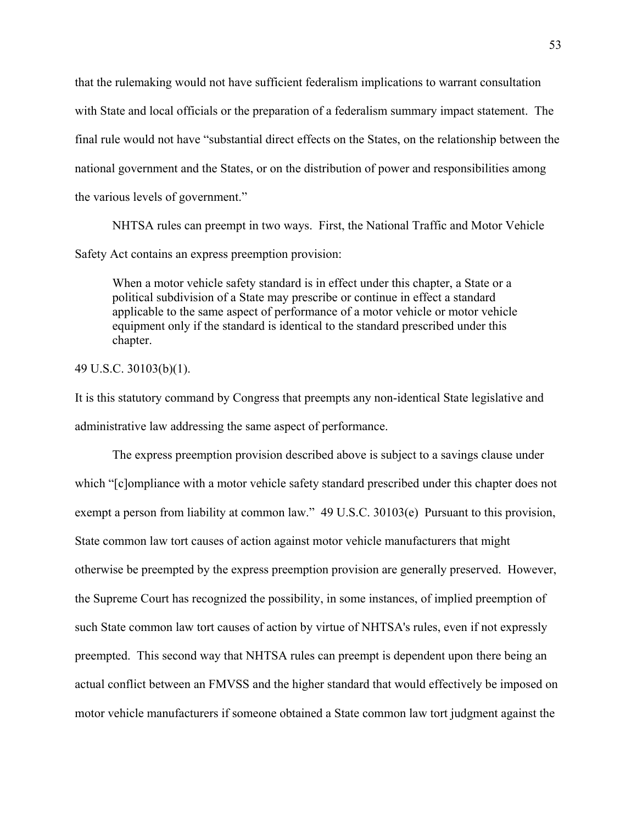that the rulemaking would not have sufficient federalism implications to warrant consultation with State and local officials or the preparation of a federalism summary impact statement. The final rule would not have "substantial direct effects on the States, on the relationship between the national government and the States, or on the distribution of power and responsibilities among the various levels of government."

 NHTSA rules can preempt in two ways. First, the National Traffic and Motor Vehicle Safety Act contains an express preemption provision:

When a motor vehicle safety standard is in effect under this chapter, a State or a political subdivision of a State may prescribe or continue in effect a standard applicable to the same aspect of performance of a motor vehicle or motor vehicle equipment only if the standard is identical to the standard prescribed under this chapter.

## 49 U.S.C. 30103(b)(1).

It is this statutory command by Congress that preempts any non-identical State legislative and administrative law addressing the same aspect of performance.

 The express preemption provision described above is subject to a savings clause under which "[c]ompliance with a motor vehicle safety standard prescribed under this chapter does not exempt a person from liability at common law." 49 U.S.C. 30103(e) Pursuant to this provision, State common law tort causes of action against motor vehicle manufacturers that might otherwise be preempted by the express preemption provision are generally preserved. However, the Supreme Court has recognized the possibility, in some instances, of implied preemption of such State common law tort causes of action by virtue of NHTSA's rules, even if not expressly preempted. This second way that NHTSA rules can preempt is dependent upon there being an actual conflict between an FMVSS and the higher standard that would effectively be imposed on motor vehicle manufacturers if someone obtained a State common law tort judgment against the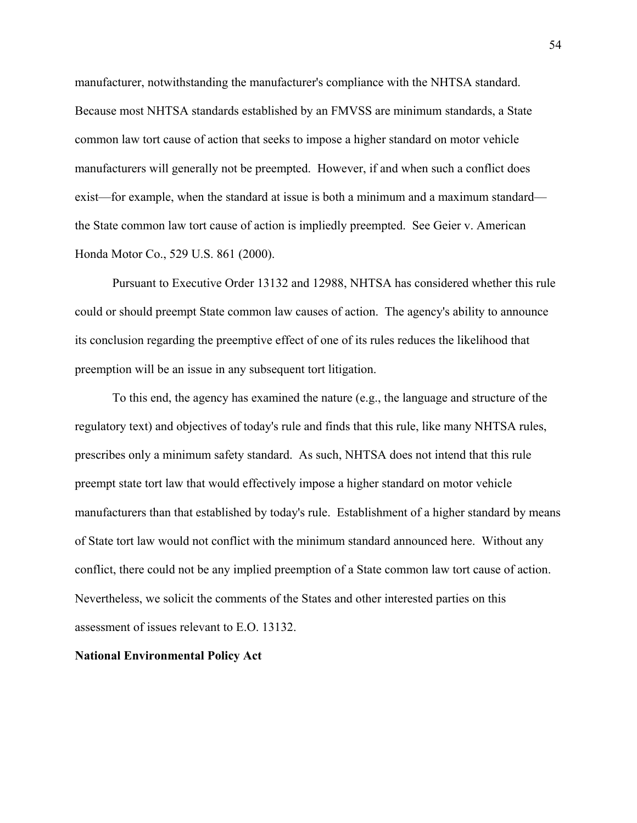manufacturer, notwithstanding the manufacturer's compliance with the NHTSA standard. Because most NHTSA standards established by an FMVSS are minimum standards, a State common law tort cause of action that seeks to impose a higher standard on motor vehicle manufacturers will generally not be preempted. However, if and when such a conflict does exist—for example, when the standard at issue is both a minimum and a maximum standard the State common law tort cause of action is impliedly preempted. See Geier v. American Honda Motor Co., 529 U.S. 861 (2000).

 Pursuant to Executive Order 13132 and 12988, NHTSA has considered whether this rule could or should preempt State common law causes of action. The agency's ability to announce its conclusion regarding the preemptive effect of one of its rules reduces the likelihood that preemption will be an issue in any subsequent tort litigation.

 To this end, the agency has examined the nature (e.g., the language and structure of the regulatory text) and objectives of today's rule and finds that this rule, like many NHTSA rules, prescribes only a minimum safety standard. As such, NHTSA does not intend that this rule preempt state tort law that would effectively impose a higher standard on motor vehicle manufacturers than that established by today's rule. Establishment of a higher standard by means of State tort law would not conflict with the minimum standard announced here. Without any conflict, there could not be any implied preemption of a State common law tort cause of action. Nevertheless, we solicit the comments of the States and other interested parties on this assessment of issues relevant to E.O. 13132.

#### **National Environmental Policy Act**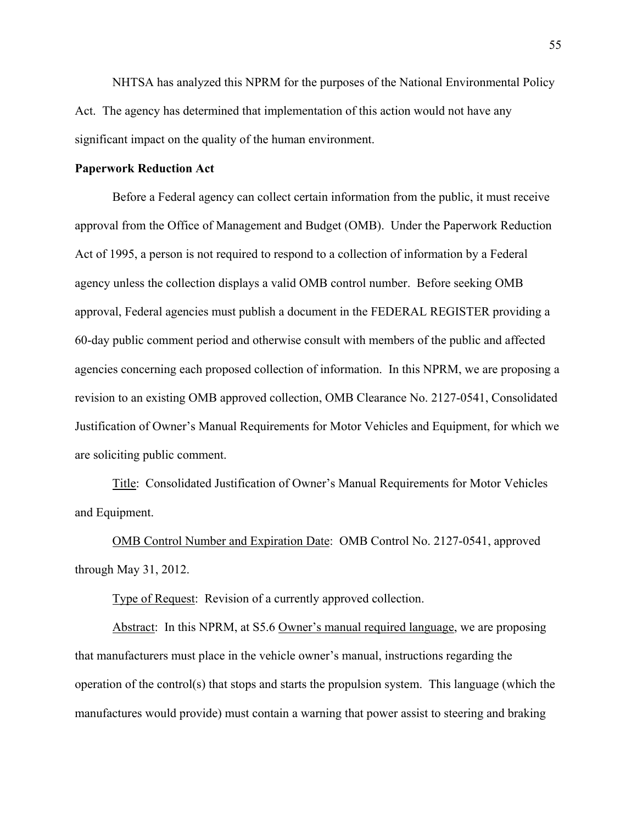NHTSA has analyzed this NPRM for the purposes of the National Environmental Policy Act. The agency has determined that implementation of this action would not have any significant impact on the quality of the human environment.

## **Paperwork Reduction Act**

 Before a Federal agency can collect certain information from the public, it must receive approval from the Office of Management and Budget (OMB). Under the Paperwork Reduction Act of 1995, a person is not required to respond to a collection of information by a Federal agency unless the collection displays a valid OMB control number. Before seeking OMB approval, Federal agencies must publish a document in the FEDERAL REGISTER providing a 60-day public comment period and otherwise consult with members of the public and affected agencies concerning each proposed collection of information. In this NPRM, we are proposing a revision to an existing OMB approved collection, OMB Clearance No. 2127-0541, Consolidated Justification of Owner's Manual Requirements for Motor Vehicles and Equipment, for which we are soliciting public comment.

Title: Consolidated Justification of Owner's Manual Requirements for Motor Vehicles and Equipment.

OMB Control Number and Expiration Date: OMB Control No. 2127-0541, approved through May 31, 2012.

Type of Request: Revision of a currently approved collection.

Abstract: In this NPRM, at S5.6 Owner's manual required language, we are proposing that manufacturers must place in the vehicle owner's manual, instructions regarding the operation of the control(s) that stops and starts the propulsion system. This language (which the manufactures would provide) must contain a warning that power assist to steering and braking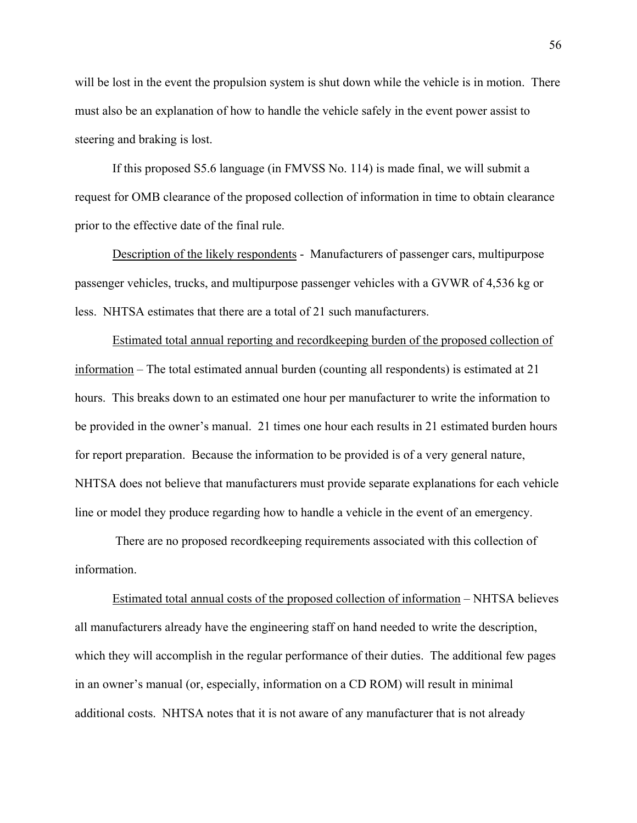will be lost in the event the propulsion system is shut down while the vehicle is in motion. There must also be an explanation of how to handle the vehicle safely in the event power assist to steering and braking is lost.

If this proposed S5.6 language (in FMVSS No. 114) is made final, we will submit a request for OMB clearance of the proposed collection of information in time to obtain clearance prior to the effective date of the final rule.

Description of the likely respondents - Manufacturers of passenger cars, multipurpose passenger vehicles, trucks, and multipurpose passenger vehicles with a GVWR of 4,536 kg or less. NHTSA estimates that there are a total of 21 such manufacturers.

Estimated total annual reporting and recordkeeping burden of the proposed collection of information – The total estimated annual burden (counting all respondents) is estimated at 21 hours. This breaks down to an estimated one hour per manufacturer to write the information to be provided in the owner's manual. 21 times one hour each results in 21 estimated burden hours for report preparation. Because the information to be provided is of a very general nature, NHTSA does not believe that manufacturers must provide separate explanations for each vehicle line or model they produce regarding how to handle a vehicle in the event of an emergency.

 There are no proposed recordkeeping requirements associated with this collection of information.

Estimated total annual costs of the proposed collection of information – NHTSA believes all manufacturers already have the engineering staff on hand needed to write the description, which they will accomplish in the regular performance of their duties. The additional few pages in an owner's manual (or, especially, information on a CD ROM) will result in minimal additional costs. NHTSA notes that it is not aware of any manufacturer that is not already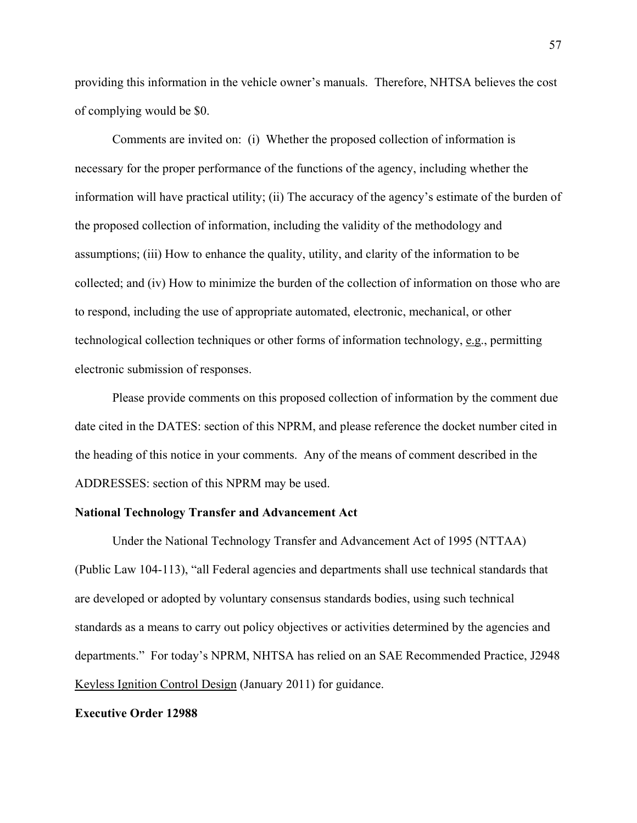providing this information in the vehicle owner's manuals. Therefore, NHTSA believes the cost of complying would be \$0.

Comments are invited on: (i) Whether the proposed collection of information is necessary for the proper performance of the functions of the agency, including whether the information will have practical utility; (ii) The accuracy of the agency's estimate of the burden of the proposed collection of information, including the validity of the methodology and assumptions; (iii) How to enhance the quality, utility, and clarity of the information to be collected; and (iv) How to minimize the burden of the collection of information on those who are to respond, including the use of appropriate automated, electronic, mechanical, or other technological collection techniques or other forms of information technology, e.g., permitting electronic submission of responses.

Please provide comments on this proposed collection of information by the comment due date cited in the DATES: section of this NPRM, and please reference the docket number cited in the heading of this notice in your comments. Any of the means of comment described in the ADDRESSES: section of this NPRM may be used.

## **National Technology Transfer and Advancement Act**

 Under the National Technology Transfer and Advancement Act of 1995 (NTTAA) (Public Law 104-113), "all Federal agencies and departments shall use technical standards that are developed or adopted by voluntary consensus standards bodies, using such technical standards as a means to carry out policy objectives or activities determined by the agencies and departments." For today's NPRM, NHTSA has relied on an SAE Recommended Practice, J2948 Keyless Ignition Control Design (January 2011) for guidance.

#### **Executive Order 12988**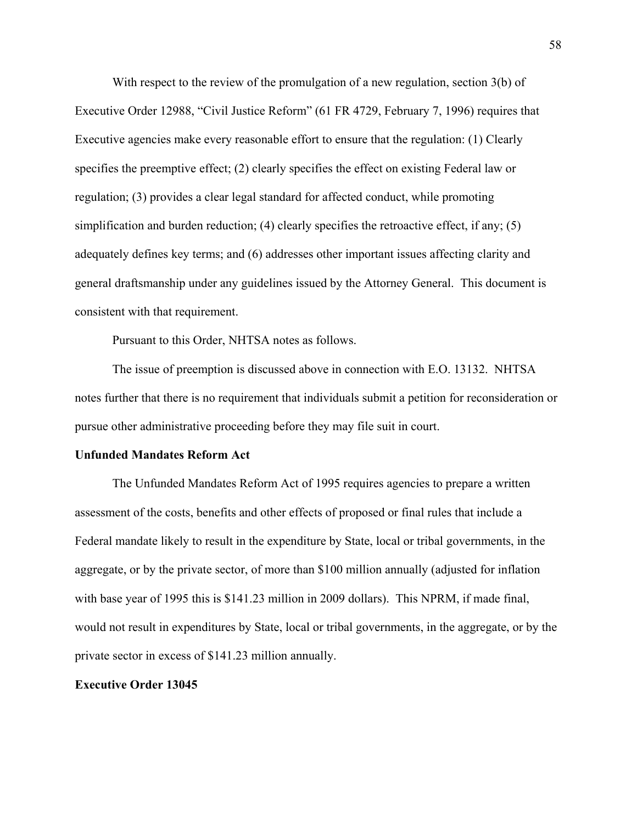With respect to the review of the promulgation of a new regulation, section 3(b) of Executive Order 12988, "Civil Justice Reform" (61 FR 4729, February 7, 1996) requires that Executive agencies make every reasonable effort to ensure that the regulation: (1) Clearly specifies the preemptive effect; (2) clearly specifies the effect on existing Federal law or regulation; (3) provides a clear legal standard for affected conduct, while promoting simplification and burden reduction; (4) clearly specifies the retroactive effect, if any; (5) adequately defines key terms; and (6) addresses other important issues affecting clarity and general draftsmanship under any guidelines issued by the Attorney General. This document is consistent with that requirement.

Pursuant to this Order, NHTSA notes as follows.

The issue of preemption is discussed above in connection with E.O. 13132. NHTSA notes further that there is no requirement that individuals submit a petition for reconsideration or pursue other administrative proceeding before they may file suit in court.

## **Unfunded Mandates Reform Act**

 The Unfunded Mandates Reform Act of 1995 requires agencies to prepare a written assessment of the costs, benefits and other effects of proposed or final rules that include a Federal mandate likely to result in the expenditure by State, local or tribal governments, in the aggregate, or by the private sector, of more than \$100 million annually (adjusted for inflation with base year of 1995 this is \$141.23 million in 2009 dollars). This NPRM, if made final, would not result in expenditures by State, local or tribal governments, in the aggregate, or by the private sector in excess of \$141.23 million annually.

### **Executive Order 13045**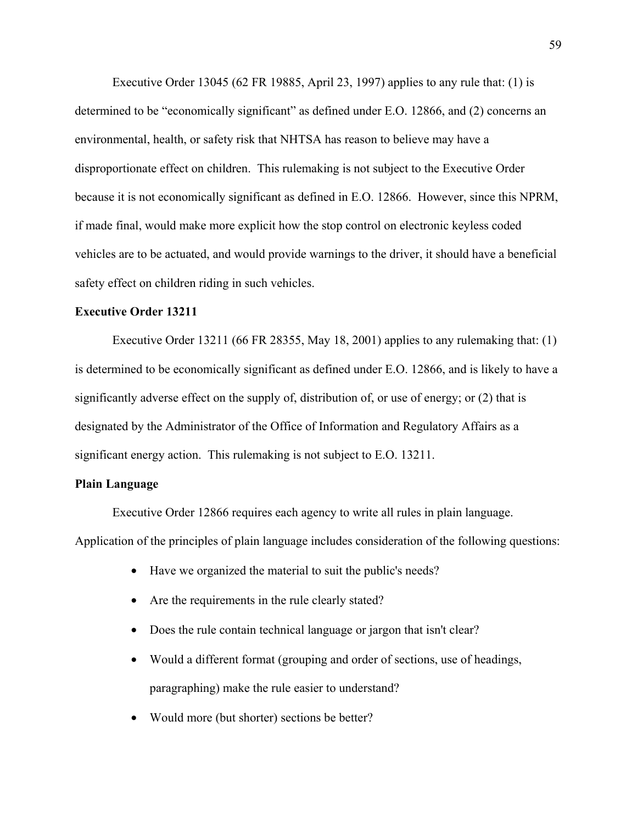Executive Order 13045 (62 FR 19885, April 23, 1997) applies to any rule that: (1) is determined to be "economically significant" as defined under E.O. 12866, and (2) concerns an environmental, health, or safety risk that NHTSA has reason to believe may have a disproportionate effect on children. This rulemaking is not subject to the Executive Order because it is not economically significant as defined in E.O. 12866. However, since this NPRM, if made final, would make more explicit how the stop control on electronic keyless coded vehicles are to be actuated, and would provide warnings to the driver, it should have a beneficial safety effect on children riding in such vehicles.

## **Executive Order 13211**

 Executive Order 13211 (66 FR 28355, May 18, 2001) applies to any rulemaking that: (1) is determined to be economically significant as defined under E.O. 12866, and is likely to have a significantly adverse effect on the supply of, distribution of, or use of energy; or (2) that is designated by the Administrator of the Office of Information and Regulatory Affairs as a significant energy action. This rulemaking is not subject to E.O. 13211.

## **Plain Language**

 Executive Order 12866 requires each agency to write all rules in plain language. Application of the principles of plain language includes consideration of the following questions:

- Have we organized the material to suit the public's needs?
- Are the requirements in the rule clearly stated?
- Does the rule contain technical language or jargon that isn't clear?
- Would a different format (grouping and order of sections, use of headings, paragraphing) make the rule easier to understand?
- Would more (but shorter) sections be better?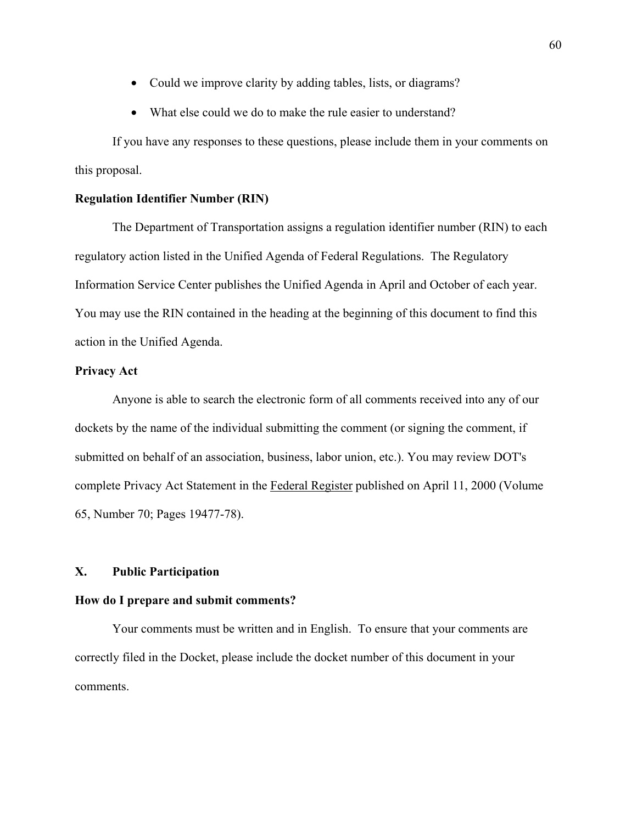- Could we improve clarity by adding tables, lists, or diagrams?
- What else could we do to make the rule easier to understand?

 If you have any responses to these questions, please include them in your comments on this proposal.

## **Regulation Identifier Number (RIN)**

 The Department of Transportation assigns a regulation identifier number (RIN) to each regulatory action listed in the Unified Agenda of Federal Regulations. The Regulatory Information Service Center publishes the Unified Agenda in April and October of each year. You may use the RIN contained in the heading at the beginning of this document to find this action in the Unified Agenda.

## **Privacy Act**

 Anyone is able to search the electronic form of all comments received into any of our dockets by the name of the individual submitting the comment (or signing the comment, if submitted on behalf of an association, business, labor union, etc.). You may review DOT's complete Privacy Act Statement in the Federal Register published on April 11, 2000 (Volume 65, Number 70; Pages 19477-78).

## **X. Public Participation**

## **How do I prepare and submit comments?**

 Your comments must be written and in English. To ensure that your comments are correctly filed in the Docket, please include the docket number of this document in your comments.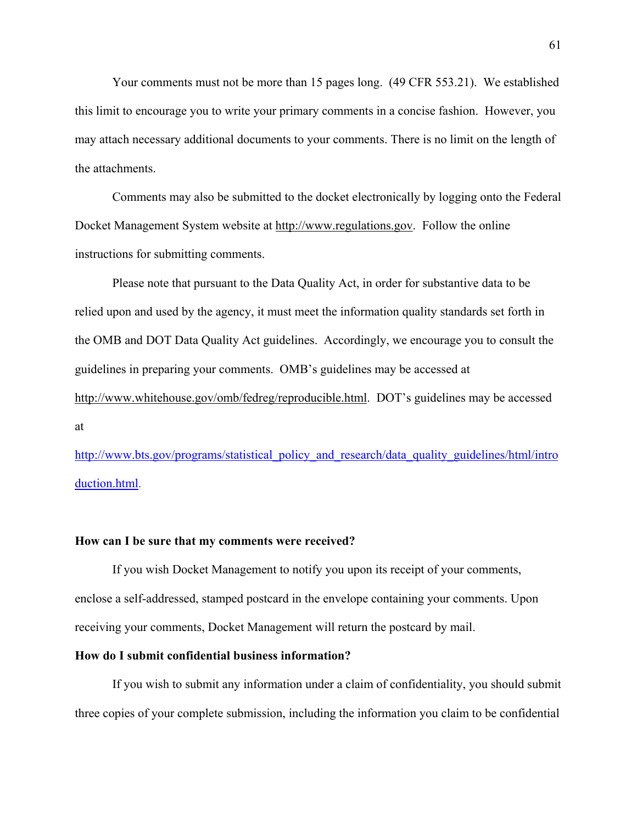Your comments must not be more than 15 pages long. (49 CFR 553.21). We established this limit to encourage you to write your primary comments in a concise fashion. However, you may attach necessary additional documents to your comments. There is no limit on the length of the attachments.

 Comments may also be submitted to the docket electronically by logging onto the Federal Docket Management System website at http://www.regulations.gov. Follow the online instructions for submitting comments.

 Please note that pursuant to the Data Quality Act, in order for substantive data to be relied upon and used by the agency, it must meet the information quality standards set forth in the OMB and DOT Data Quality Act guidelines. Accordingly, we encourage you to consult the guidelines in preparing your comments. OMB's guidelines may be accessed at http://www.whitehouse.gov/omb/fedreg/reproducible.html. DOT's guidelines may be accessed at

http://www.bts.gov/programs/statistical\_policy\_and\_research/data\_quality\_guidelines/html/intro duction.html.

## **How can I be sure that my comments were received?**

 If you wish Docket Management to notify you upon its receipt of your comments, enclose a self-addressed, stamped postcard in the envelope containing your comments. Upon receiving your comments, Docket Management will return the postcard by mail.

## **How do I submit confidential business information?**

 If you wish to submit any information under a claim of confidentiality, you should submit three copies of your complete submission, including the information you claim to be confidential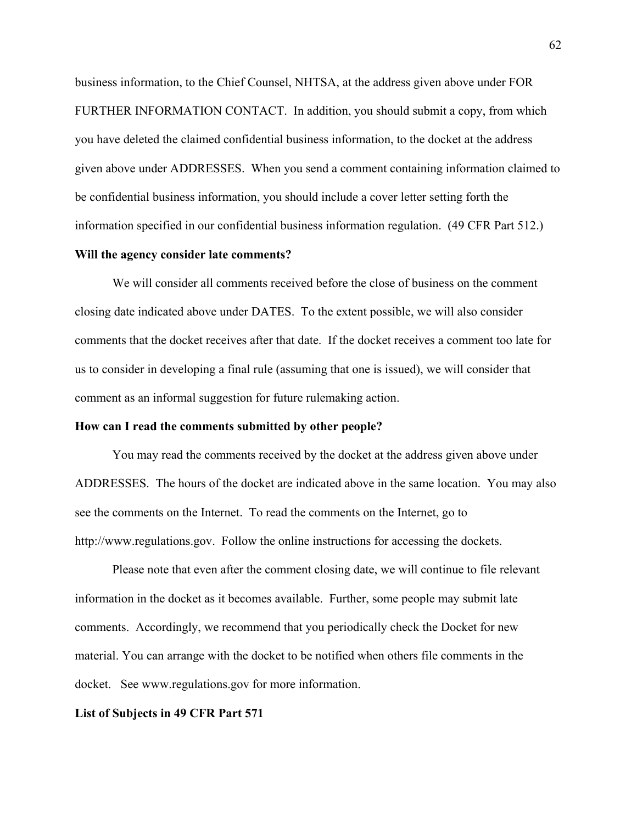business information, to the Chief Counsel, NHTSA, at the address given above under FOR FURTHER INFORMATION CONTACT. In addition, you should submit a copy, from which you have deleted the claimed confidential business information, to the docket at the address given above under ADDRESSES. When you send a comment containing information claimed to be confidential business information, you should include a cover letter setting forth the information specified in our confidential business information regulation. (49 CFR Part 512.)

## **Will the agency consider late comments?**

We will consider all comments received before the close of business on the comment closing date indicated above under DATES. To the extent possible, we will also consider comments that the docket receives after that date. If the docket receives a comment too late for us to consider in developing a final rule (assuming that one is issued), we will consider that comment as an informal suggestion for future rulemaking action.

## **How can I read the comments submitted by other people?**

 You may read the comments received by the docket at the address given above under ADDRESSES. The hours of the docket are indicated above in the same location. You may also see the comments on the Internet. To read the comments on the Internet, go to http://www.regulations.gov. Follow the online instructions for accessing the dockets.

 Please note that even after the comment closing date, we will continue to file relevant information in the docket as it becomes available. Further, some people may submit late comments. Accordingly, we recommend that you periodically check the Docket for new material. You can arrange with the docket to be notified when others file comments in the docket. See www.regulations.gov for more information.

#### **List of Subjects in 49 CFR Part 571**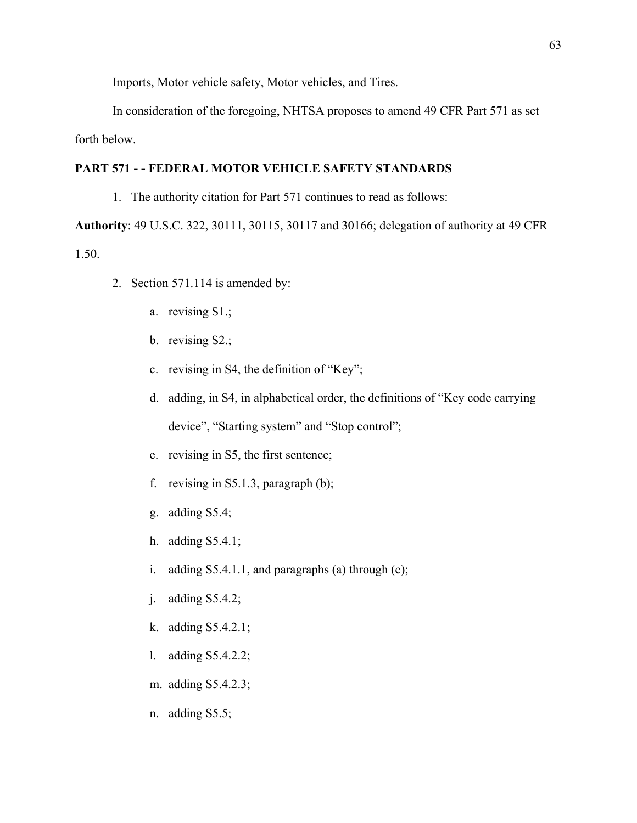Imports, Motor vehicle safety, Motor vehicles, and Tires.

 In consideration of the foregoing, NHTSA proposes to amend 49 CFR Part 571 as set forth below.

## **PART 571 - - FEDERAL MOTOR VEHICLE SAFETY STANDARDS**

1. The authority citation for Part 571 continues to read as follows:

**Authority**: 49 U.S.C. 322, 30111, 30115, 30117 and 30166; delegation of authority at 49 CFR 1.50.

- 2. Section 571.114 is amended by:
	- a. revising S1.;
	- b. revising S2.;
	- c. revising in S4, the definition of "Key";
	- d. adding, in S4, in alphabetical order, the definitions of "Key code carrying device", "Starting system" and "Stop control";
	- e. revising in S5, the first sentence;
	- f. revising in S5.1.3, paragraph (b);
	- g. adding S5.4;
	- h. adding S5.4.1;
	- i. adding  $S5.4.1.1$ , and paragraphs (a) through (c);
	- j. adding S5.4.2;
	- k. adding S5.4.2.1;
	- l. adding S5.4.2.2;
	- m. adding S5.4.2.3;
	- n. adding S5.5;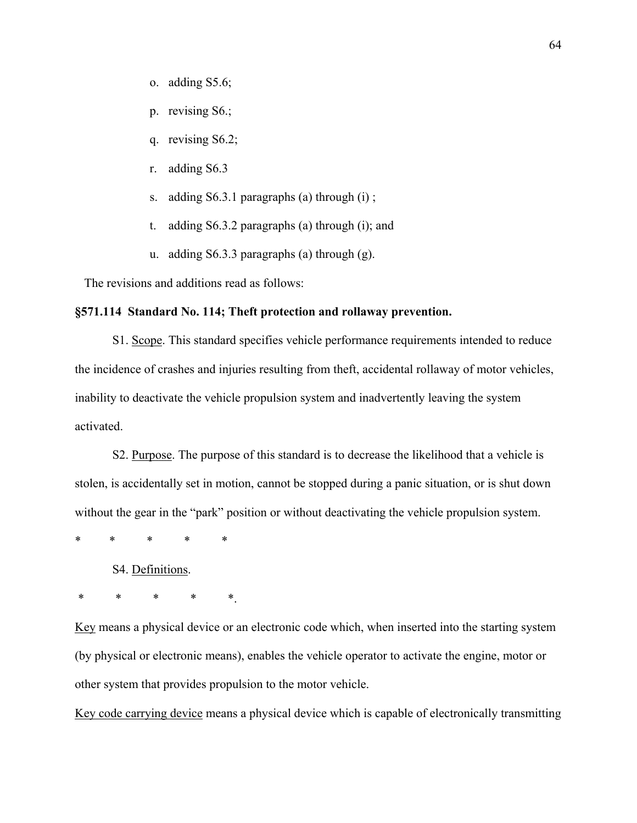- o. adding S5.6;
- p. revising S6.;
- q. revising S6.2;
- r. adding S6.3
- s. adding S6.3.1 paragraphs (a) through (i) ;
- t. adding S6.3.2 paragraphs (a) through (i); and
- u. adding S6.3.3 paragraphs (a) through (g).

The revisions and additions read as follows:

## **§571.114 Standard No. 114; Theft protection and rollaway prevention.**

S1. Scope. This standard specifies vehicle performance requirements intended to reduce the incidence of crashes and injuries resulting from theft, accidental rollaway of motor vehicles, inability to deactivate the vehicle propulsion system and inadvertently leaving the system activated.

S2. Purpose. The purpose of this standard is to decrease the likelihood that a vehicle is stolen, is accidentally set in motion, cannot be stopped during a panic situation, or is shut down without the gear in the "park" position or without deactivating the vehicle propulsion system.

\* \* \* \* \*

S4. Definitions.

\* \* \* \* \*.

Key means a physical device or an electronic code which, when inserted into the starting system (by physical or electronic means), enables the vehicle operator to activate the engine, motor or other system that provides propulsion to the motor vehicle.

Key code carrying device means a physical device which is capable of electronically transmitting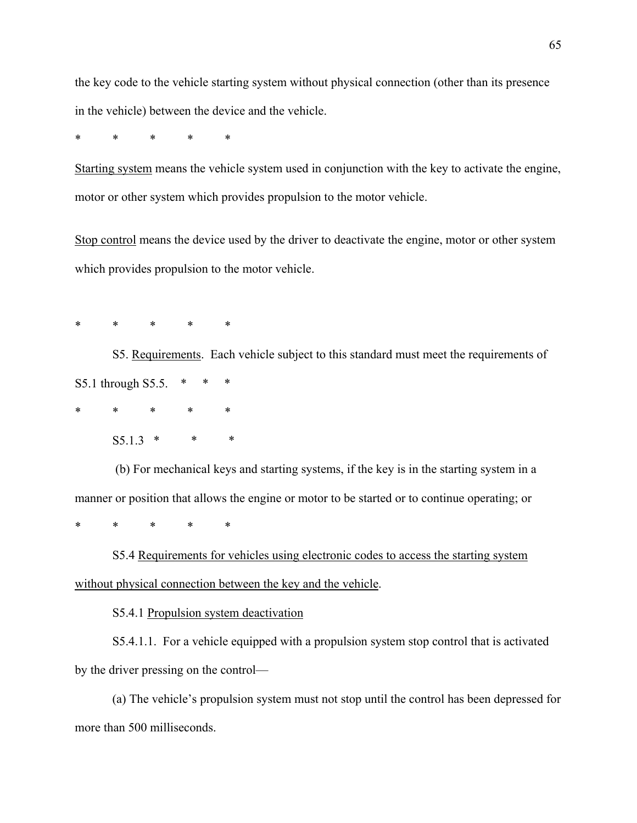the key code to the vehicle starting system without physical connection (other than its presence in the vehicle) between the device and the vehicle.

\* \* \* \* \*

Starting system means the vehicle system used in conjunction with the key to activate the engine, motor or other system which provides propulsion to the motor vehicle.

Stop control means the device used by the driver to deactivate the engine, motor or other system which provides propulsion to the motor vehicle.

\* \* \* \* \*

S5. Requirements. Each vehicle subject to this standard must meet the requirements of S5.1 through S5.5. \* \* \*

\* \* \* \* \*

 $S5.1.3$  \* \*

 (b) For mechanical keys and starting systems, if the key is in the starting system in a manner or position that allows the engine or motor to be started or to continue operating; or

\* \* \* \* \*

S5.4 Requirements for vehicles using electronic codes to access the starting system without physical connection between the key and the vehicle.

S5.4.1 Propulsion system deactivation

S5.4.1.1. For a vehicle equipped with a propulsion system stop control that is activated by the driver pressing on the control—

(a) The vehicle's propulsion system must not stop until the control has been depressed for more than 500 milliseconds.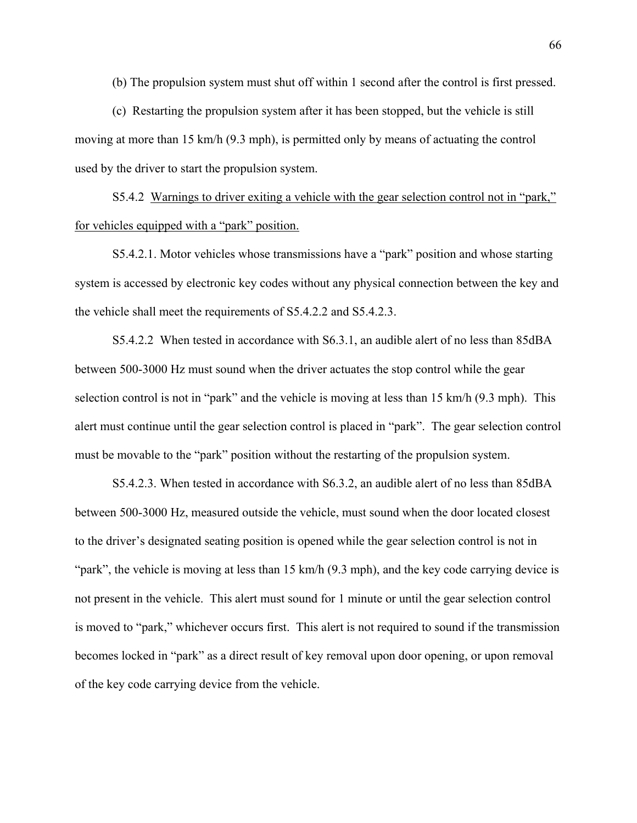(b) The propulsion system must shut off within 1 second after the control is first pressed.

(c) Restarting the propulsion system after it has been stopped, but the vehicle is still moving at more than 15 km/h (9.3 mph), is permitted only by means of actuating the control used by the driver to start the propulsion system.

S5.4.2 Warnings to driver exiting a vehicle with the gear selection control not in "park," for vehicles equipped with a "park" position.

S5.4.2.1. Motor vehicles whose transmissions have a "park" position and whose starting system is accessed by electronic key codes without any physical connection between the key and the vehicle shall meet the requirements of S5.4.2.2 and S5.4.2.3.

S5.4.2.2 When tested in accordance with S6.3.1, an audible alert of no less than 85dBA between 500-3000 Hz must sound when the driver actuates the stop control while the gear selection control is not in "park" and the vehicle is moving at less than 15 km/h (9.3 mph). This alert must continue until the gear selection control is placed in "park". The gear selection control must be movable to the "park" position without the restarting of the propulsion system.

S5.4.2.3. When tested in accordance with S6.3.2, an audible alert of no less than 85dBA between 500-3000 Hz, measured outside the vehicle, must sound when the door located closest to the driver's designated seating position is opened while the gear selection control is not in "park", the vehicle is moving at less than 15 km/h (9.3 mph), and the key code carrying device is not present in the vehicle. This alert must sound for 1 minute or until the gear selection control is moved to "park," whichever occurs first. This alert is not required to sound if the transmission becomes locked in "park" as a direct result of key removal upon door opening, or upon removal of the key code carrying device from the vehicle.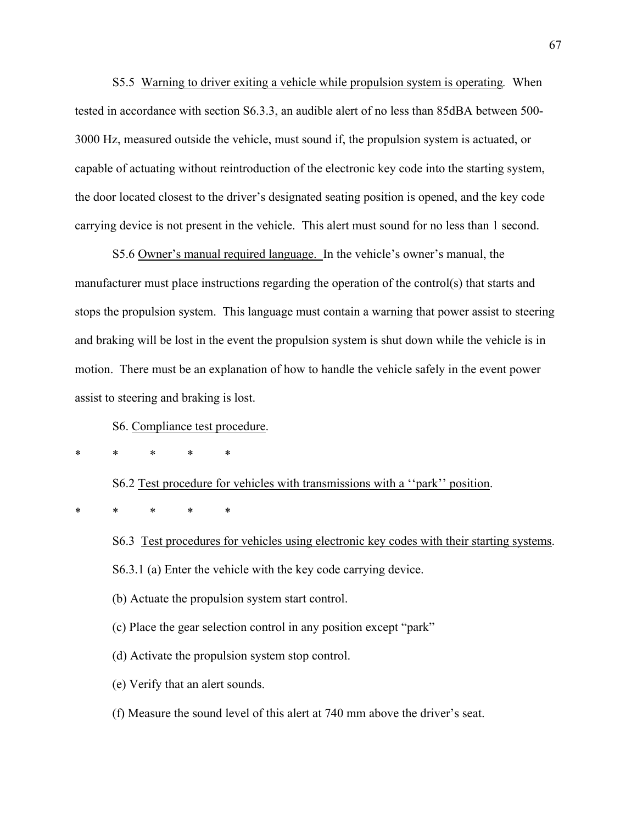S5.5 Warning to driver exiting a vehicle while propulsion system is operating*.* When tested in accordance with section S6.3.3, an audible alert of no less than 85dBA between 500- 3000 Hz, measured outside the vehicle, must sound if, the propulsion system is actuated, or capable of actuating without reintroduction of the electronic key code into the starting system, the door located closest to the driver's designated seating position is opened, and the key code carrying device is not present in the vehicle. This alert must sound for no less than 1 second.

S5.6 Owner's manual required language. In the vehicle's owner's manual, the manufacturer must place instructions regarding the operation of the control(s) that starts and stops the propulsion system. This language must contain a warning that power assist to steering and braking will be lost in the event the propulsion system is shut down while the vehicle is in motion. There must be an explanation of how to handle the vehicle safely in the event power assist to steering and braking is lost.

S6. Compliance test procedure.

\* \* \* \* \*

S6.2 Test procedure for vehicles with transmissions with a ''park'' position.

\* \* \* \* \*

- S6.3 Test procedures for vehicles using electronic key codes with their starting systems. S6.3.1 (a) Enter the vehicle with the key code carrying device.
- (b) Actuate the propulsion system start control.
- (c) Place the gear selection control in any position except "park"
- (d) Activate the propulsion system stop control.
- (e) Verify that an alert sounds.
- (f) Measure the sound level of this alert at 740 mm above the driver's seat.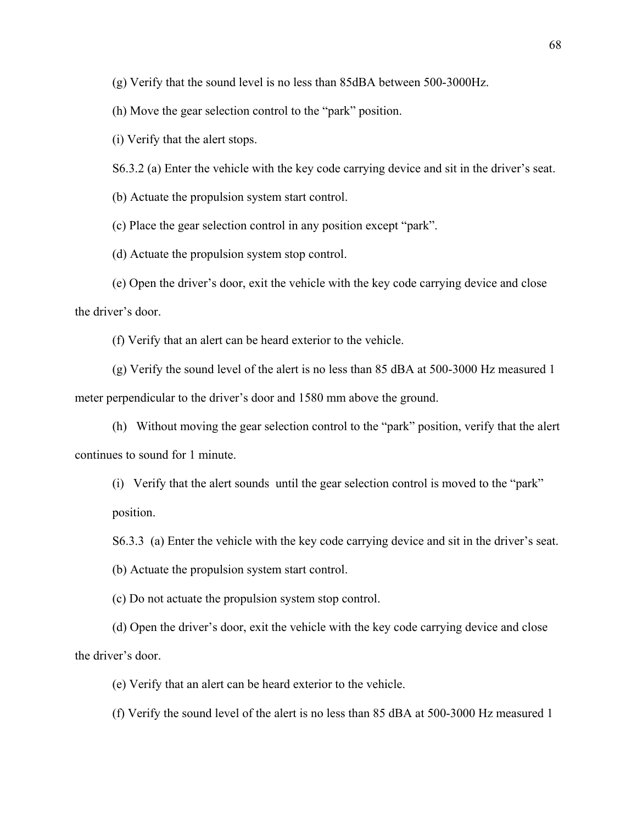(g) Verify that the sound level is no less than 85dBA between 500-3000Hz.

(h) Move the gear selection control to the "park" position.

(i) Verify that the alert stops.

S6.3.2 (a) Enter the vehicle with the key code carrying device and sit in the driver's seat.

(b) Actuate the propulsion system start control.

(c) Place the gear selection control in any position except "park".

(d) Actuate the propulsion system stop control.

(e) Open the driver's door, exit the vehicle with the key code carrying device and close the driver's door.

(f) Verify that an alert can be heard exterior to the vehicle.

(g) Verify the sound level of the alert is no less than 85 dBA at 500-3000 Hz measured 1 meter perpendicular to the driver's door and 1580 mm above the ground.

(h) Without moving the gear selection control to the "park" position, verify that the alert continues to sound for 1 minute.

(i) Verify that the alert sounds until the gear selection control is moved to the "park" position.

S6.3.3 (a) Enter the vehicle with the key code carrying device and sit in the driver's seat.

(b) Actuate the propulsion system start control.

(c) Do not actuate the propulsion system stop control.

(d) Open the driver's door, exit the vehicle with the key code carrying device and close the driver's door.

(e) Verify that an alert can be heard exterior to the vehicle.

(f) Verify the sound level of the alert is no less than 85 dBA at 500-3000 Hz measured 1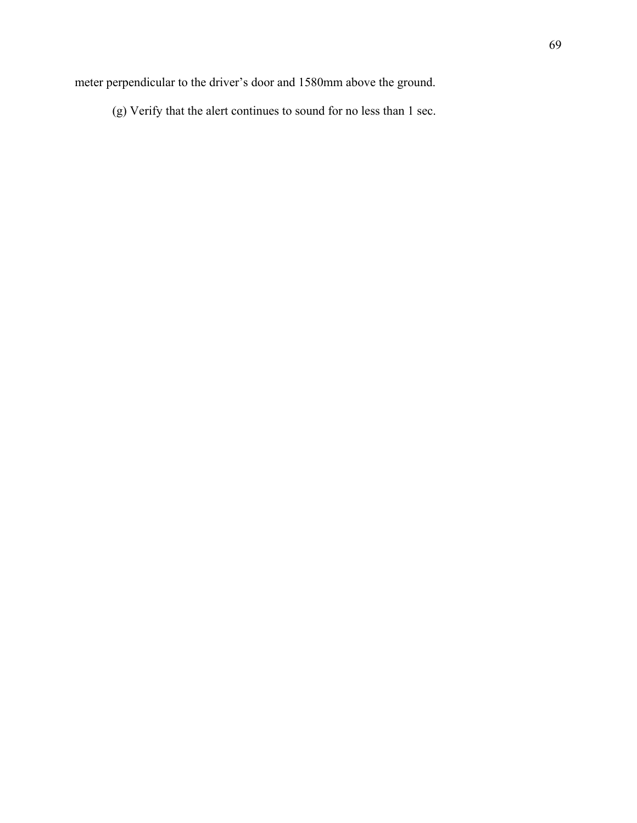meter perpendicular to the driver's door and 1580mm above the ground.

(g) Verify that the alert continues to sound for no less than 1 sec.